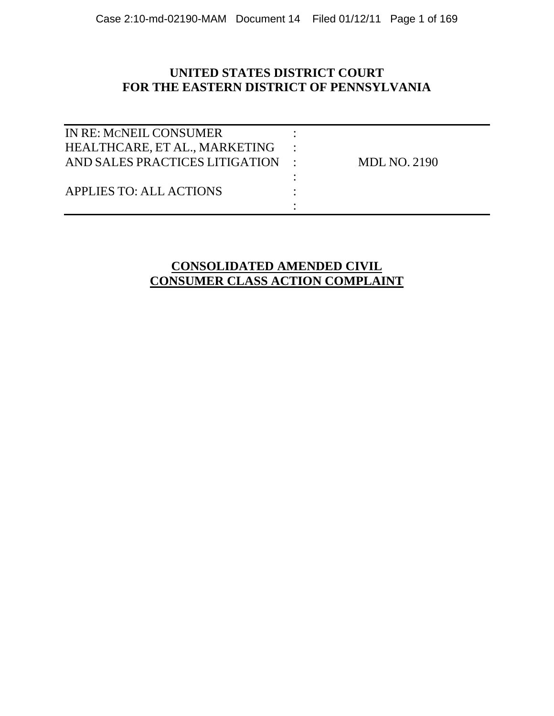### **UNITED STATES DISTRICT COURT FOR THE EASTERN DISTRICT OF PENNSYLVANIA**

| IN RE: MCNEIL CONSUMER         |                     |
|--------------------------------|---------------------|
| HEALTHCARE, ET AL., MARKETING  |                     |
| AND SALES PRACTICES LITIGATION | <b>MDL NO. 2190</b> |
|                                |                     |
| <b>APPLIES TO: ALL ACTIONS</b> |                     |
|                                |                     |
|                                |                     |

### **CONSOLIDATED AMENDED CIVIL CONSUMER CLASS ACTION COMPLAINT**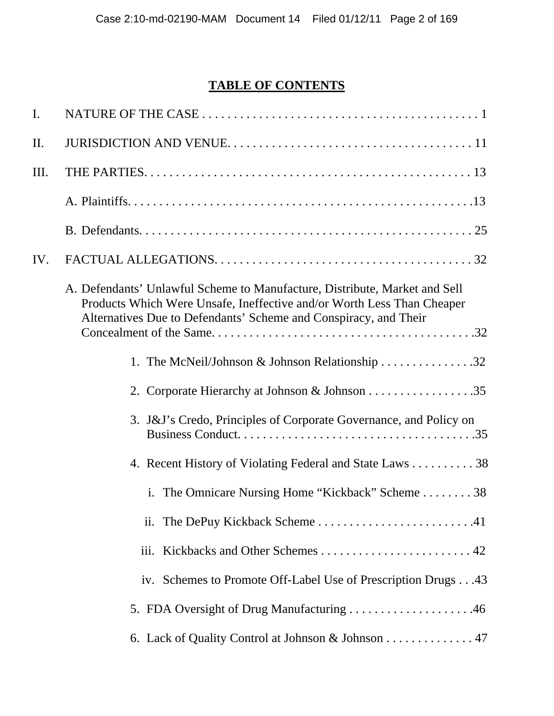# **TABLE OF CONTENTS**

| $\mathbf{I}$ . |                                                                                                                                                                                                                          |
|----------------|--------------------------------------------------------------------------------------------------------------------------------------------------------------------------------------------------------------------------|
| II.            |                                                                                                                                                                                                                          |
| III.           |                                                                                                                                                                                                                          |
|                |                                                                                                                                                                                                                          |
|                |                                                                                                                                                                                                                          |
| IV.            |                                                                                                                                                                                                                          |
|                | A. Defendants' Unlawful Scheme to Manufacture, Distribute, Market and Sell<br>Products Which Were Unsafe, Ineffective and/or Worth Less Than Cheaper<br>Alternatives Due to Defendants' Scheme and Conspiracy, and Their |
|                | 1. The McNeil/Johnson & Johnson Relationship 32                                                                                                                                                                          |
|                |                                                                                                                                                                                                                          |
|                | 3. J&J's Credo, Principles of Corporate Governance, and Policy on                                                                                                                                                        |
|                | 4. Recent History of Violating Federal and State Laws 38                                                                                                                                                                 |
|                | i. The Omnicare Nursing Home "Kickback" Scheme 38                                                                                                                                                                        |
|                | The DePuy Kickback Scheme41<br>11.                                                                                                                                                                                       |
|                |                                                                                                                                                                                                                          |
|                | iv. Schemes to Promote Off-Label Use of Prescription Drugs43                                                                                                                                                             |
|                |                                                                                                                                                                                                                          |
|                | 6. Lack of Quality Control at Johnson & Johnson 47                                                                                                                                                                       |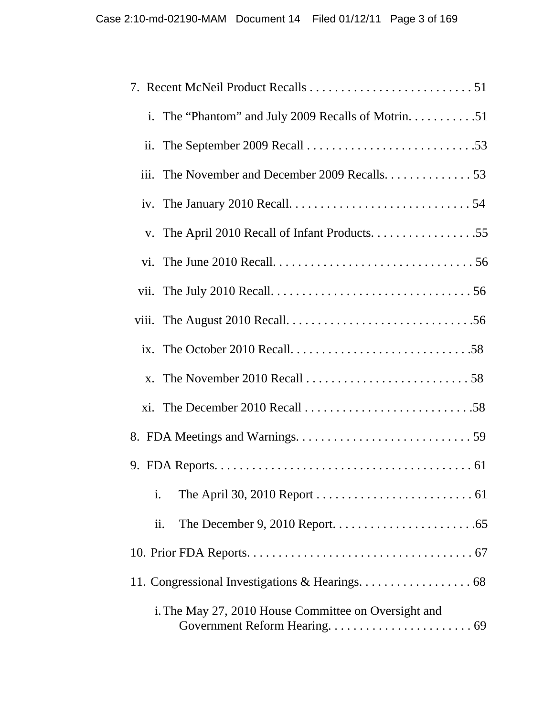| iii. The November and December 2009 Recalls. 53                                                            |
|------------------------------------------------------------------------------------------------------------|
|                                                                                                            |
|                                                                                                            |
|                                                                                                            |
|                                                                                                            |
| viii. The August 2010 Recall. $\dots \dots \dots \dots \dots \dots \dots \dots \dots \dots \dots \dots 56$ |
|                                                                                                            |
| x. The November 2010 Recall $\dots \dots \dots \dots \dots \dots \dots \dots \dots \dots 58$               |
|                                                                                                            |
|                                                                                                            |
|                                                                                                            |
| i.                                                                                                         |
| $\overline{\mathbf{11}}$ .                                                                                 |
|                                                                                                            |
| 11. Congressional Investigations & Hearings. 68                                                            |
| i. The May 27, 2010 House Committee on Oversight and                                                       |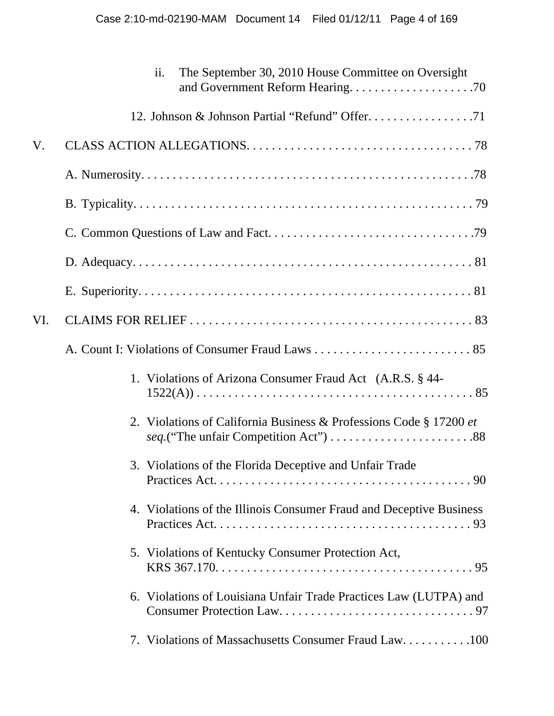|     | The September 30, 2010 House Committee on Oversight<br>ii.          |
|-----|---------------------------------------------------------------------|
|     |                                                                     |
| V.  |                                                                     |
|     |                                                                     |
|     |                                                                     |
|     |                                                                     |
|     |                                                                     |
|     |                                                                     |
| VI. |                                                                     |
|     |                                                                     |
|     | 1. Violations of Arizona Consumer Fraud Act (A.R.S. § 44-           |
|     | 2. Violations of California Business & Professions Code § 17200 et  |
|     | 3. Violations of the Florida Deceptive and Unfair Trade             |
|     | 4. Violations of the Illinois Consumer Fraud and Deceptive Business |
|     | 5. Violations of Kentucky Consumer Protection Act,                  |
|     | 6. Violations of Louisiana Unfair Trade Practices Law (LUTPA) and   |
|     | 7. Violations of Massachusetts Consumer Fraud Law100                |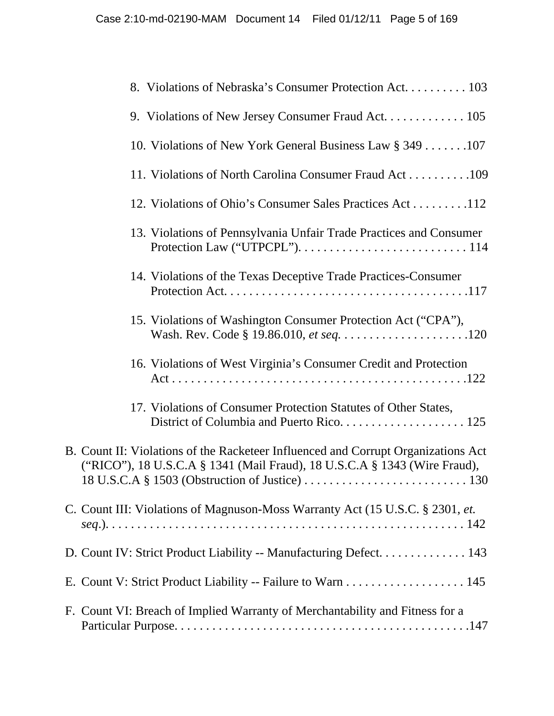| 8. Violations of Nebraska's Consumer Protection Act. 103                                                                                                       |
|----------------------------------------------------------------------------------------------------------------------------------------------------------------|
| 9. Violations of New Jersey Consumer Fraud Act. 105                                                                                                            |
| 10. Violations of New York General Business Law § 349 107                                                                                                      |
| 11. Violations of North Carolina Consumer Fraud Act109                                                                                                         |
| 12. Violations of Ohio's Consumer Sales Practices Act112                                                                                                       |
| 13. Violations of Pennsylvania Unfair Trade Practices and Consumer                                                                                             |
| 14. Violations of the Texas Deceptive Trade Practices-Consumer                                                                                                 |
| 15. Violations of Washington Consumer Protection Act ("CPA"),                                                                                                  |
| 16. Violations of West Virginia's Consumer Credit and Protection                                                                                               |
| 17. Violations of Consumer Protection Statutes of Other States,                                                                                                |
| B. Count II: Violations of the Racketeer Influenced and Corrupt Organizations Act<br>("RICO"), 18 U.S.C.A § 1341 (Mail Fraud), 18 U.S.C.A § 1343 (Wire Fraud), |
| C. Count III: Violations of Magnuson-Moss Warranty Act (15 U.S.C. § 2301, et.                                                                                  |
| D. Count IV: Strict Product Liability -- Manufacturing Defect. 143                                                                                             |
| E. Count V: Strict Product Liability -- Failure to Warn 145                                                                                                    |
| F. Count VI: Breach of Implied Warranty of Merchantability and Fitness for a                                                                                   |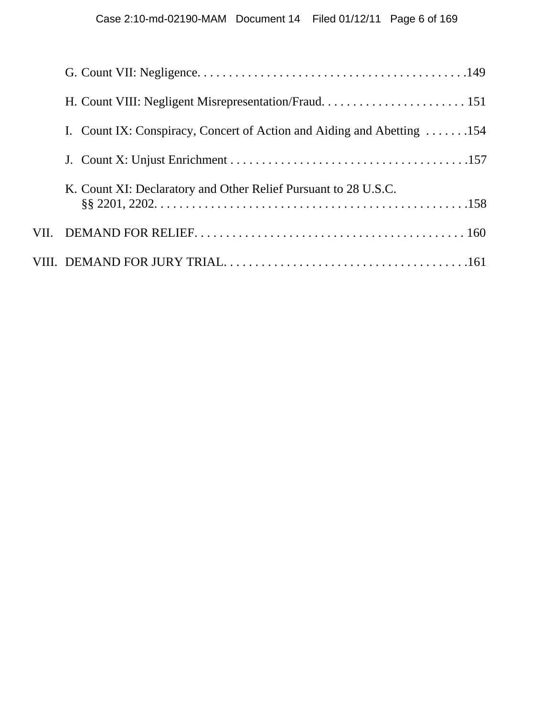| I. Count IX: Conspiracy, Concert of Action and Aiding and Abetting 154 |
|------------------------------------------------------------------------|
|                                                                        |
| K. Count XI: Declaratory and Other Relief Pursuant to 28 U.S.C.        |
|                                                                        |
|                                                                        |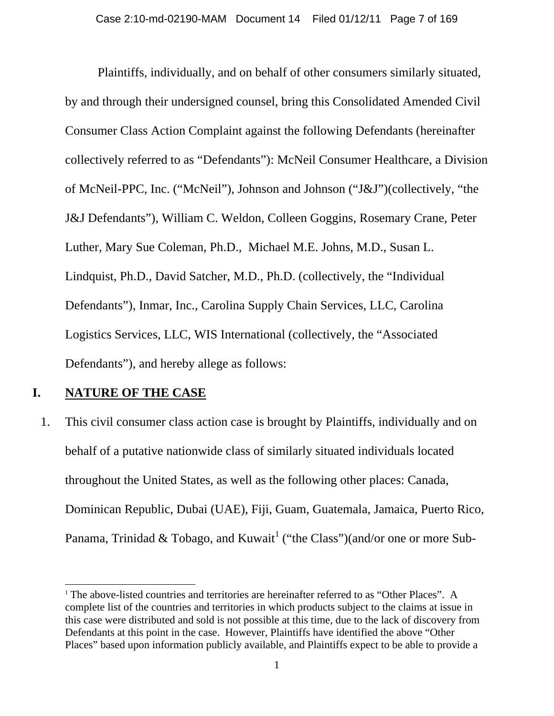Plaintiffs, individually, and on behalf of other consumers similarly situated, by and through their undersigned counsel, bring this Consolidated Amended Civil Consumer Class Action Complaint against the following Defendants (hereinafter collectively referred to as "Defendants"): McNeil Consumer Healthcare, a Division of McNeil-PPC, Inc. ("McNeil"), Johnson and Johnson ("J&J")(collectively, "the J&J Defendants"), William C. Weldon, Colleen Goggins, Rosemary Crane, Peter Luther, Mary Sue Coleman, Ph.D., Michael M.E. Johns, M.D., Susan L. Lindquist, Ph.D., David Satcher, M.D., Ph.D. (collectively, the "Individual Defendants"), Inmar, Inc., Carolina Supply Chain Services, LLC, Carolina Logistics Services, LLC, WIS International (collectively, the "Associated Defendants"), and hereby allege as follows:

#### **I. NATURE OF THE CASE**

l

1. This civil consumer class action case is brought by Plaintiffs, individually and on behalf of a putative nationwide class of similarly situated individuals located throughout the United States, as well as the following other places: Canada, Dominican Republic, Dubai (UAE), Fiji, Guam, Guatemala, Jamaica, Puerto Rico, Panama, Trinidad & Tobago, and Kuwait<sup>1</sup> ("the Class")(and/or one or more Sub-

<sup>&</sup>lt;sup>1</sup> The above-listed countries and territories are hereinafter referred to as "Other Places". A complete list of the countries and territories in which products subject to the claims at issue in this case were distributed and sold is not possible at this time, due to the lack of discovery from Defendants at this point in the case. However, Plaintiffs have identified the above "Other Places" based upon information publicly available, and Plaintiffs expect to be able to provide a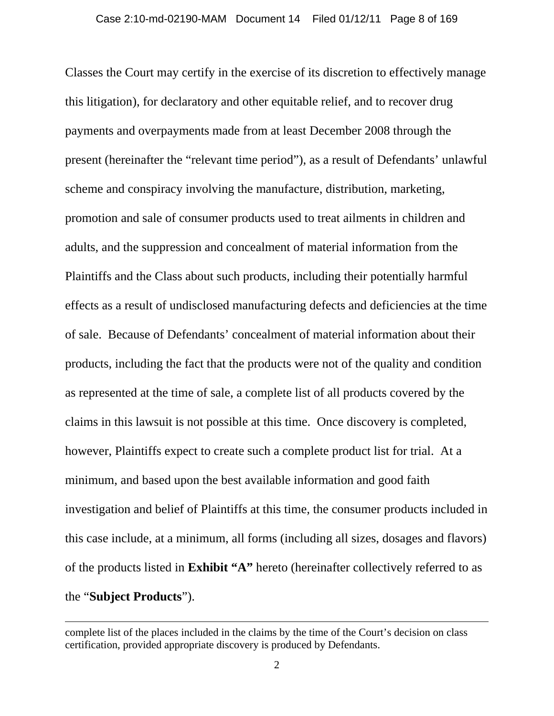Classes the Court may certify in the exercise of its discretion to effectively manage this litigation), for declaratory and other equitable relief, and to recover drug payments and overpayments made from at least December 2008 through the present (hereinafter the "relevant time period"), as a result of Defendants' unlawful scheme and conspiracy involving the manufacture, distribution, marketing, promotion and sale of consumer products used to treat ailments in children and adults, and the suppression and concealment of material information from the Plaintiffs and the Class about such products, including their potentially harmful effects as a result of undisclosed manufacturing defects and deficiencies at the time of sale. Because of Defendants' concealment of material information about their products, including the fact that the products were not of the quality and condition as represented at the time of sale, a complete list of all products covered by the claims in this lawsuit is not possible at this time. Once discovery is completed, however, Plaintiffs expect to create such a complete product list for trial. At a minimum, and based upon the best available information and good faith investigation and belief of Plaintiffs at this time, the consumer products included in this case include, at a minimum, all forms (including all sizes, dosages and flavors) of the products listed in **Exhibit "A"** hereto (hereinafter collectively referred to as the "**Subject Products**").

 $\overline{\phantom{a}}$ 

complete list of the places included in the claims by the time of the Court's decision on class certification, provided appropriate discovery is produced by Defendants.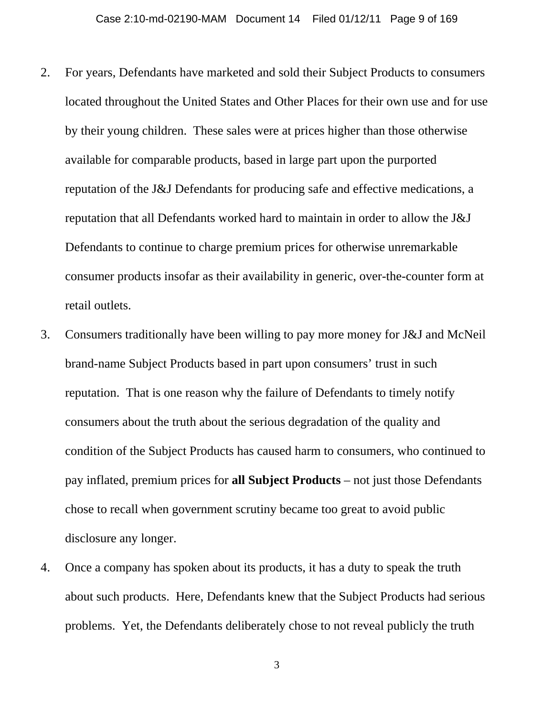- 2. For years, Defendants have marketed and sold their Subject Products to consumers located throughout the United States and Other Places for their own use and for use by their young children. These sales were at prices higher than those otherwise available for comparable products, based in large part upon the purported reputation of the J&J Defendants for producing safe and effective medications, a reputation that all Defendants worked hard to maintain in order to allow the J&J Defendants to continue to charge premium prices for otherwise unremarkable consumer products insofar as their availability in generic, over-the-counter form at retail outlets.
- 3. Consumers traditionally have been willing to pay more money for J&J and McNeil brand-name Subject Products based in part upon consumers' trust in such reputation. That is one reason why the failure of Defendants to timely notify consumers about the truth about the serious degradation of the quality and condition of the Subject Products has caused harm to consumers, who continued to pay inflated, premium prices for **all Subject Products** – not just those Defendants chose to recall when government scrutiny became too great to avoid public disclosure any longer.
- 4. Once a company has spoken about its products, it has a duty to speak the truth about such products. Here, Defendants knew that the Subject Products had serious problems. Yet, the Defendants deliberately chose to not reveal publicly the truth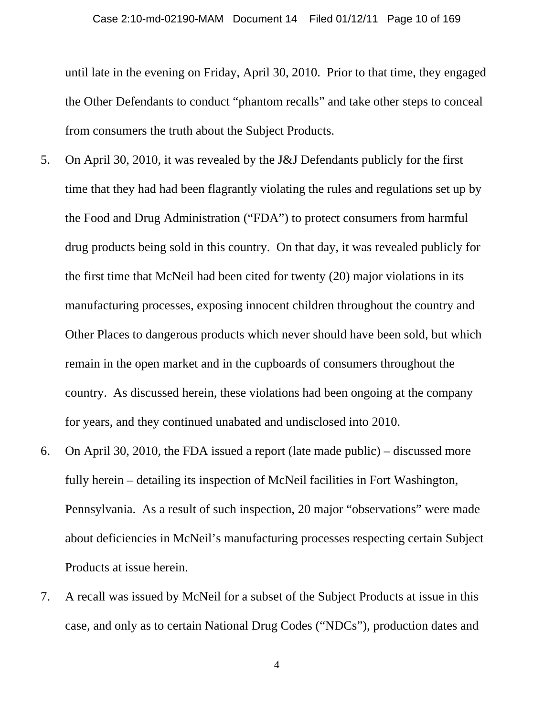until late in the evening on Friday, April 30, 2010. Prior to that time, they engaged the Other Defendants to conduct "phantom recalls" and take other steps to conceal from consumers the truth about the Subject Products.

- 5. On April 30, 2010, it was revealed by the J&J Defendants publicly for the first time that they had had been flagrantly violating the rules and regulations set up by the Food and Drug Administration ("FDA") to protect consumers from harmful drug products being sold in this country. On that day, it was revealed publicly for the first time that McNeil had been cited for twenty (20) major violations in its manufacturing processes, exposing innocent children throughout the country and Other Places to dangerous products which never should have been sold, but which remain in the open market and in the cupboards of consumers throughout the country. As discussed herein, these violations had been ongoing at the company for years, and they continued unabated and undisclosed into 2010.
- 6. On April 30, 2010, the FDA issued a report (late made public) discussed more fully herein – detailing its inspection of McNeil facilities in Fort Washington, Pennsylvania. As a result of such inspection, 20 major "observations" were made about deficiencies in McNeil's manufacturing processes respecting certain Subject Products at issue herein.
- 7. A recall was issued by McNeil for a subset of the Subject Products at issue in this case, and only as to certain National Drug Codes ("NDCs"), production dates and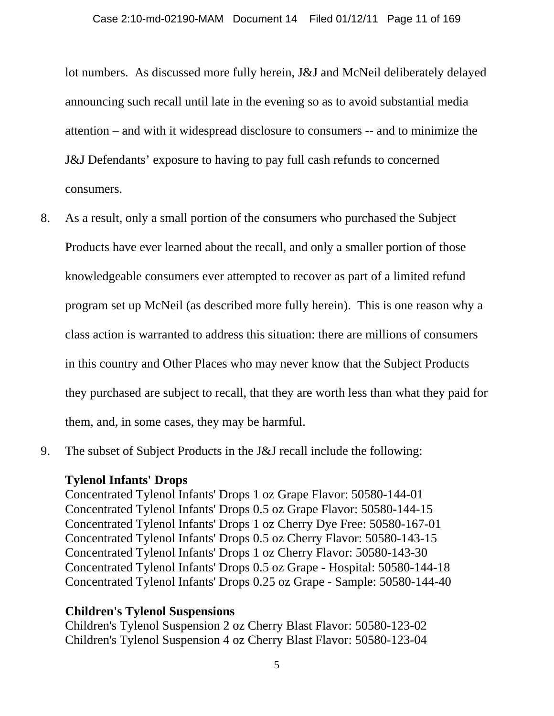lot numbers. As discussed more fully herein, J&J and McNeil deliberately delayed announcing such recall until late in the evening so as to avoid substantial media attention – and with it widespread disclosure to consumers -- and to minimize the J&J Defendants' exposure to having to pay full cash refunds to concerned consumers.

- 8. As a result, only a small portion of the consumers who purchased the Subject Products have ever learned about the recall, and only a smaller portion of those knowledgeable consumers ever attempted to recover as part of a limited refund program set up McNeil (as described more fully herein). This is one reason why a class action is warranted to address this situation: there are millions of consumers in this country and Other Places who may never know that the Subject Products they purchased are subject to recall, that they are worth less than what they paid for them, and, in some cases, they may be harmful.
- 9. The subset of Subject Products in the J&J recall include the following:

#### **Tylenol Infants' Drops**

Concentrated Tylenol Infants' Drops 1 oz Grape Flavor: 50580-144-01 Concentrated Tylenol Infants' Drops 0.5 oz Grape Flavor: 50580-144-15 Concentrated Tylenol Infants' Drops 1 oz Cherry Dye Free: 50580-167-01 Concentrated Tylenol Infants' Drops 0.5 oz Cherry Flavor: 50580-143-15 Concentrated Tylenol Infants' Drops 1 oz Cherry Flavor: 50580-143-30 Concentrated Tylenol Infants' Drops 0.5 oz Grape - Hospital: 50580-144-18 Concentrated Tylenol Infants' Drops 0.25 oz Grape - Sample: 50580-144-40

#### **Children's Tylenol Suspensions**

Children's Tylenol Suspension 2 oz Cherry Blast Flavor: 50580-123-02 Children's Tylenol Suspension 4 oz Cherry Blast Flavor: 50580-123-04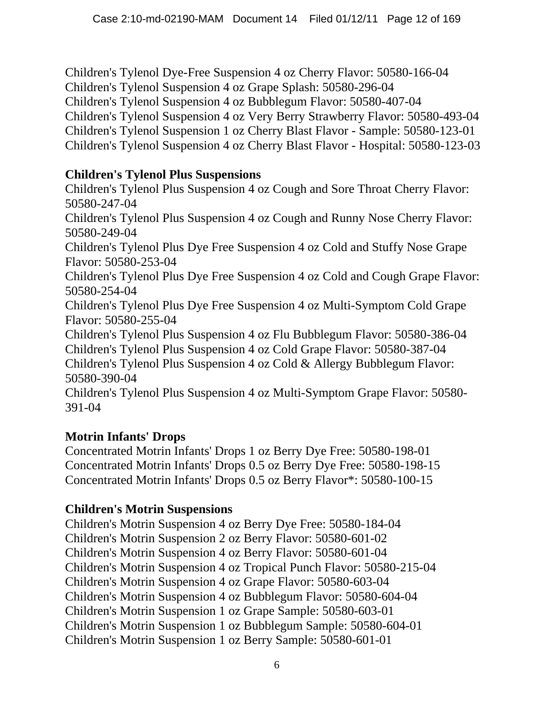Children's Tylenol Dye-Free Suspension 4 oz Cherry Flavor: 50580-166-04 Children's Tylenol Suspension 4 oz Grape Splash: 50580-296-04 Children's Tylenol Suspension 4 oz Bubblegum Flavor: 50580-407-04 Children's Tylenol Suspension 4 oz Very Berry Strawberry Flavor: 50580-493-04 Children's Tylenol Suspension 1 oz Cherry Blast Flavor - Sample: 50580-123-01 Children's Tylenol Suspension 4 oz Cherry Blast Flavor - Hospital: 50580-123-03

### **Children's Tylenol Plus Suspensions**

Children's Tylenol Plus Suspension 4 oz Cough and Sore Throat Cherry Flavor: 50580-247-04 Children's Tylenol Plus Suspension 4 oz Cough and Runny Nose Cherry Flavor: 50580-249-04 Children's Tylenol Plus Dye Free Suspension 4 oz Cold and Stuffy Nose Grape Flavor: 50580-253-04 Children's Tylenol Plus Dye Free Suspension 4 oz Cold and Cough Grape Flavor: 50580-254-04 Children's Tylenol Plus Dye Free Suspension 4 oz Multi-Symptom Cold Grape Flavor: 50580-255-04 Children's Tylenol Plus Suspension 4 oz Flu Bubblegum Flavor: 50580-386-04 Children's Tylenol Plus Suspension 4 oz Cold Grape Flavor: 50580-387-04 Children's Tylenol Plus Suspension 4 oz Cold & Allergy Bubblegum Flavor: 50580-390-04 Children's Tylenol Plus Suspension 4 oz Multi-Symptom Grape Flavor: 50580- 391-04

# **Motrin Infants' Drops**

Concentrated Motrin Infants' Drops 1 oz Berry Dye Free: 50580-198-01 Concentrated Motrin Infants' Drops 0.5 oz Berry Dye Free: 50580-198-15 Concentrated Motrin Infants' Drops 0.5 oz Berry Flavor\*: 50580-100-15

# **Children's Motrin Suspensions**

Children's Motrin Suspension 4 oz Berry Dye Free: 50580-184-04 Children's Motrin Suspension 2 oz Berry Flavor: 50580-601-02 Children's Motrin Suspension 4 oz Berry Flavor: 50580-601-04 Children's Motrin Suspension 4 oz Tropical Punch Flavor: 50580-215-04 Children's Motrin Suspension 4 oz Grape Flavor: 50580-603-04 Children's Motrin Suspension 4 oz Bubblegum Flavor: 50580-604-04 Children's Motrin Suspension 1 oz Grape Sample: 50580-603-01 Children's Motrin Suspension 1 oz Bubblegum Sample: 50580-604-01 Children's Motrin Suspension 1 oz Berry Sample: 50580-601-01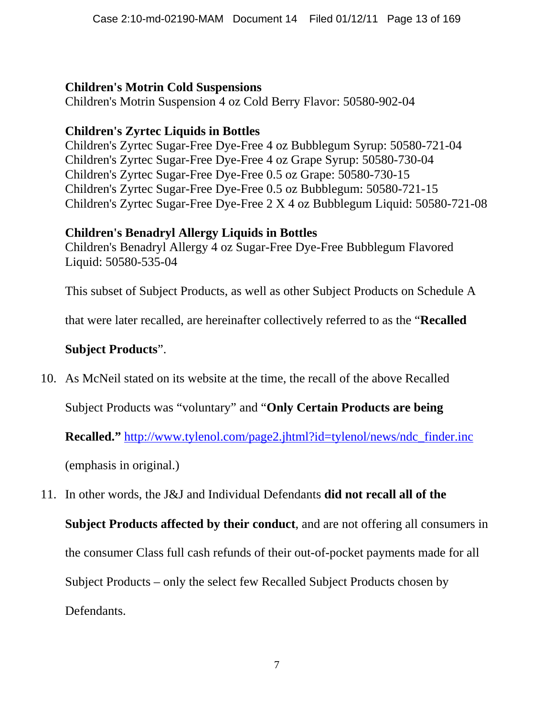### **Children's Motrin Cold Suspensions**

Children's Motrin Suspension 4 oz Cold Berry Flavor: 50580-902-04

# **Children's Zyrtec Liquids in Bottles**

Children's Zyrtec Sugar-Free Dye-Free 4 oz Bubblegum Syrup: 50580-721-04 Children's Zyrtec Sugar-Free Dye-Free 4 oz Grape Syrup: 50580-730-04 Children's Zyrtec Sugar-Free Dye-Free 0.5 oz Grape: 50580-730-15 Children's Zyrtec Sugar-Free Dye-Free 0.5 oz Bubblegum: 50580-721-15 Children's Zyrtec Sugar-Free Dye-Free 2 X 4 oz Bubblegum Liquid: 50580-721-08

### **Children's Benadryl Allergy Liquids in Bottles**

Children's Benadryl Allergy 4 oz Sugar-Free Dye-Free Bubblegum Flavored Liquid: 50580-535-04

This subset of Subject Products, as well as other Subject Products on Schedule A

that were later recalled, are hereinafter collectively referred to as the "**Recalled** 

# **Subject Products**".

10. As McNeil stated on its website at the time, the recall of the above Recalled

Subject Products was "voluntary" and "**Only Certain Products are being** 

**Recalled."** http://www.tylenol.com/page2.jhtml?id=tylenol/news/ndc\_finder.inc

(emphasis in original.)

11. In other words, the J&J and Individual Defendants **did not recall all of the** 

**Subject Products affected by their conduct**, and are not offering all consumers in the consumer Class full cash refunds of their out-of-pocket payments made for all Subject Products – only the select few Recalled Subject Products chosen by Defendants.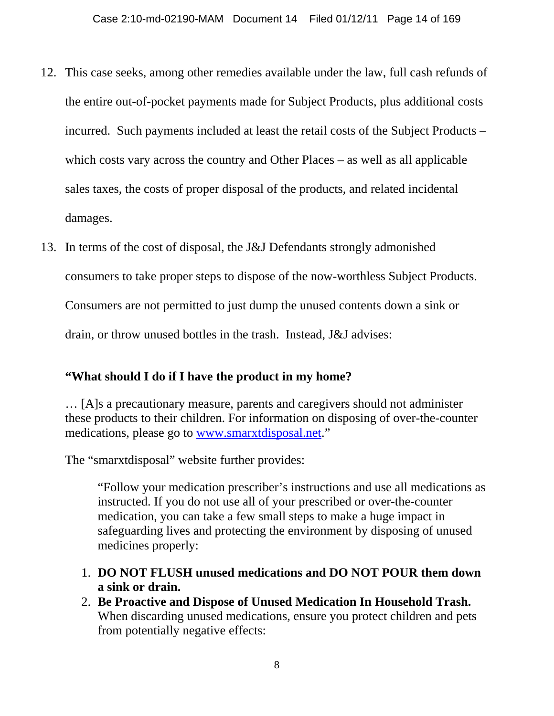- 12. This case seeks, among other remedies available under the law, full cash refunds of the entire out-of-pocket payments made for Subject Products, plus additional costs incurred. Such payments included at least the retail costs of the Subject Products – which costs vary across the country and Other Places – as well as all applicable sales taxes, the costs of proper disposal of the products, and related incidental damages.
- 13. In terms of the cost of disposal, the J&J Defendants strongly admonished consumers to take proper steps to dispose of the now-worthless Subject Products. Consumers are not permitted to just dump the unused contents down a sink or drain, or throw unused bottles in the trash. Instead, J&J advises:

### **"What should I do if I have the product in my home?**

… [A]s a precautionary measure, parents and caregivers should not administer these products to their children. For information on disposing of over-the-counter medications, please go to www.smarxtdisposal.net."

The "smarxtdisposal" website further provides:

"Follow your medication prescriber's instructions and use all medications as instructed. If you do not use all of your prescribed or over-the-counter medication, you can take a few small steps to make a huge impact in safeguarding lives and protecting the environment by disposing of unused medicines properly:

- 1. **DO NOT FLUSH unused medications and DO NOT POUR them down a sink or drain.**
- 2. **Be Proactive and Dispose of Unused Medication In Household Trash.**  When discarding unused medications, ensure you protect children and pets from potentially negative effects: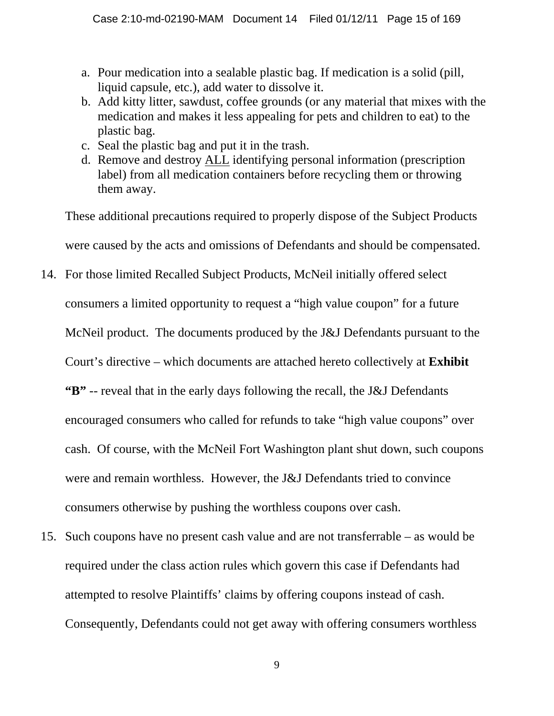- a. Pour medication into a sealable plastic bag. If medication is a solid (pill, liquid capsule, etc.), add water to dissolve it.
- b. Add kitty litter, sawdust, coffee grounds (or any material that mixes with the medication and makes it less appealing for pets and children to eat) to the plastic bag.
- c. Seal the plastic bag and put it in the trash.
- d. Remove and destroy ALL identifying personal information (prescription label) from all medication containers before recycling them or throwing them away.

These additional precautions required to properly dispose of the Subject Products were caused by the acts and omissions of Defendants and should be compensated.

- 14. For those limited Recalled Subject Products, McNeil initially offered select consumers a limited opportunity to request a "high value coupon" for a future McNeil product. The documents produced by the J&J Defendants pursuant to the Court's directive – which documents are attached hereto collectively at **Exhibit "B"** -- reveal that in the early days following the recall, the J&J Defendants encouraged consumers who called for refunds to take "high value coupons" over cash. Of course, with the McNeil Fort Washington plant shut down, such coupons were and remain worthless. However, the J&J Defendants tried to convince consumers otherwise by pushing the worthless coupons over cash.
- 15. Such coupons have no present cash value and are not transferrable as would be required under the class action rules which govern this case if Defendants had attempted to resolve Plaintiffs' claims by offering coupons instead of cash. Consequently, Defendants could not get away with offering consumers worthless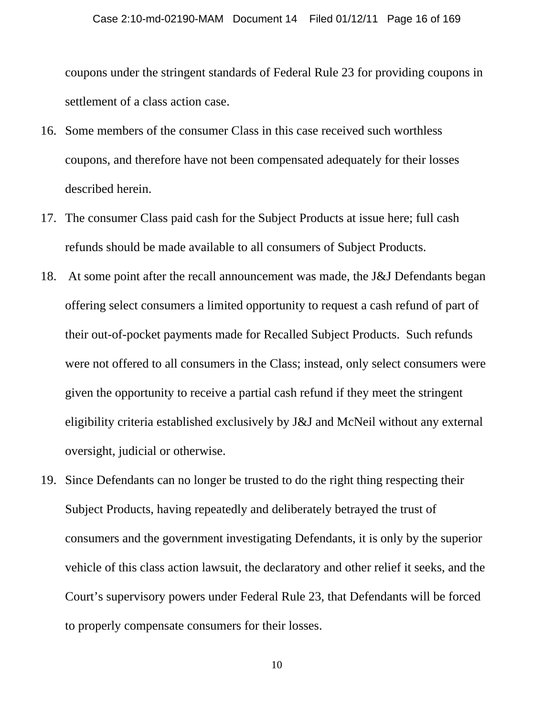coupons under the stringent standards of Federal Rule 23 for providing coupons in settlement of a class action case.

- 16. Some members of the consumer Class in this case received such worthless coupons, and therefore have not been compensated adequately for their losses described herein.
- 17. The consumer Class paid cash for the Subject Products at issue here; full cash refunds should be made available to all consumers of Subject Products.
- 18. At some point after the recall announcement was made, the J&J Defendants began offering select consumers a limited opportunity to request a cash refund of part of their out-of-pocket payments made for Recalled Subject Products. Such refunds were not offered to all consumers in the Class; instead, only select consumers were given the opportunity to receive a partial cash refund if they meet the stringent eligibility criteria established exclusively by J&J and McNeil without any external oversight, judicial or otherwise.
- 19. Since Defendants can no longer be trusted to do the right thing respecting their Subject Products, having repeatedly and deliberately betrayed the trust of consumers and the government investigating Defendants, it is only by the superior vehicle of this class action lawsuit, the declaratory and other relief it seeks, and the Court's supervisory powers under Federal Rule 23, that Defendants will be forced to properly compensate consumers for their losses.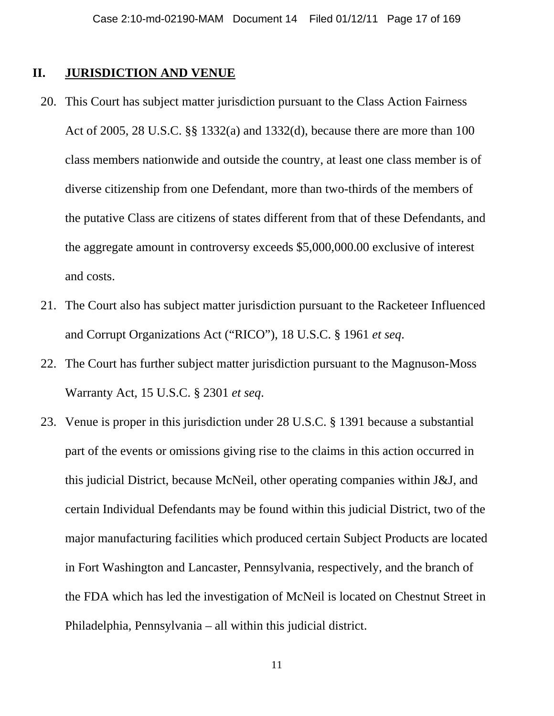#### **II. JURISDICTION AND VENUE**

- 20. This Court has subject matter jurisdiction pursuant to the Class Action Fairness Act of 2005, 28 U.S.C. §§ 1332(a) and 1332(d), because there are more than 100 class members nationwide and outside the country, at least one class member is of diverse citizenship from one Defendant, more than two-thirds of the members of the putative Class are citizens of states different from that of these Defendants, and the aggregate amount in controversy exceeds \$5,000,000.00 exclusive of interest and costs.
- 21. The Court also has subject matter jurisdiction pursuant to the Racketeer Influenced and Corrupt Organizations Act ("RICO"), 18 U.S.C. § 1961 *et seq*.
- 22. The Court has further subject matter jurisdiction pursuant to the Magnuson-Moss Warranty Act, 15 U.S.C. § 2301 *et seq*.
- 23. Venue is proper in this jurisdiction under 28 U.S.C. § 1391 because a substantial part of the events or omissions giving rise to the claims in this action occurred in this judicial District, because McNeil, other operating companies within J&J, and certain Individual Defendants may be found within this judicial District, two of the major manufacturing facilities which produced certain Subject Products are located in Fort Washington and Lancaster, Pennsylvania, respectively, and the branch of the FDA which has led the investigation of McNeil is located on Chestnut Street in Philadelphia, Pennsylvania – all within this judicial district.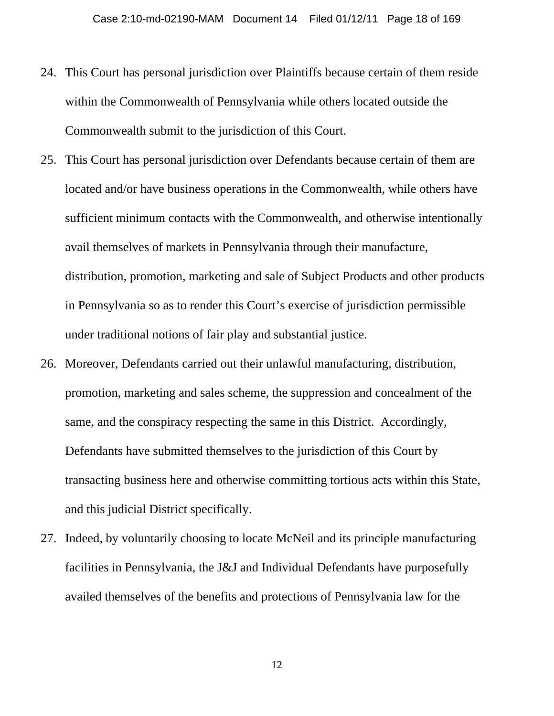- 24. This Court has personal jurisdiction over Plaintiffs because certain of them reside within the Commonwealth of Pennsylvania while others located outside the Commonwealth submit to the jurisdiction of this Court.
- 25. This Court has personal jurisdiction over Defendants because certain of them are located and/or have business operations in the Commonwealth, while others have sufficient minimum contacts with the Commonwealth, and otherwise intentionally avail themselves of markets in Pennsylvania through their manufacture, distribution, promotion, marketing and sale of Subject Products and other products in Pennsylvania so as to render this Court's exercise of jurisdiction permissible under traditional notions of fair play and substantial justice.
- 26. Moreover, Defendants carried out their unlawful manufacturing, distribution, promotion, marketing and sales scheme, the suppression and concealment of the same, and the conspiracy respecting the same in this District. Accordingly, Defendants have submitted themselves to the jurisdiction of this Court by transacting business here and otherwise committing tortious acts within this State, and this judicial District specifically.
- 27. Indeed, by voluntarily choosing to locate McNeil and its principle manufacturing facilities in Pennsylvania, the J&J and Individual Defendants have purposefully availed themselves of the benefits and protections of Pennsylvania law for the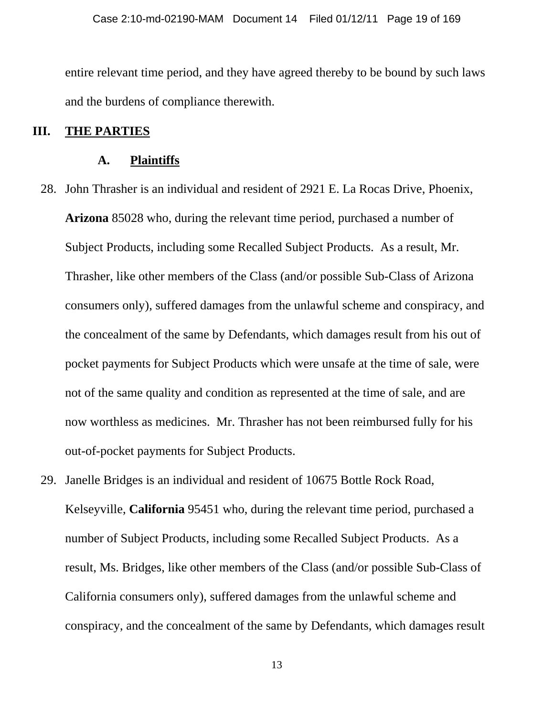entire relevant time period, and they have agreed thereby to be bound by such laws and the burdens of compliance therewith.

#### **III. THE PARTIES**

#### **A. Plaintiffs**

- 28. John Thrasher is an individual and resident of 2921 E. La Rocas Drive, Phoenix, **Arizona** 85028 who, during the relevant time period, purchased a number of Subject Products, including some Recalled Subject Products. As a result, Mr. Thrasher, like other members of the Class (and/or possible Sub-Class of Arizona consumers only), suffered damages from the unlawful scheme and conspiracy, and the concealment of the same by Defendants, which damages result from his out of pocket payments for Subject Products which were unsafe at the time of sale, were not of the same quality and condition as represented at the time of sale, and are now worthless as medicines. Mr. Thrasher has not been reimbursed fully for his out-of-pocket payments for Subject Products.
- 29. Janelle Bridges is an individual and resident of 10675 Bottle Rock Road, Kelseyville, **California** 95451 who, during the relevant time period, purchased a number of Subject Products, including some Recalled Subject Products. As a result, Ms. Bridges, like other members of the Class (and/or possible Sub-Class of California consumers only), suffered damages from the unlawful scheme and conspiracy, and the concealment of the same by Defendants, which damages result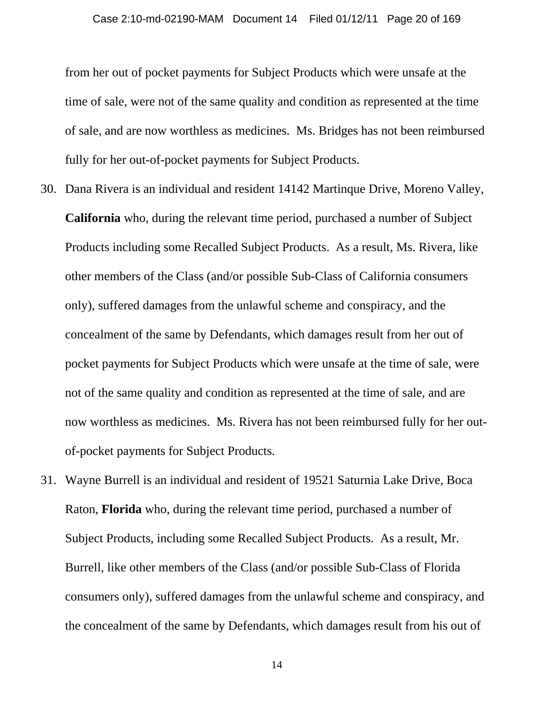from her out of pocket payments for Subject Products which were unsafe at the time of sale, were not of the same quality and condition as represented at the time of sale, and are now worthless as medicines. Ms. Bridges has not been reimbursed fully for her out-of-pocket payments for Subject Products.

- 30. Dana Rivera is an individual and resident 14142 Martinque Drive, Moreno Valley, **California** who, during the relevant time period, purchased a number of Subject Products including some Recalled Subject Products. As a result, Ms. Rivera, like other members of the Class (and/or possible Sub-Class of California consumers only), suffered damages from the unlawful scheme and conspiracy, and the concealment of the same by Defendants, which damages result from her out of pocket payments for Subject Products which were unsafe at the time of sale, were not of the same quality and condition as represented at the time of sale, and are now worthless as medicines. Ms. Rivera has not been reimbursed fully for her outof-pocket payments for Subject Products.
- 31. Wayne Burrell is an individual and resident of 19521 Saturnia Lake Drive, Boca Raton, **Florida** who, during the relevant time period, purchased a number of Subject Products, including some Recalled Subject Products. As a result, Mr. Burrell, like other members of the Class (and/or possible Sub-Class of Florida consumers only), suffered damages from the unlawful scheme and conspiracy, and the concealment of the same by Defendants, which damages result from his out of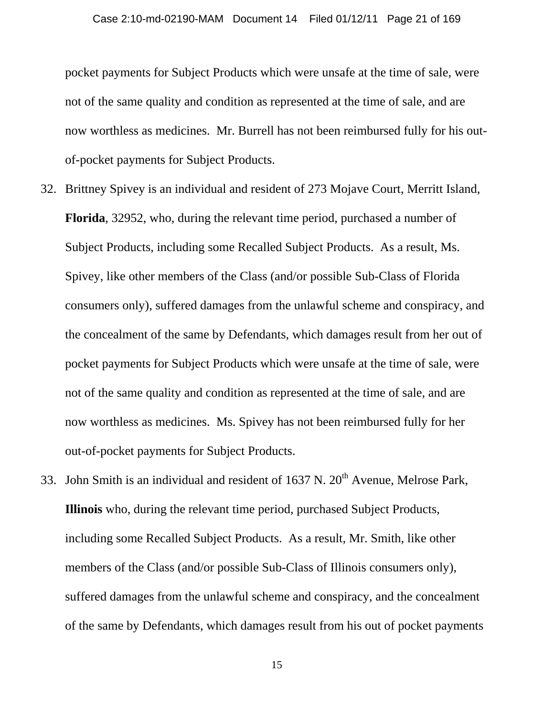pocket payments for Subject Products which were unsafe at the time of sale, were not of the same quality and condition as represented at the time of sale, and are now worthless as medicines. Mr. Burrell has not been reimbursed fully for his outof-pocket payments for Subject Products.

- 32. Brittney Spivey is an individual and resident of 273 Mojave Court, Merritt Island, **Florida**, 32952, who, during the relevant time period, purchased a number of Subject Products, including some Recalled Subject Products. As a result, Ms. Spivey, like other members of the Class (and/or possible Sub-Class of Florida consumers only), suffered damages from the unlawful scheme and conspiracy, and the concealment of the same by Defendants, which damages result from her out of pocket payments for Subject Products which were unsafe at the time of sale, were not of the same quality and condition as represented at the time of sale, and are now worthless as medicines. Ms. Spivey has not been reimbursed fully for her out-of-pocket payments for Subject Products.
- 33. John Smith is an individual and resident of  $1637$  N.  $20<sup>th</sup>$  Avenue, Melrose Park, **Illinois** who, during the relevant time period, purchased Subject Products, including some Recalled Subject Products. As a result, Mr. Smith, like other members of the Class (and/or possible Sub-Class of Illinois consumers only), suffered damages from the unlawful scheme and conspiracy, and the concealment of the same by Defendants, which damages result from his out of pocket payments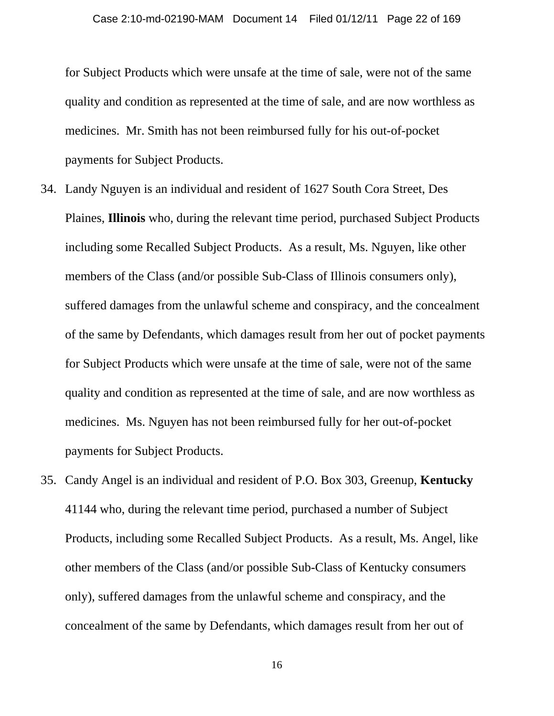for Subject Products which were unsafe at the time of sale, were not of the same quality and condition as represented at the time of sale, and are now worthless as medicines. Mr. Smith has not been reimbursed fully for his out-of-pocket payments for Subject Products.

- 34. Landy Nguyen is an individual and resident of 1627 South Cora Street, Des Plaines, **Illinois** who, during the relevant time period, purchased Subject Products including some Recalled Subject Products. As a result, Ms. Nguyen, like other members of the Class (and/or possible Sub-Class of Illinois consumers only), suffered damages from the unlawful scheme and conspiracy, and the concealment of the same by Defendants, which damages result from her out of pocket payments for Subject Products which were unsafe at the time of sale, were not of the same quality and condition as represented at the time of sale, and are now worthless as medicines. Ms. Nguyen has not been reimbursed fully for her out-of-pocket payments for Subject Products.
- 35. Candy Angel is an individual and resident of P.O. Box 303, Greenup, **Kentucky**  41144 who, during the relevant time period, purchased a number of Subject Products, including some Recalled Subject Products. As a result, Ms. Angel, like other members of the Class (and/or possible Sub-Class of Kentucky consumers only), suffered damages from the unlawful scheme and conspiracy, and the concealment of the same by Defendants, which damages result from her out of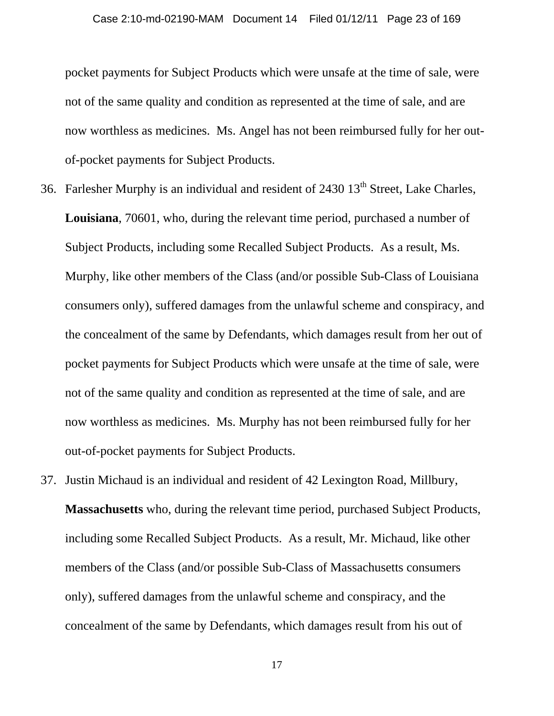pocket payments for Subject Products which were unsafe at the time of sale, were not of the same quality and condition as represented at the time of sale, and are now worthless as medicines. Ms. Angel has not been reimbursed fully for her outof-pocket payments for Subject Products.

- 36. Farlesher Murphy is an individual and resident of 2430 13<sup>th</sup> Street, Lake Charles, **Louisiana**, 70601, who, during the relevant time period, purchased a number of Subject Products, including some Recalled Subject Products. As a result, Ms. Murphy, like other members of the Class (and/or possible Sub-Class of Louisiana consumers only), suffered damages from the unlawful scheme and conspiracy, and the concealment of the same by Defendants, which damages result from her out of pocket payments for Subject Products which were unsafe at the time of sale, were not of the same quality and condition as represented at the time of sale, and are now worthless as medicines. Ms. Murphy has not been reimbursed fully for her out-of-pocket payments for Subject Products.
- 37. Justin Michaud is an individual and resident of 42 Lexington Road, Millbury, **Massachusetts** who, during the relevant time period, purchased Subject Products, including some Recalled Subject Products. As a result, Mr. Michaud, like other members of the Class (and/or possible Sub-Class of Massachusetts consumers only), suffered damages from the unlawful scheme and conspiracy, and the concealment of the same by Defendants, which damages result from his out of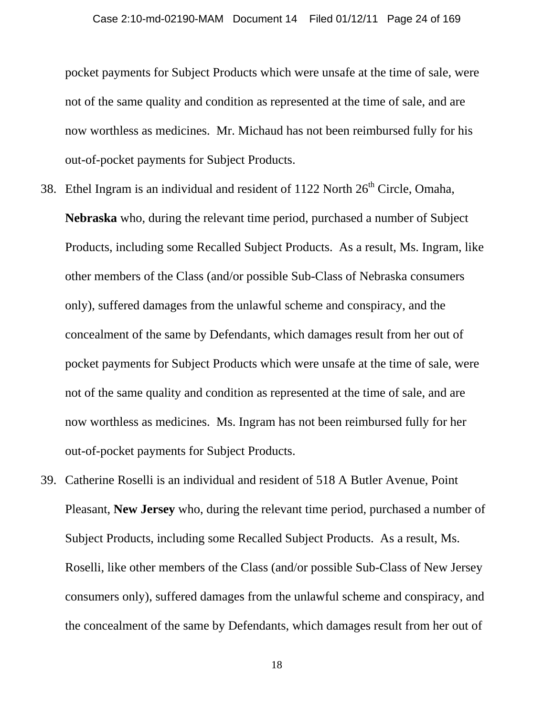pocket payments for Subject Products which were unsafe at the time of sale, were not of the same quality and condition as represented at the time of sale, and are now worthless as medicines. Mr. Michaud has not been reimbursed fully for his out-of-pocket payments for Subject Products.

- 38. Ethel Ingram is an individual and resident of  $1122$  North  $26<sup>th</sup>$  Circle, Omaha, **Nebraska** who, during the relevant time period, purchased a number of Subject Products, including some Recalled Subject Products. As a result, Ms. Ingram, like other members of the Class (and/or possible Sub-Class of Nebraska consumers only), suffered damages from the unlawful scheme and conspiracy, and the concealment of the same by Defendants, which damages result from her out of pocket payments for Subject Products which were unsafe at the time of sale, were not of the same quality and condition as represented at the time of sale, and are now worthless as medicines. Ms. Ingram has not been reimbursed fully for her out-of-pocket payments for Subject Products.
- 39. Catherine Roselli is an individual and resident of 518 A Butler Avenue, Point Pleasant, **New Jersey** who, during the relevant time period, purchased a number of Subject Products, including some Recalled Subject Products. As a result, Ms. Roselli, like other members of the Class (and/or possible Sub-Class of New Jersey consumers only), suffered damages from the unlawful scheme and conspiracy, and the concealment of the same by Defendants, which damages result from her out of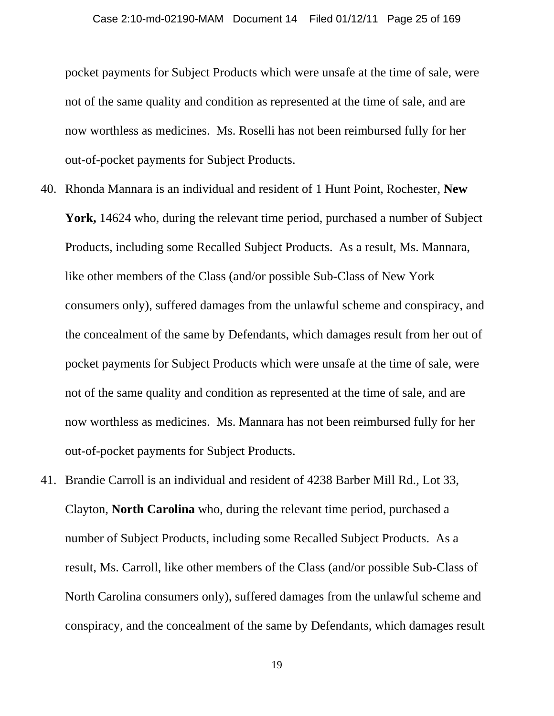pocket payments for Subject Products which were unsafe at the time of sale, were not of the same quality and condition as represented at the time of sale, and are now worthless as medicines. Ms. Roselli has not been reimbursed fully for her out-of-pocket payments for Subject Products.

- 40. Rhonda Mannara is an individual and resident of 1 Hunt Point, Rochester, **New York,** 14624 who, during the relevant time period, purchased a number of Subject Products, including some Recalled Subject Products. As a result, Ms. Mannara, like other members of the Class (and/or possible Sub-Class of New York consumers only), suffered damages from the unlawful scheme and conspiracy, and the concealment of the same by Defendants, which damages result from her out of pocket payments for Subject Products which were unsafe at the time of sale, were not of the same quality and condition as represented at the time of sale, and are now worthless as medicines. Ms. Mannara has not been reimbursed fully for her out-of-pocket payments for Subject Products.
- 41. Brandie Carroll is an individual and resident of 4238 Barber Mill Rd., Lot 33, Clayton, **North Carolina** who, during the relevant time period, purchased a number of Subject Products, including some Recalled Subject Products. As a result, Ms. Carroll, like other members of the Class (and/or possible Sub-Class of North Carolina consumers only), suffered damages from the unlawful scheme and conspiracy, and the concealment of the same by Defendants, which damages result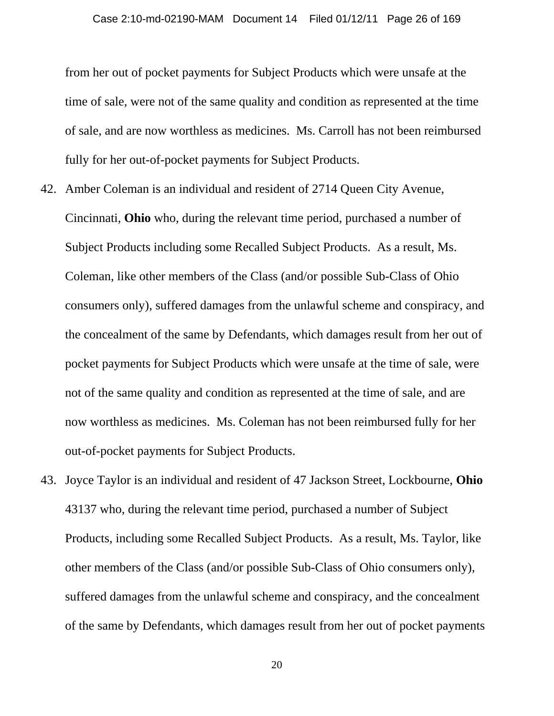from her out of pocket payments for Subject Products which were unsafe at the time of sale, were not of the same quality and condition as represented at the time of sale, and are now worthless as medicines. Ms. Carroll has not been reimbursed fully for her out-of-pocket payments for Subject Products.

- 42. Amber Coleman is an individual and resident of 2714 Queen City Avenue, Cincinnati, **Ohio** who, during the relevant time period, purchased a number of Subject Products including some Recalled Subject Products. As a result, Ms. Coleman, like other members of the Class (and/or possible Sub-Class of Ohio consumers only), suffered damages from the unlawful scheme and conspiracy, and the concealment of the same by Defendants, which damages result from her out of pocket payments for Subject Products which were unsafe at the time of sale, were not of the same quality and condition as represented at the time of sale, and are now worthless as medicines. Ms. Coleman has not been reimbursed fully for her out-of-pocket payments for Subject Products.
- 43. Joyce Taylor is an individual and resident of 47 Jackson Street, Lockbourne, **Ohio** 43137 who, during the relevant time period, purchased a number of Subject Products, including some Recalled Subject Products. As a result, Ms. Taylor, like other members of the Class (and/or possible Sub-Class of Ohio consumers only), suffered damages from the unlawful scheme and conspiracy, and the concealment of the same by Defendants, which damages result from her out of pocket payments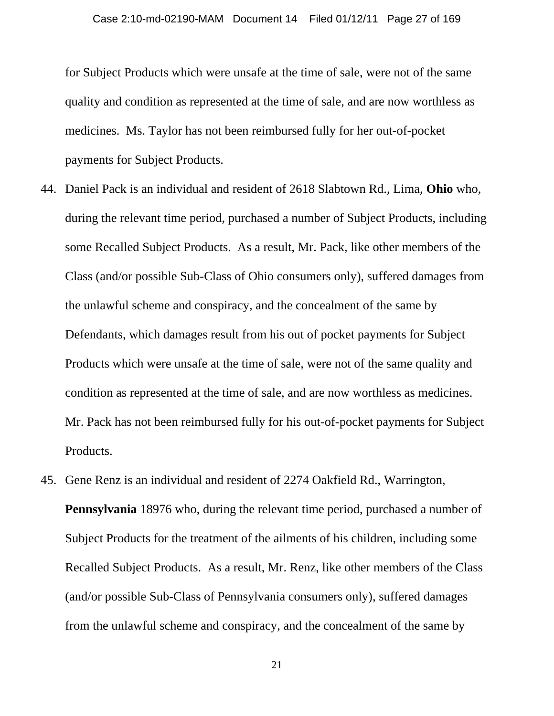for Subject Products which were unsafe at the time of sale, were not of the same quality and condition as represented at the time of sale, and are now worthless as medicines. Ms. Taylor has not been reimbursed fully for her out-of-pocket payments for Subject Products.

- 44. Daniel Pack is an individual and resident of 2618 Slabtown Rd., Lima, **Ohio** who, during the relevant time period, purchased a number of Subject Products, including some Recalled Subject Products. As a result, Mr. Pack, like other members of the Class (and/or possible Sub-Class of Ohio consumers only), suffered damages from the unlawful scheme and conspiracy, and the concealment of the same by Defendants, which damages result from his out of pocket payments for Subject Products which were unsafe at the time of sale, were not of the same quality and condition as represented at the time of sale, and are now worthless as medicines. Mr. Pack has not been reimbursed fully for his out-of-pocket payments for Subject Products.
- 45. Gene Renz is an individual and resident of 2274 Oakfield Rd., Warrington, **Pennsylvania** 18976 who, during the relevant time period, purchased a number of Subject Products for the treatment of the ailments of his children, including some Recalled Subject Products. As a result, Mr. Renz, like other members of the Class (and/or possible Sub-Class of Pennsylvania consumers only), suffered damages from the unlawful scheme and conspiracy, and the concealment of the same by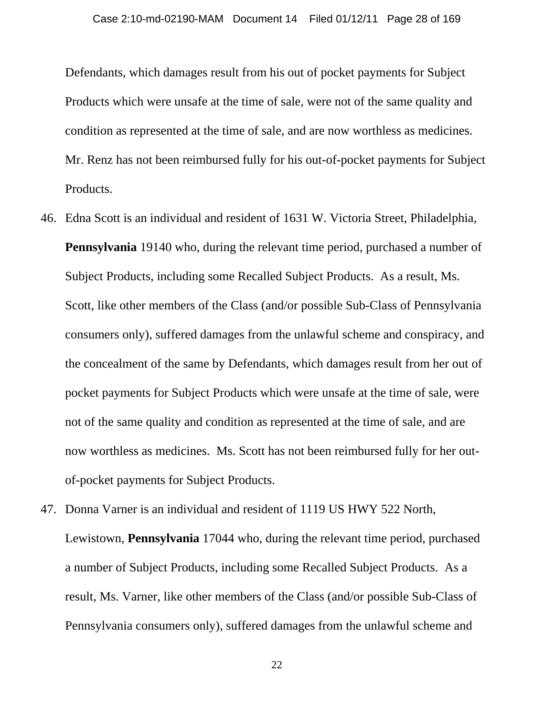Defendants, which damages result from his out of pocket payments for Subject Products which were unsafe at the time of sale, were not of the same quality and condition as represented at the time of sale, and are now worthless as medicines. Mr. Renz has not been reimbursed fully for his out-of-pocket payments for Subject Products.

- 46. Edna Scott is an individual and resident of 1631 W. Victoria Street, Philadelphia, **Pennsylvania** 19140 who, during the relevant time period, purchased a number of Subject Products, including some Recalled Subject Products. As a result, Ms. Scott, like other members of the Class (and/or possible Sub-Class of Pennsylvania consumers only), suffered damages from the unlawful scheme and conspiracy, and the concealment of the same by Defendants, which damages result from her out of pocket payments for Subject Products which were unsafe at the time of sale, were not of the same quality and condition as represented at the time of sale, and are now worthless as medicines. Ms. Scott has not been reimbursed fully for her outof-pocket payments for Subject Products.
- 47. Donna Varner is an individual and resident of 1119 US HWY 522 North, Lewistown, **Pennsylvania** 17044 who, during the relevant time period, purchased a number of Subject Products, including some Recalled Subject Products. As a result, Ms. Varner, like other members of the Class (and/or possible Sub-Class of Pennsylvania consumers only), suffered damages from the unlawful scheme and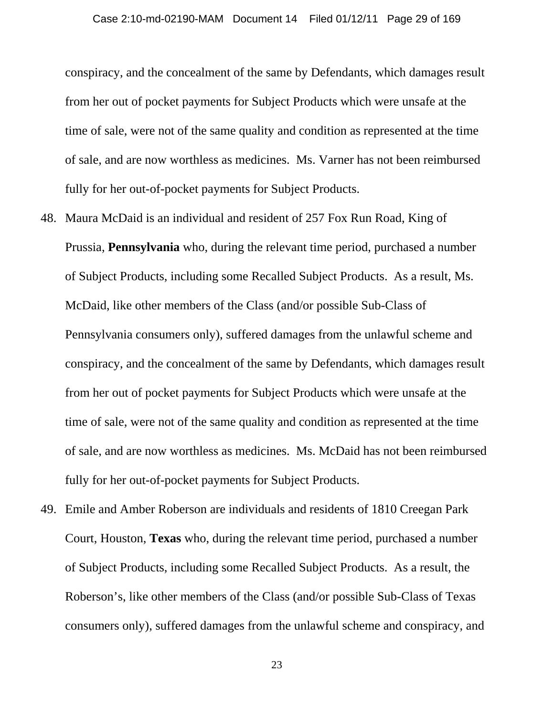conspiracy, and the concealment of the same by Defendants, which damages result from her out of pocket payments for Subject Products which were unsafe at the time of sale, were not of the same quality and condition as represented at the time of sale, and are now worthless as medicines. Ms. Varner has not been reimbursed fully for her out-of-pocket payments for Subject Products.

- 48. Maura McDaid is an individual and resident of 257 Fox Run Road, King of Prussia, **Pennsylvania** who, during the relevant time period, purchased a number of Subject Products, including some Recalled Subject Products. As a result, Ms. McDaid, like other members of the Class (and/or possible Sub-Class of Pennsylvania consumers only), suffered damages from the unlawful scheme and conspiracy, and the concealment of the same by Defendants, which damages result from her out of pocket payments for Subject Products which were unsafe at the time of sale, were not of the same quality and condition as represented at the time of sale, and are now worthless as medicines. Ms. McDaid has not been reimbursed fully for her out-of-pocket payments for Subject Products.
- 49. Emile and Amber Roberson are individuals and residents of 1810 Creegan Park Court, Houston, **Texas** who, during the relevant time period, purchased a number of Subject Products, including some Recalled Subject Products. As a result, the Roberson's, like other members of the Class (and/or possible Sub-Class of Texas consumers only), suffered damages from the unlawful scheme and conspiracy, and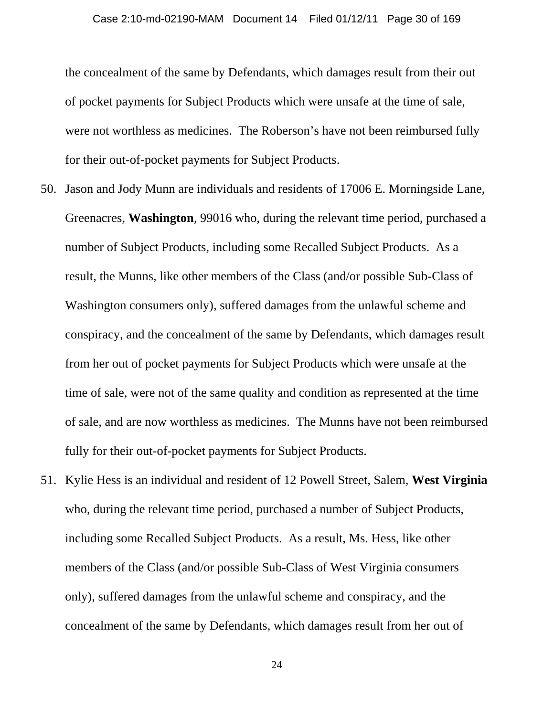the concealment of the same by Defendants, which damages result from their out of pocket payments for Subject Products which were unsafe at the time of sale, were not worthless as medicines. The Roberson's have not been reimbursed fully for their out-of-pocket payments for Subject Products.

- 50. Jason and Jody Munn are individuals and residents of 17006 E. Morningside Lane, Greenacres, **Washington**, 99016 who, during the relevant time period, purchased a number of Subject Products, including some Recalled Subject Products. As a result, the Munns, like other members of the Class (and/or possible Sub-Class of Washington consumers only), suffered damages from the unlawful scheme and conspiracy, and the concealment of the same by Defendants, which damages result from her out of pocket payments for Subject Products which were unsafe at the time of sale, were not of the same quality and condition as represented at the time of sale, and are now worthless as medicines. The Munns have not been reimbursed fully for their out-of-pocket payments for Subject Products.
- 51. Kylie Hess is an individual and resident of 12 Powell Street, Salem, **West Virginia**  who, during the relevant time period, purchased a number of Subject Products, including some Recalled Subject Products. As a result, Ms. Hess, like other members of the Class (and/or possible Sub-Class of West Virginia consumers only), suffered damages from the unlawful scheme and conspiracy, and the concealment of the same by Defendants, which damages result from her out of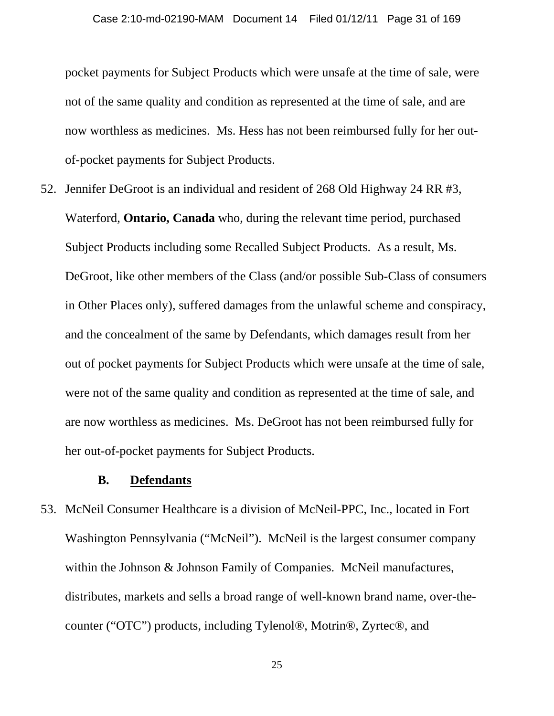pocket payments for Subject Products which were unsafe at the time of sale, were not of the same quality and condition as represented at the time of sale, and are now worthless as medicines. Ms. Hess has not been reimbursed fully for her outof-pocket payments for Subject Products.

52. Jennifer DeGroot is an individual and resident of 268 Old Highway 24 RR #3, Waterford, **Ontario, Canada** who, during the relevant time period, purchased Subject Products including some Recalled Subject Products. As a result, Ms. DeGroot, like other members of the Class (and/or possible Sub-Class of consumers in Other Places only), suffered damages from the unlawful scheme and conspiracy, and the concealment of the same by Defendants, which damages result from her out of pocket payments for Subject Products which were unsafe at the time of sale, were not of the same quality and condition as represented at the time of sale, and are now worthless as medicines. Ms. DeGroot has not been reimbursed fully for her out-of-pocket payments for Subject Products.

#### **B. Defendants**

53. McNeil Consumer Healthcare is a division of McNeil-PPC, Inc., located in Fort Washington Pennsylvania ("McNeil"). McNeil is the largest consumer company within the Johnson & Johnson Family of Companies. McNeil manufactures, distributes, markets and sells a broad range of well-known brand name, over-thecounter ("OTC") products, including Tylenol®, Motrin®, Zyrtec®, and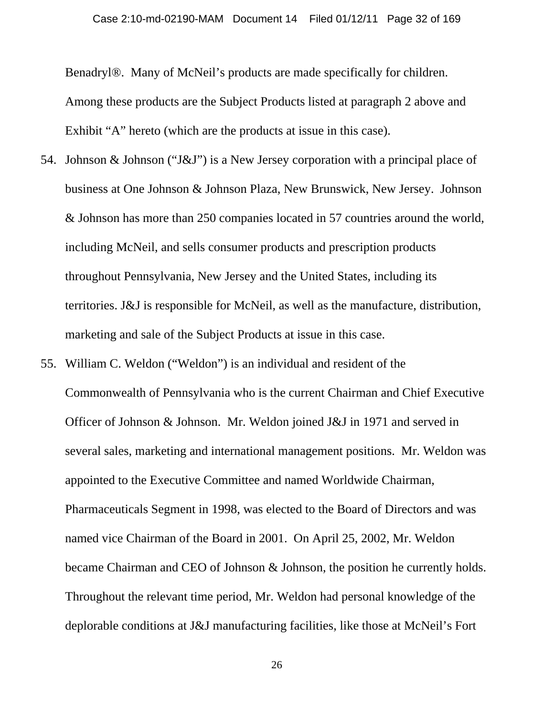Benadryl®. Many of McNeil's products are made specifically for children. Among these products are the Subject Products listed at paragraph 2 above and Exhibit "A" hereto (which are the products at issue in this case).

- 54. Johnson & Johnson ("J&J") is a New Jersey corporation with a principal place of business at One Johnson & Johnson Plaza, New Brunswick, New Jersey. Johnson & Johnson has more than 250 companies located in 57 countries around the world, including McNeil, and sells consumer products and prescription products throughout Pennsylvania, New Jersey and the United States, including its territories. J&J is responsible for McNeil, as well as the manufacture, distribution, marketing and sale of the Subject Products at issue in this case.
- 55. William C. Weldon ("Weldon") is an individual and resident of the Commonwealth of Pennsylvania who is the current Chairman and Chief Executive Officer of Johnson & Johnson. Mr. Weldon joined J&J in 1971 and served in several sales, marketing and international management positions. Mr. Weldon was appointed to the Executive Committee and named Worldwide Chairman, Pharmaceuticals Segment in 1998, was elected to the Board of Directors and was named vice Chairman of the Board in 2001. On April 25, 2002, Mr. Weldon became Chairman and CEO of Johnson & Johnson, the position he currently holds. Throughout the relevant time period, Mr. Weldon had personal knowledge of the deplorable conditions at J&J manufacturing facilities, like those at McNeil's Fort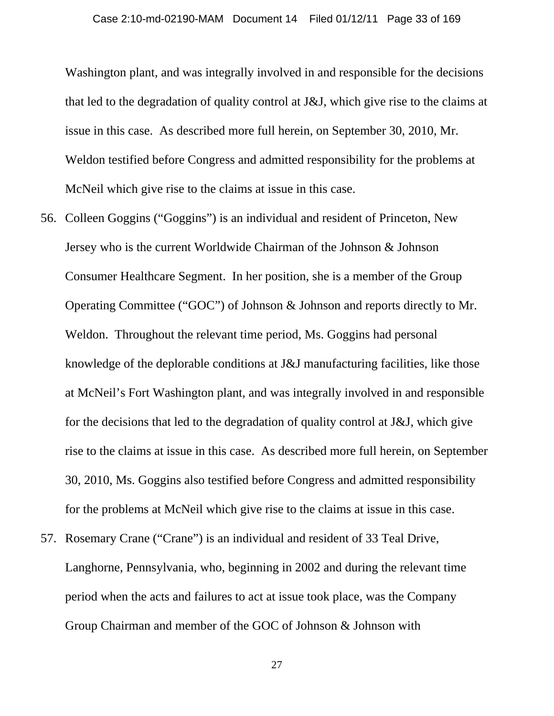Washington plant, and was integrally involved in and responsible for the decisions that led to the degradation of quality control at J&J, which give rise to the claims at issue in this case. As described more full herein, on September 30, 2010, Mr. Weldon testified before Congress and admitted responsibility for the problems at McNeil which give rise to the claims at issue in this case.

- 56. Colleen Goggins ("Goggins") is an individual and resident of Princeton, New Jersey who is the current Worldwide Chairman of the Johnson & Johnson Consumer Healthcare Segment. In her position, she is a member of the Group Operating Committee ("GOC") of Johnson & Johnson and reports directly to Mr. Weldon. Throughout the relevant time period, Ms. Goggins had personal knowledge of the deplorable conditions at J&J manufacturing facilities, like those at McNeil's Fort Washington plant, and was integrally involved in and responsible for the decisions that led to the degradation of quality control at J&J, which give rise to the claims at issue in this case. As described more full herein, on September 30, 2010, Ms. Goggins also testified before Congress and admitted responsibility for the problems at McNeil which give rise to the claims at issue in this case.
- 57. Rosemary Crane ("Crane") is an individual and resident of 33 Teal Drive, Langhorne, Pennsylvania, who, beginning in 2002 and during the relevant time period when the acts and failures to act at issue took place, was the Company Group Chairman and member of the GOC of Johnson & Johnson with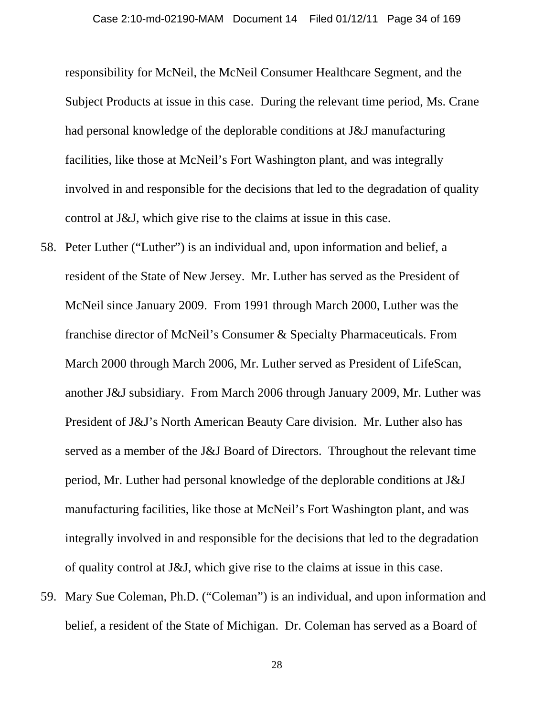responsibility for McNeil, the McNeil Consumer Healthcare Segment, and the Subject Products at issue in this case. During the relevant time period, Ms. Crane had personal knowledge of the deplorable conditions at J&J manufacturing facilities, like those at McNeil's Fort Washington plant, and was integrally involved in and responsible for the decisions that led to the degradation of quality control at J&J, which give rise to the claims at issue in this case.

- 58. Peter Luther ("Luther") is an individual and, upon information and belief, a resident of the State of New Jersey. Mr. Luther has served as the President of McNeil since January 2009. From 1991 through March 2000, Luther was the franchise director of McNeil's Consumer & Specialty Pharmaceuticals. From March 2000 through March 2006, Mr. Luther served as President of LifeScan, another J&J subsidiary. From March 2006 through January 2009, Mr. Luther was President of J&J's North American Beauty Care division. Mr. Luther also has served as a member of the J&J Board of Directors. Throughout the relevant time period, Mr. Luther had personal knowledge of the deplorable conditions at J&J manufacturing facilities, like those at McNeil's Fort Washington plant, and was integrally involved in and responsible for the decisions that led to the degradation of quality control at J&J, which give rise to the claims at issue in this case.
- 59. Mary Sue Coleman, Ph.D. ("Coleman") is an individual, and upon information and belief, a resident of the State of Michigan. Dr. Coleman has served as a Board of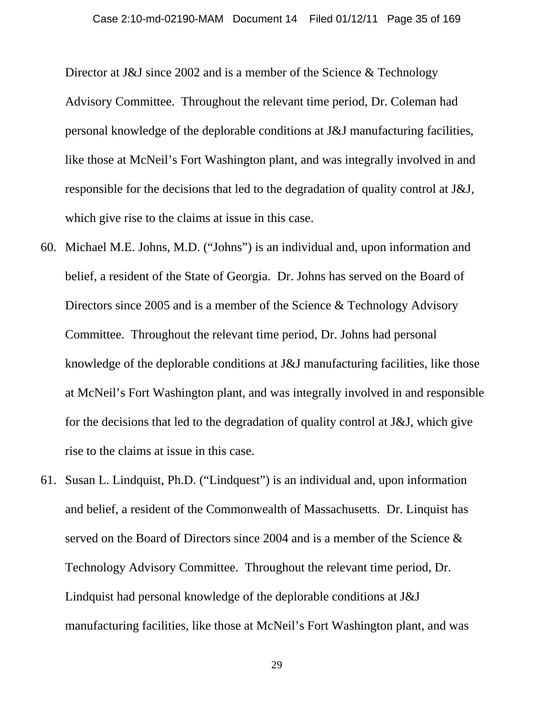Director at J&J since 2002 and is a member of the Science & Technology Advisory Committee. Throughout the relevant time period, Dr. Coleman had personal knowledge of the deplorable conditions at J&J manufacturing facilities, like those at McNeil's Fort Washington plant, and was integrally involved in and responsible for the decisions that led to the degradation of quality control at J&J, which give rise to the claims at issue in this case.

- 60. Michael M.E. Johns, M.D. ("Johns") is an individual and, upon information and belief, a resident of the State of Georgia. Dr. Johns has served on the Board of Directors since 2005 and is a member of the Science & Technology Advisory Committee. Throughout the relevant time period, Dr. Johns had personal knowledge of the deplorable conditions at J&J manufacturing facilities, like those at McNeil's Fort Washington plant, and was integrally involved in and responsible for the decisions that led to the degradation of quality control at J&J, which give rise to the claims at issue in this case.
- 61. Susan L. Lindquist, Ph.D. ("Lindquest") is an individual and, upon information and belief, a resident of the Commonwealth of Massachusetts. Dr. Linquist has served on the Board of Directors since 2004 and is a member of the Science & Technology Advisory Committee. Throughout the relevant time period, Dr. Lindquist had personal knowledge of the deplorable conditions at J&J manufacturing facilities, like those at McNeil's Fort Washington plant, and was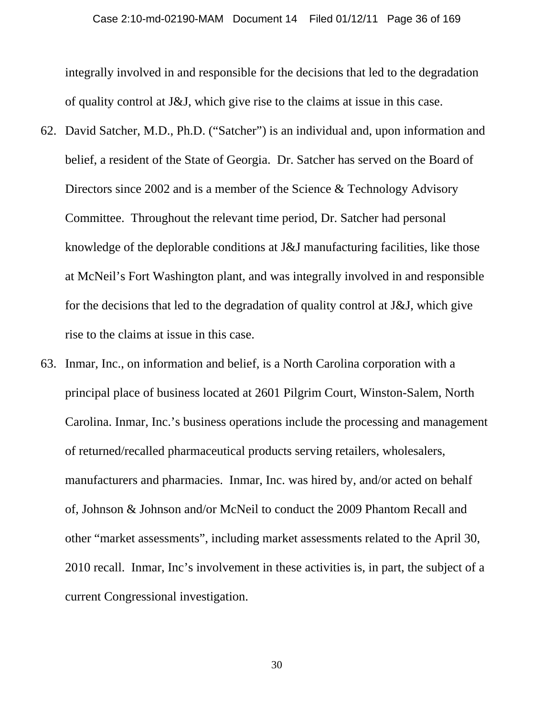integrally involved in and responsible for the decisions that led to the degradation of quality control at J&J, which give rise to the claims at issue in this case.

- 62. David Satcher, M.D., Ph.D. ("Satcher") is an individual and, upon information and belief, a resident of the State of Georgia. Dr. Satcher has served on the Board of Directors since 2002 and is a member of the Science & Technology Advisory Committee. Throughout the relevant time period, Dr. Satcher had personal knowledge of the deplorable conditions at J&J manufacturing facilities, like those at McNeil's Fort Washington plant, and was integrally involved in and responsible for the decisions that led to the degradation of quality control at J&J, which give rise to the claims at issue in this case.
- 63. Inmar, Inc., on information and belief, is a North Carolina corporation with a principal place of business located at 2601 Pilgrim Court, Winston-Salem, North Carolina. Inmar, Inc.'s business operations include the processing and management of returned/recalled pharmaceutical products serving retailers, wholesalers, manufacturers and pharmacies. Inmar, Inc. was hired by, and/or acted on behalf of, Johnson & Johnson and/or McNeil to conduct the 2009 Phantom Recall and other "market assessments", including market assessments related to the April 30, 2010 recall. Inmar, Inc's involvement in these activities is, in part, the subject of a current Congressional investigation.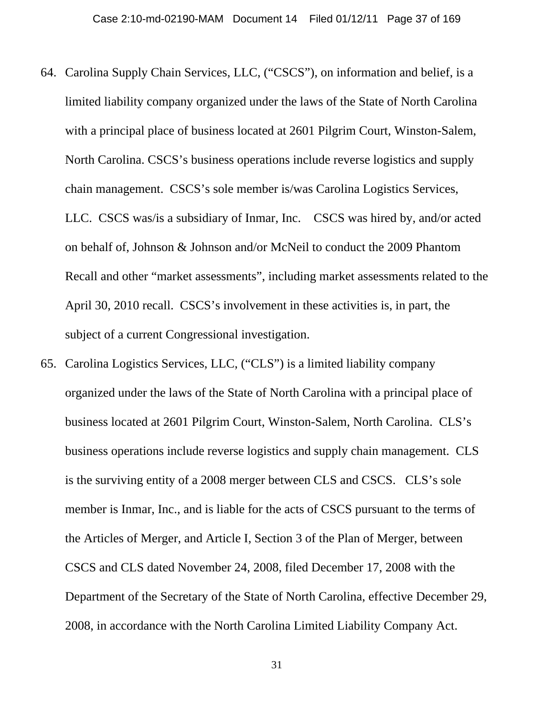- 64. Carolina Supply Chain Services, LLC, ("CSCS"), on information and belief, is a limited liability company organized under the laws of the State of North Carolina with a principal place of business located at 2601 Pilgrim Court, Winston-Salem, North Carolina. CSCS's business operations include reverse logistics and supply chain management. CSCS's sole member is/was Carolina Logistics Services, LLC. CSCS was/is a subsidiary of Inmar, Inc. CSCS was hired by, and/or acted on behalf of, Johnson & Johnson and/or McNeil to conduct the 2009 Phantom Recall and other "market assessments", including market assessments related to the April 30, 2010 recall. CSCS's involvement in these activities is, in part, the subject of a current Congressional investigation.
- 65. Carolina Logistics Services, LLC, ("CLS") is a limited liability company organized under the laws of the State of North Carolina with a principal place of business located at 2601 Pilgrim Court, Winston-Salem, North Carolina. CLS's business operations include reverse logistics and supply chain management. CLS is the surviving entity of a 2008 merger between CLS and CSCS. CLS's sole member is Inmar, Inc., and is liable for the acts of CSCS pursuant to the terms of the Articles of Merger, and Article I, Section 3 of the Plan of Merger, between CSCS and CLS dated November 24, 2008, filed December 17, 2008 with the Department of the Secretary of the State of North Carolina, effective December 29, 2008, in accordance with the North Carolina Limited Liability Company Act.

31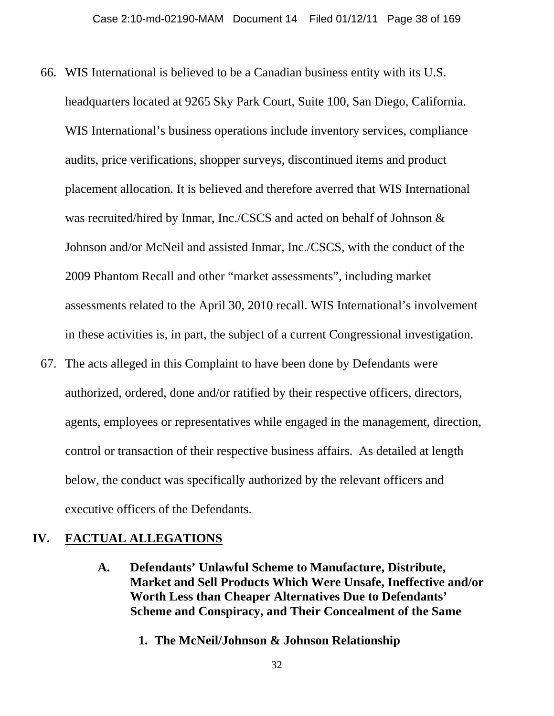- 66. WIS International is believed to be a Canadian business entity with its U.S. headquarters located at 9265 Sky Park Court, Suite 100, San Diego, California. WIS International's business operations include inventory services, compliance audits, price verifications, shopper surveys, discontinued items and product placement allocation. It is believed and therefore averred that WIS International was recruited/hired by Inmar, Inc./CSCS and acted on behalf of Johnson & Johnson and/or McNeil and assisted Inmar, Inc./CSCS, with the conduct of the 2009 Phantom Recall and other "market assessments", including market assessments related to the April 30, 2010 recall. WIS International's involvement in these activities is, in part, the subject of a current Congressional investigation.
- 67. The acts alleged in this Complaint to have been done by Defendants were authorized, ordered, done and/or ratified by their respective officers, directors, agents, employees or representatives while engaged in the management, direction, control or transaction of their respective business affairs. As detailed at length below, the conduct was specifically authorized by the relevant officers and executive officers of the Defendants.

#### **IV. FACTUAL ALLEGATIONS**

- **A. Defendants' Unlawful Scheme to Manufacture, Distribute, Market and Sell Products Which Were Unsafe, Ineffective and/or Worth Less than Cheaper Alternatives Due to Defendants' Scheme and Conspiracy, and Their Concealment of the Same** 
	- **1. The McNeil/Johnson & Johnson Relationship**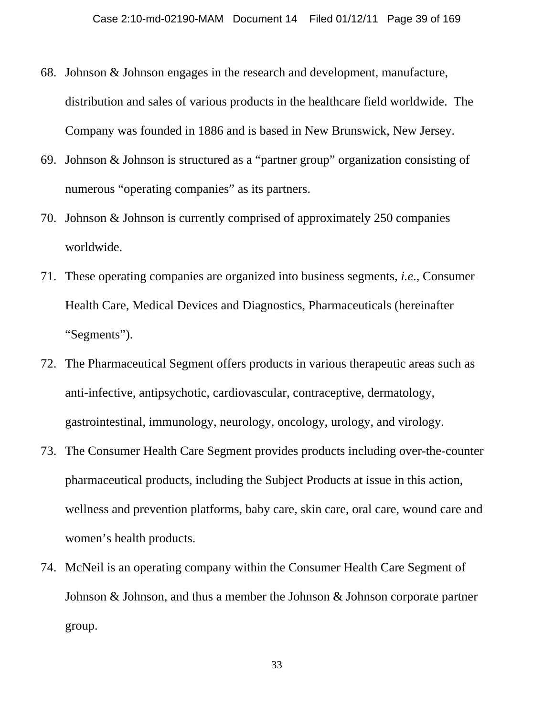- 68. Johnson & Johnson engages in the research and development, manufacture, distribution and sales of various products in the healthcare field worldwide. The Company was founded in 1886 and is based in New Brunswick, New Jersey.
- 69. Johnson & Johnson is structured as a "partner group" organization consisting of numerous "operating companies" as its partners.
- 70. Johnson & Johnson is currently comprised of approximately 250 companies worldwide.
- 71. These operating companies are organized into business segments, *i.e*., Consumer Health Care, Medical Devices and Diagnostics, Pharmaceuticals (hereinafter "Segments").
- 72. The Pharmaceutical Segment offers products in various therapeutic areas such as anti-infective, antipsychotic, cardiovascular, contraceptive, dermatology, gastrointestinal, immunology, neurology, oncology, urology, and virology.
- 73. The Consumer Health Care Segment provides products including over-the-counter pharmaceutical products, including the Subject Products at issue in this action, wellness and prevention platforms, baby care, skin care, oral care, wound care and women's health products.
- 74. McNeil is an operating company within the Consumer Health Care Segment of Johnson & Johnson, and thus a member the Johnson & Johnson corporate partner group.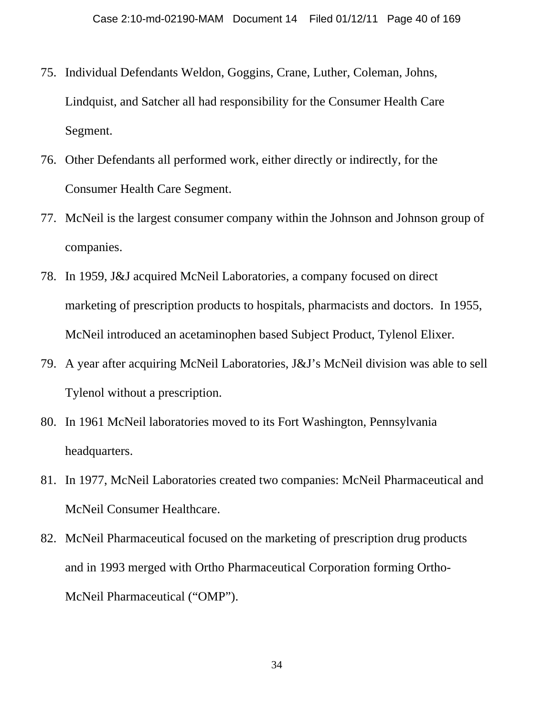- 75. Individual Defendants Weldon, Goggins, Crane, Luther, Coleman, Johns, Lindquist, and Satcher all had responsibility for the Consumer Health Care Segment.
- 76. Other Defendants all performed work, either directly or indirectly, for the Consumer Health Care Segment.
- 77. McNeil is the largest consumer company within the Johnson and Johnson group of companies.
- 78. In 1959, J&J acquired McNeil Laboratories, a company focused on direct marketing of prescription products to hospitals, pharmacists and doctors. In 1955, McNeil introduced an acetaminophen based Subject Product, Tylenol Elixer.
- 79. A year after acquiring McNeil Laboratories, J&J's McNeil division was able to sell Tylenol without a prescription.
- 80. In 1961 McNeil laboratories moved to its Fort Washington, Pennsylvania headquarters.
- 81. In 1977, McNeil Laboratories created two companies: McNeil Pharmaceutical and McNeil Consumer Healthcare.
- 82. McNeil Pharmaceutical focused on the marketing of prescription drug products and in 1993 merged with Ortho Pharmaceutical Corporation forming Ortho-McNeil Pharmaceutical ("OMP").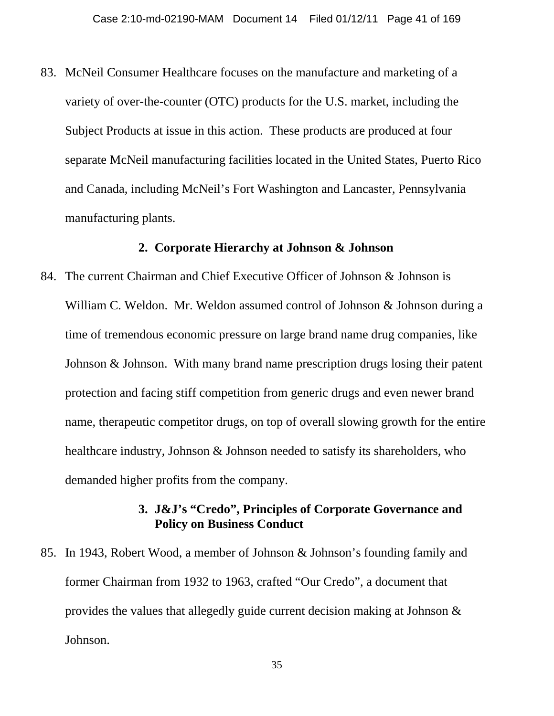83. McNeil Consumer Healthcare focuses on the manufacture and marketing of a variety of over-the-counter (OTC) products for the U.S. market, including the Subject Products at issue in this action. These products are produced at four separate McNeil manufacturing facilities located in the United States, Puerto Rico and Canada, including McNeil's Fort Washington and Lancaster, Pennsylvania manufacturing plants.

#### **2. Corporate Hierarchy at Johnson & Johnson**

84. The current Chairman and Chief Executive Officer of Johnson & Johnson is William C. Weldon. Mr. Weldon assumed control of Johnson & Johnson during a time of tremendous economic pressure on large brand name drug companies, like Johnson & Johnson. With many brand name prescription drugs losing their patent protection and facing stiff competition from generic drugs and even newer brand name, therapeutic competitor drugs, on top of overall slowing growth for the entire healthcare industry, Johnson & Johnson needed to satisfy its shareholders, who demanded higher profits from the company.

## **3. J&J's "Credo", Principles of Corporate Governance and Policy on Business Conduct**

85. In 1943, Robert Wood, a member of Johnson & Johnson's founding family and former Chairman from 1932 to 1963, crafted "Our Credo", a document that provides the values that allegedly guide current decision making at Johnson & Johnson.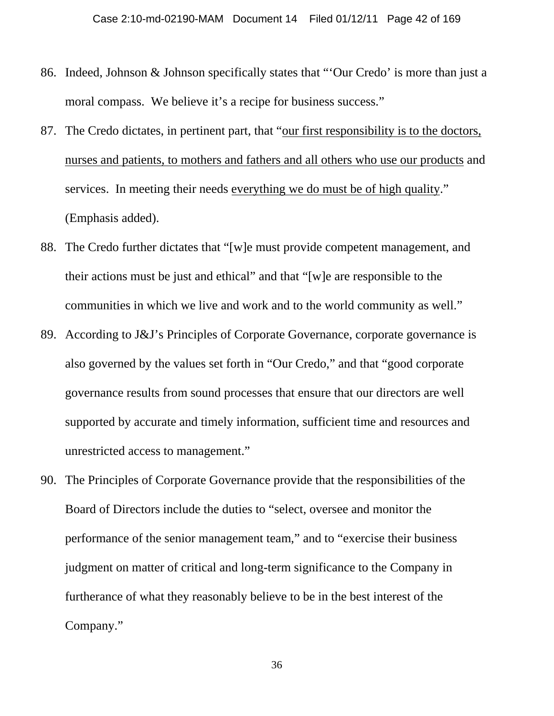- 86. Indeed, Johnson & Johnson specifically states that "'Our Credo' is more than just a moral compass. We believe it's a recipe for business success."
- 87. The Credo dictates, in pertinent part, that "our first responsibility is to the doctors, nurses and patients, to mothers and fathers and all others who use our products and services. In meeting their needs everything we do must be of high quality." (Emphasis added).
- 88. The Credo further dictates that "[w]e must provide competent management, and their actions must be just and ethical" and that "[w]e are responsible to the communities in which we live and work and to the world community as well."
- 89. According to J&J's Principles of Corporate Governance, corporate governance is also governed by the values set forth in "Our Credo," and that "good corporate governance results from sound processes that ensure that our directors are well supported by accurate and timely information, sufficient time and resources and unrestricted access to management."
- 90. The Principles of Corporate Governance provide that the responsibilities of the Board of Directors include the duties to "select, oversee and monitor the performance of the senior management team," and to "exercise their business judgment on matter of critical and long-term significance to the Company in furtherance of what they reasonably believe to be in the best interest of the Company."

36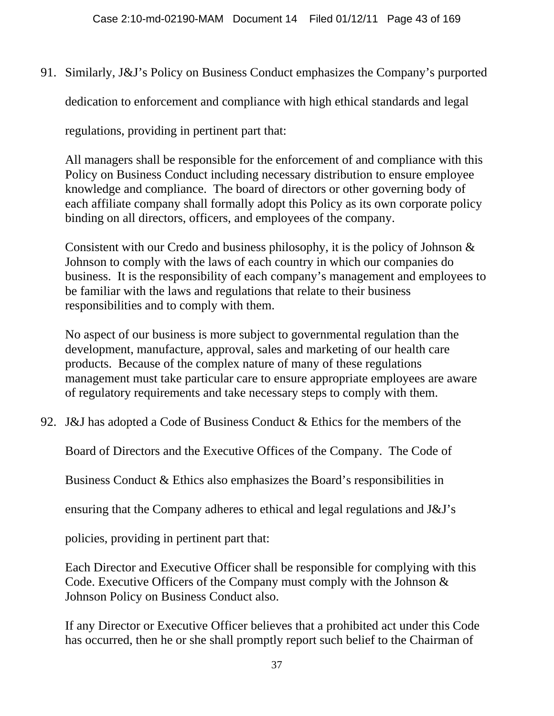91. Similarly, J&J's Policy on Business Conduct emphasizes the Company's purported

dedication to enforcement and compliance with high ethical standards and legal

regulations, providing in pertinent part that:

All managers shall be responsible for the enforcement of and compliance with this Policy on Business Conduct including necessary distribution to ensure employee knowledge and compliance. The board of directors or other governing body of each affiliate company shall formally adopt this Policy as its own corporate policy binding on all directors, officers, and employees of the company.

Consistent with our Credo and business philosophy, it is the policy of Johnson & Johnson to comply with the laws of each country in which our companies do business. It is the responsibility of each company's management and employees to be familiar with the laws and regulations that relate to their business responsibilities and to comply with them.

No aspect of our business is more subject to governmental regulation than the development, manufacture, approval, sales and marketing of our health care products. Because of the complex nature of many of these regulations management must take particular care to ensure appropriate employees are aware of regulatory requirements and take necessary steps to comply with them.

92. J&J has adopted a Code of Business Conduct & Ethics for the members of the

Board of Directors and the Executive Offices of the Company. The Code of

Business Conduct & Ethics also emphasizes the Board's responsibilities in

ensuring that the Company adheres to ethical and legal regulations and J&J's

policies, providing in pertinent part that:

Each Director and Executive Officer shall be responsible for complying with this Code. Executive Officers of the Company must comply with the Johnson & Johnson Policy on Business Conduct also.

If any Director or Executive Officer believes that a prohibited act under this Code has occurred, then he or she shall promptly report such belief to the Chairman of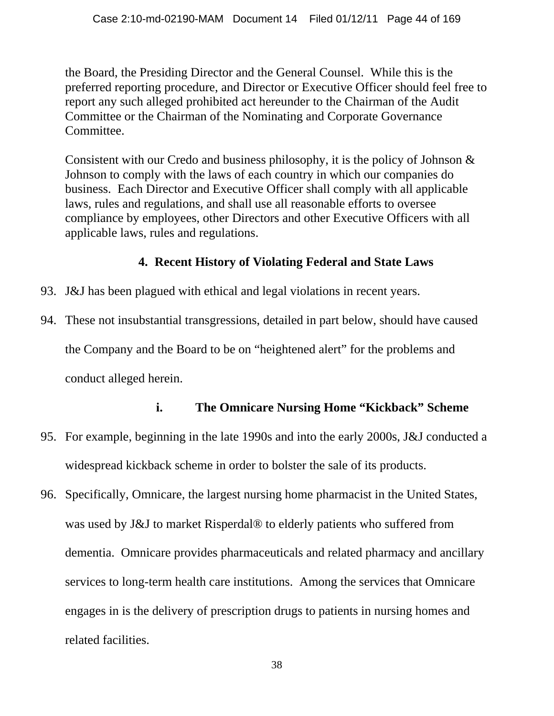the Board, the Presiding Director and the General Counsel. While this is the preferred reporting procedure, and Director or Executive Officer should feel free to report any such alleged prohibited act hereunder to the Chairman of the Audit Committee or the Chairman of the Nominating and Corporate Governance Committee.

Consistent with our Credo and business philosophy, it is the policy of Johnson & Johnson to comply with the laws of each country in which our companies do business. Each Director and Executive Officer shall comply with all applicable laws, rules and regulations, and shall use all reasonable efforts to oversee compliance by employees, other Directors and other Executive Officers with all applicable laws, rules and regulations.

# **4. Recent History of Violating Federal and State Laws**

- 93. J&J has been plagued with ethical and legal violations in recent years.
- 94. These not insubstantial transgressions, detailed in part below, should have caused

the Company and the Board to be on "heightened alert" for the problems and

conduct alleged herein.

# **i. The Omnicare Nursing Home "Kickback" Scheme**

- 95. For example, beginning in the late 1990s and into the early 2000s, J&J conducted a widespread kickback scheme in order to bolster the sale of its products.
- 96. Specifically, Omnicare, the largest nursing home pharmacist in the United States, was used by J&J to market Risperdal® to elderly patients who suffered from dementia. Omnicare provides pharmaceuticals and related pharmacy and ancillary services to long-term health care institutions. Among the services that Omnicare engages in is the delivery of prescription drugs to patients in nursing homes and related facilities.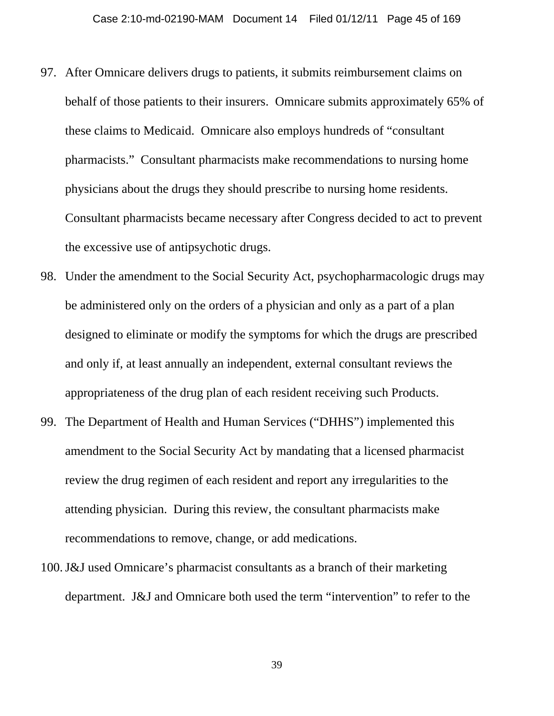- 97. After Omnicare delivers drugs to patients, it submits reimbursement claims on behalf of those patients to their insurers. Omnicare submits approximately 65% of these claims to Medicaid. Omnicare also employs hundreds of "consultant pharmacists." Consultant pharmacists make recommendations to nursing home physicians about the drugs they should prescribe to nursing home residents. Consultant pharmacists became necessary after Congress decided to act to prevent the excessive use of antipsychotic drugs.
- 98. Under the amendment to the Social Security Act, psychopharmacologic drugs may be administered only on the orders of a physician and only as a part of a plan designed to eliminate or modify the symptoms for which the drugs are prescribed and only if, at least annually an independent, external consultant reviews the appropriateness of the drug plan of each resident receiving such Products.
- 99. The Department of Health and Human Services ("DHHS") implemented this amendment to the Social Security Act by mandating that a licensed pharmacist review the drug regimen of each resident and report any irregularities to the attending physician. During this review, the consultant pharmacists make recommendations to remove, change, or add medications.
- 100.J&J used Omnicare's pharmacist consultants as a branch of their marketing department. J&J and Omnicare both used the term "intervention" to refer to the

39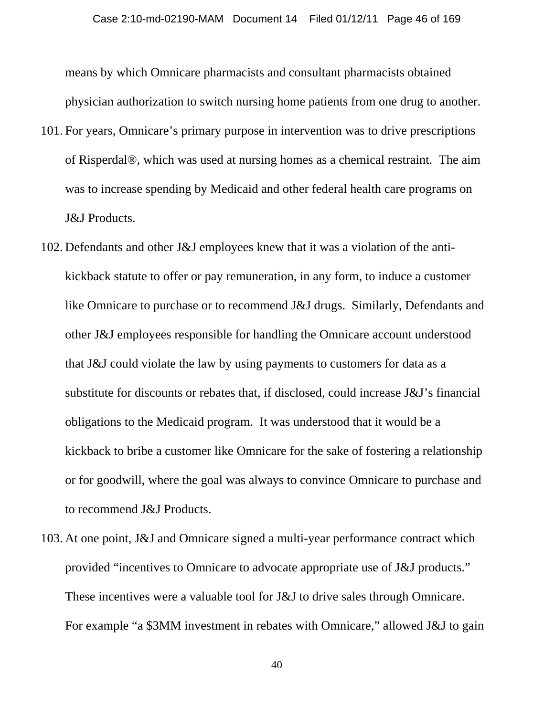means by which Omnicare pharmacists and consultant pharmacists obtained physician authorization to switch nursing home patients from one drug to another.

- 101. For years, Omnicare's primary purpose in intervention was to drive prescriptions of Risperdal®, which was used at nursing homes as a chemical restraint. The aim was to increase spending by Medicaid and other federal health care programs on J&J Products.
- 102. Defendants and other J&J employees knew that it was a violation of the antikickback statute to offer or pay remuneration, in any form, to induce a customer like Omnicare to purchase or to recommend J&J drugs. Similarly, Defendants and other J&J employees responsible for handling the Omnicare account understood that J&J could violate the law by using payments to customers for data as a substitute for discounts or rebates that, if disclosed, could increase J&J's financial obligations to the Medicaid program. It was understood that it would be a kickback to bribe a customer like Omnicare for the sake of fostering a relationship or for goodwill, where the goal was always to convince Omnicare to purchase and to recommend J&J Products.
- 103. At one point, J&J and Omnicare signed a multi-year performance contract which provided "incentives to Omnicare to advocate appropriate use of J&J products." These incentives were a valuable tool for J&J to drive sales through Omnicare. For example "a \$3MM investment in rebates with Omnicare," allowed J&J to gain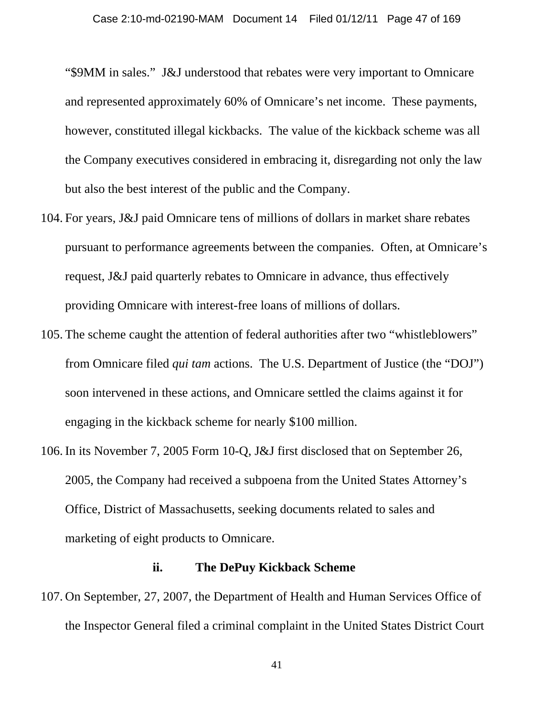"\$9MM in sales." J&J understood that rebates were very important to Omnicare and represented approximately 60% of Omnicare's net income. These payments, however, constituted illegal kickbacks. The value of the kickback scheme was all the Company executives considered in embracing it, disregarding not only the law but also the best interest of the public and the Company.

- 104. For years, J&J paid Omnicare tens of millions of dollars in market share rebates pursuant to performance agreements between the companies. Often, at Omnicare's request, J&J paid quarterly rebates to Omnicare in advance, thus effectively providing Omnicare with interest-free loans of millions of dollars.
- 105. The scheme caught the attention of federal authorities after two "whistleblowers" from Omnicare filed *qui tam* actions. The U.S. Department of Justice (the "DOJ") soon intervened in these actions, and Omnicare settled the claims against it for engaging in the kickback scheme for nearly \$100 million.
- 106. In its November 7, 2005 Form 10-Q, J&J first disclosed that on September 26, 2005, the Company had received a subpoena from the United States Attorney's Office, District of Massachusetts, seeking documents related to sales and marketing of eight products to Omnicare.

#### **ii. The DePuy Kickback Scheme**

107. On September, 27, 2007, the Department of Health and Human Services Office of the Inspector General filed a criminal complaint in the United States District Court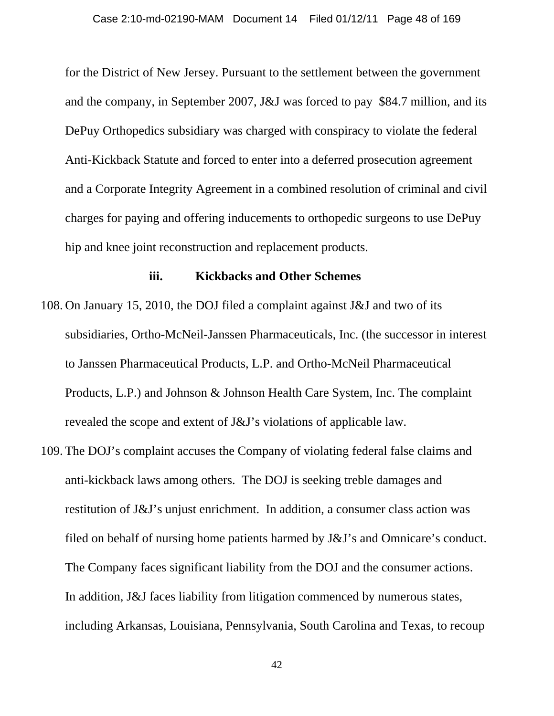for the District of New Jersey. Pursuant to the settlement between the government and the company, in September 2007, J&J was forced to pay \$84.7 million, and its DePuy Orthopedics subsidiary was charged with conspiracy to violate the federal Anti-Kickback Statute and forced to enter into a deferred prosecution agreement and a Corporate Integrity Agreement in a combined resolution of criminal and civil charges for paying and offering inducements to orthopedic surgeons to use DePuy hip and knee joint reconstruction and replacement products.

#### **iii. Kickbacks and Other Schemes**

- 108. On January 15, 2010, the DOJ filed a complaint against J&J and two of its subsidiaries, Ortho-McNeil-Janssen Pharmaceuticals, Inc. (the successor in interest to Janssen Pharmaceutical Products, L.P. and Ortho-McNeil Pharmaceutical Products, L.P.) and Johnson & Johnson Health Care System, Inc. The complaint revealed the scope and extent of J&J's violations of applicable law.
- 109. The DOJ's complaint accuses the Company of violating federal false claims and anti-kickback laws among others. The DOJ is seeking treble damages and restitution of J&J's unjust enrichment. In addition, a consumer class action was filed on behalf of nursing home patients harmed by J&J's and Omnicare's conduct. The Company faces significant liability from the DOJ and the consumer actions. In addition, J&J faces liability from litigation commenced by numerous states, including Arkansas, Louisiana, Pennsylvania, South Carolina and Texas, to recoup

42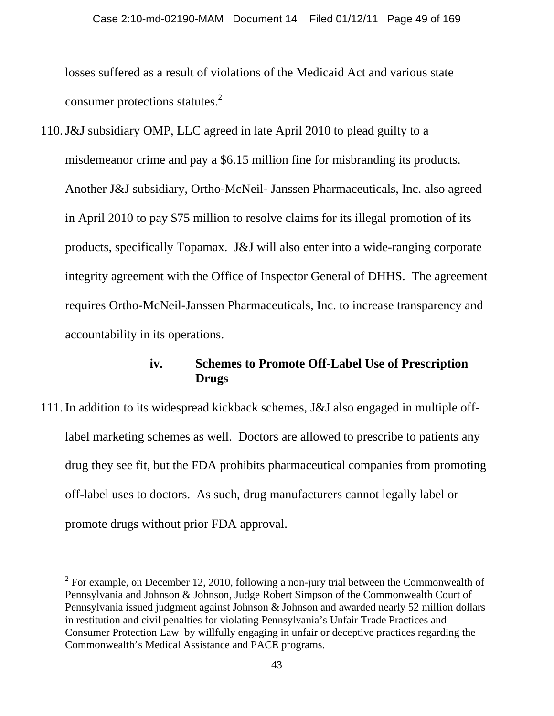losses suffered as a result of violations of the Medicaid Act and various state consumer protections statutes. $2$ 

110.J&J subsidiary OMP, LLC agreed in late April 2010 to plead guilty to a misdemeanor crime and pay a \$6.15 million fine for misbranding its products. Another J&J subsidiary, Ortho-McNeil- Janssen Pharmaceuticals, Inc. also agreed in April 2010 to pay \$75 million to resolve claims for its illegal promotion of its products, specifically Topamax. J&J will also enter into a wide-ranging corporate integrity agreement with the Office of Inspector General of DHHS. The agreement requires Ortho-McNeil-Janssen Pharmaceuticals, Inc. to increase transparency and accountability in its operations.

### **iv. Schemes to Promote Off-Label Use of Prescription Drugs**

111. In addition to its widespread kickback schemes, J&J also engaged in multiple offlabel marketing schemes as well. Doctors are allowed to prescribe to patients any drug they see fit, but the FDA prohibits pharmaceutical companies from promoting off-label uses to doctors. As such, drug manufacturers cannot legally label or promote drugs without prior FDA approval.

 $\overline{a}$ 

<sup>&</sup>lt;sup>2</sup> For example, on December 12, 2010, following a non-jury trial between the Commonwealth of Pennsylvania and Johnson & Johnson, Judge Robert Simpson of the Commonwealth Court of Pennsylvania issued judgment against Johnson & Johnson and awarded nearly 52 million dollars in restitution and civil penalties for violating Pennsylvania's Unfair Trade Practices and Consumer Protection Law by willfully engaging in unfair or deceptive practices regarding the Commonwealth's Medical Assistance and PACE programs.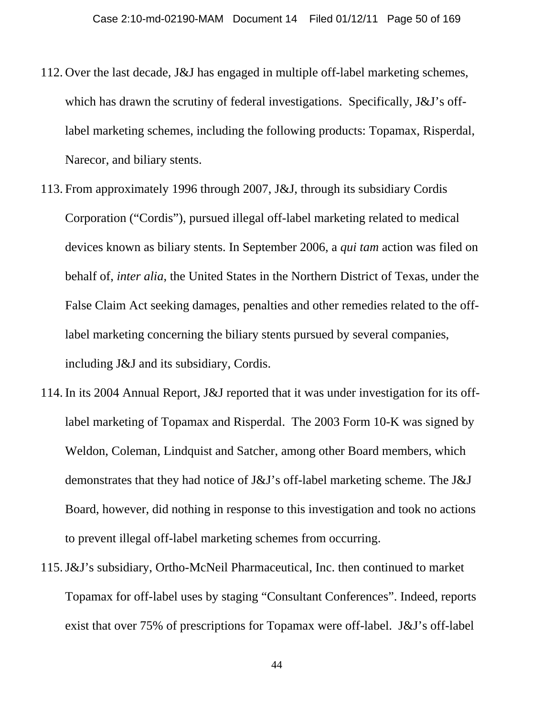- 112. Over the last decade, J&J has engaged in multiple off-label marketing schemes, which has drawn the scrutiny of federal investigations. Specifically, J&J's offlabel marketing schemes, including the following products: Topamax, Risperdal, Narecor, and biliary stents.
- 113. From approximately 1996 through 2007, J&J, through its subsidiary Cordis Corporation ("Cordis"), pursued illegal off-label marketing related to medical devices known as biliary stents. In September 2006, a *qui tam* action was filed on behalf of, *inter alia*, the United States in the Northern District of Texas, under the False Claim Act seeking damages, penalties and other remedies related to the offlabel marketing concerning the biliary stents pursued by several companies, including J&J and its subsidiary, Cordis.
- 114. In its 2004 Annual Report, J&J reported that it was under investigation for its offlabel marketing of Topamax and Risperdal. The 2003 Form 10-K was signed by Weldon, Coleman, Lindquist and Satcher, among other Board members, which demonstrates that they had notice of J&J's off-label marketing scheme. The J&J Board, however, did nothing in response to this investigation and took no actions to prevent illegal off-label marketing schemes from occurring.
- 115.J&J's subsidiary, Ortho-McNeil Pharmaceutical, Inc. then continued to market Topamax for off-label uses by staging "Consultant Conferences". Indeed, reports exist that over 75% of prescriptions for Topamax were off-label. J&J's off-label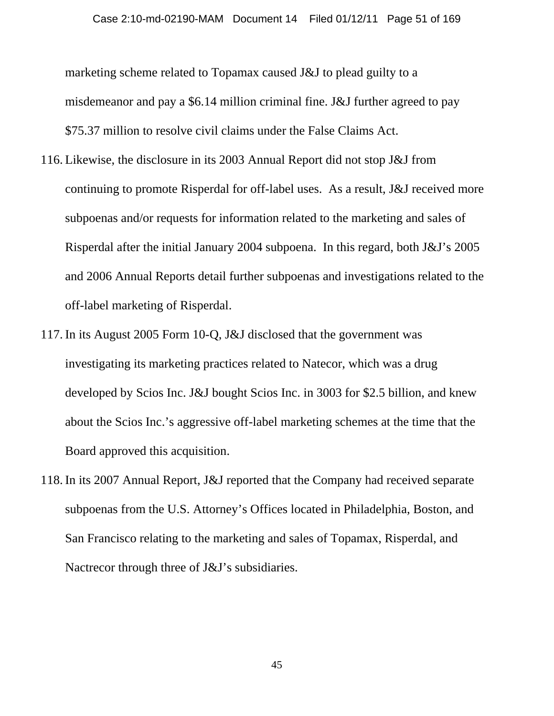marketing scheme related to Topamax caused J&J to plead guilty to a misdemeanor and pay a \$6.14 million criminal fine. J&J further agreed to pay \$75.37 million to resolve civil claims under the False Claims Act.

- 116. Likewise, the disclosure in its 2003 Annual Report did not stop J&J from continuing to promote Risperdal for off-label uses. As a result, J&J received more subpoenas and/or requests for information related to the marketing and sales of Risperdal after the initial January 2004 subpoena. In this regard, both J&J's 2005 and 2006 Annual Reports detail further subpoenas and investigations related to the off-label marketing of Risperdal.
- 117. In its August 2005 Form 10-Q, J&J disclosed that the government was investigating its marketing practices related to Natecor, which was a drug developed by Scios Inc. J&J bought Scios Inc. in 3003 for \$2.5 billion, and knew about the Scios Inc.'s aggressive off-label marketing schemes at the time that the Board approved this acquisition.
- 118. In its 2007 Annual Report, J&J reported that the Company had received separate subpoenas from the U.S. Attorney's Offices located in Philadelphia, Boston, and San Francisco relating to the marketing and sales of Topamax, Risperdal, and Nactrecor through three of J&J's subsidiaries.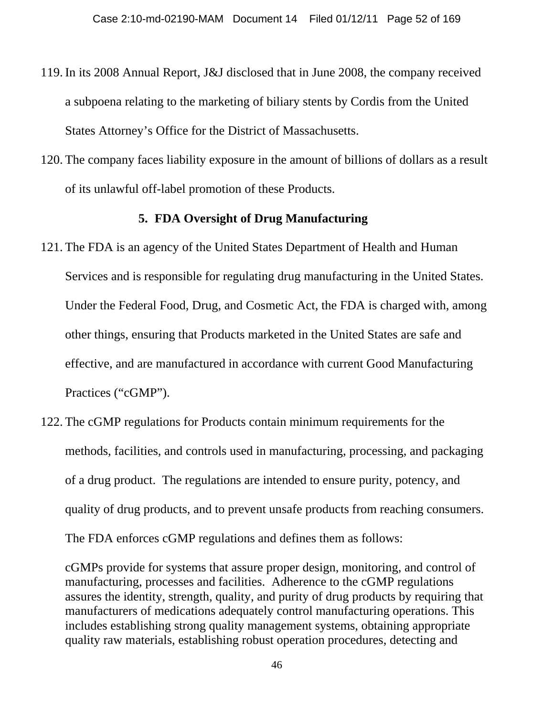- 119. In its 2008 Annual Report, J&J disclosed that in June 2008, the company received a subpoena relating to the marketing of biliary stents by Cordis from the United States Attorney's Office for the District of Massachusetts.
- 120. The company faces liability exposure in the amount of billions of dollars as a result of its unlawful off-label promotion of these Products.

### **5. FDA Oversight of Drug Manufacturing**

- 121. The FDA is an agency of the United States Department of Health and Human Services and is responsible for regulating drug manufacturing in the United States. Under the Federal Food, Drug, and Cosmetic Act, the FDA is charged with, among other things, ensuring that Products marketed in the United States are safe and effective, and are manufactured in accordance with current Good Manufacturing Practices ("cGMP").
- 122. The cGMP regulations for Products contain minimum requirements for the methods, facilities, and controls used in manufacturing, processing, and packaging of a drug product. The regulations are intended to ensure purity, potency, and quality of drug products, and to prevent unsafe products from reaching consumers. The FDA enforces cGMP regulations and defines them as follows:

cGMPs provide for systems that assure proper design, monitoring, and control of manufacturing, processes and facilities. Adherence to the cGMP regulations assures the identity, strength, quality, and purity of drug products by requiring that manufacturers of medications adequately control manufacturing operations. This includes establishing strong quality management systems, obtaining appropriate quality raw materials, establishing robust operation procedures, detecting and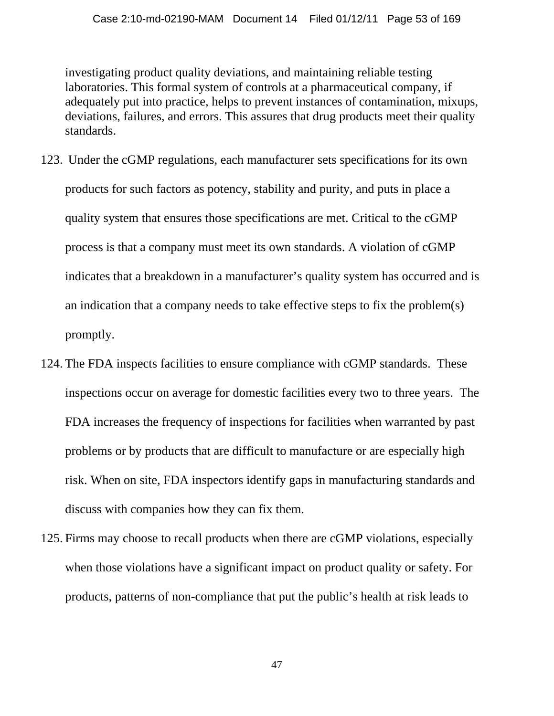investigating product quality deviations, and maintaining reliable testing laboratories. This formal system of controls at a pharmaceutical company, if adequately put into practice, helps to prevent instances of contamination, mixups, deviations, failures, and errors. This assures that drug products meet their quality standards.

- 123. Under the cGMP regulations, each manufacturer sets specifications for its own products for such factors as potency, stability and purity, and puts in place a quality system that ensures those specifications are met. Critical to the cGMP process is that a company must meet its own standards. A violation of cGMP indicates that a breakdown in a manufacturer's quality system has occurred and is an indication that a company needs to take effective steps to fix the problem(s) promptly.
- 124. The FDA inspects facilities to ensure compliance with cGMP standards. These inspections occur on average for domestic facilities every two to three years. The FDA increases the frequency of inspections for facilities when warranted by past problems or by products that are difficult to manufacture or are especially high risk. When on site, FDA inspectors identify gaps in manufacturing standards and discuss with companies how they can fix them.
- 125. Firms may choose to recall products when there are cGMP violations, especially when those violations have a significant impact on product quality or safety. For products, patterns of non-compliance that put the public's health at risk leads to

47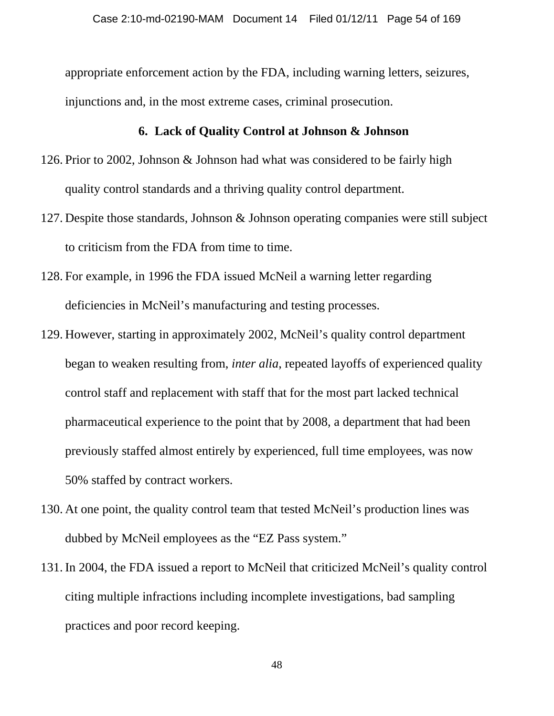appropriate enforcement action by the FDA, including warning letters, seizures, injunctions and, in the most extreme cases, criminal prosecution.

#### **6. Lack of Quality Control at Johnson & Johnson**

- 126. Prior to 2002, Johnson & Johnson had what was considered to be fairly high quality control standards and a thriving quality control department.
- 127. Despite those standards, Johnson & Johnson operating companies were still subject to criticism from the FDA from time to time.
- 128. For example, in 1996 the FDA issued McNeil a warning letter regarding deficiencies in McNeil's manufacturing and testing processes.
- 129. However, starting in approximately 2002, McNeil's quality control department began to weaken resulting from, *inter alia*, repeated layoffs of experienced quality control staff and replacement with staff that for the most part lacked technical pharmaceutical experience to the point that by 2008, a department that had been previously staffed almost entirely by experienced, full time employees, was now 50% staffed by contract workers.
- 130. At one point, the quality control team that tested McNeil's production lines was dubbed by McNeil employees as the "EZ Pass system."
- 131. In 2004, the FDA issued a report to McNeil that criticized McNeil's quality control citing multiple infractions including incomplete investigations, bad sampling practices and poor record keeping.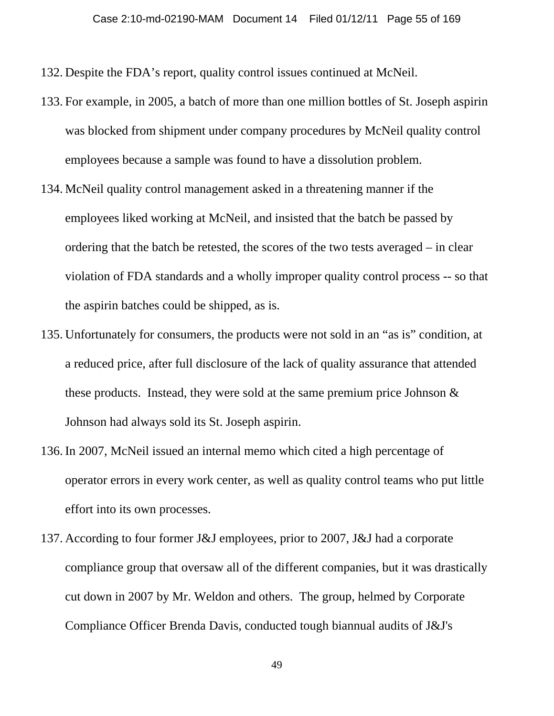- 132. Despite the FDA's report, quality control issues continued at McNeil.
- 133. For example, in 2005, a batch of more than one million bottles of St. Joseph aspirin was blocked from shipment under company procedures by McNeil quality control employees because a sample was found to have a dissolution problem.
- 134. McNeil quality control management asked in a threatening manner if the employees liked working at McNeil, and insisted that the batch be passed by ordering that the batch be retested, the scores of the two tests averaged – in clear violation of FDA standards and a wholly improper quality control process -- so that the aspirin batches could be shipped, as is.
- 135. Unfortunately for consumers, the products were not sold in an "as is" condition, at a reduced price, after full disclosure of the lack of quality assurance that attended these products. Instead, they were sold at the same premium price Johnson & Johnson had always sold its St. Joseph aspirin.
- 136. In 2007, McNeil issued an internal memo which cited a high percentage of operator errors in every work center, as well as quality control teams who put little effort into its own processes.
- 137. According to four former J&J employees, prior to 2007, J&J had a corporate compliance group that oversaw all of the different companies, but it was drastically cut down in 2007 by Mr. Weldon and others. The group, helmed by Corporate Compliance Officer Brenda Davis, conducted tough biannual audits of J&J's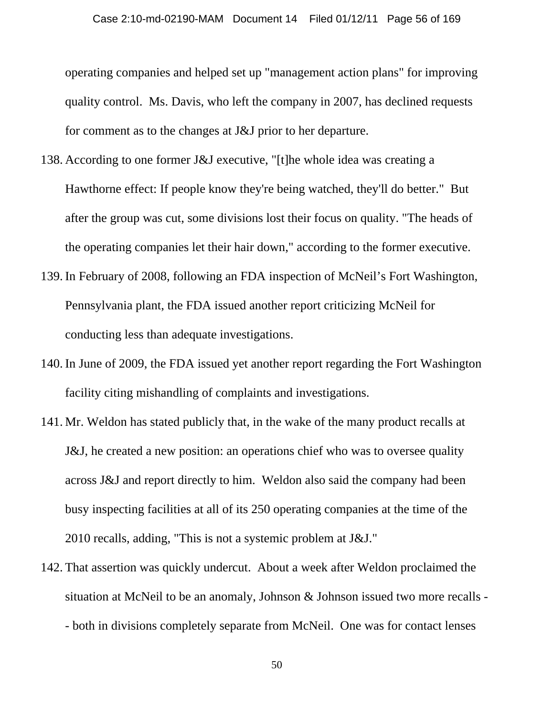operating companies and helped set up "management action plans" for improving quality control. Ms. Davis, who left the company in 2007, has declined requests for comment as to the changes at J&J prior to her departure.

- 138. According to one former J&J executive, "[t]he whole idea was creating a Hawthorne effect: If people know they're being watched, they'll do better." But after the group was cut, some divisions lost their focus on quality. "The heads of the operating companies let their hair down," according to the former executive.
- 139. In February of 2008, following an FDA inspection of McNeil's Fort Washington, Pennsylvania plant, the FDA issued another report criticizing McNeil for conducting less than adequate investigations.
- 140. In June of 2009, the FDA issued yet another report regarding the Fort Washington facility citing mishandling of complaints and investigations.
- 141. Mr. Weldon has stated publicly that, in the wake of the many product recalls at J&J, he created a new position: an operations chief who was to oversee quality across J&J and report directly to him. Weldon also said the company had been busy inspecting facilities at all of its 250 operating companies at the time of the 2010 recalls, adding, "This is not a systemic problem at J&J."
- 142. That assertion was quickly undercut. About a week after Weldon proclaimed the situation at McNeil to be an anomaly, Johnson & Johnson issued two more recalls - - both in divisions completely separate from McNeil. One was for contact lenses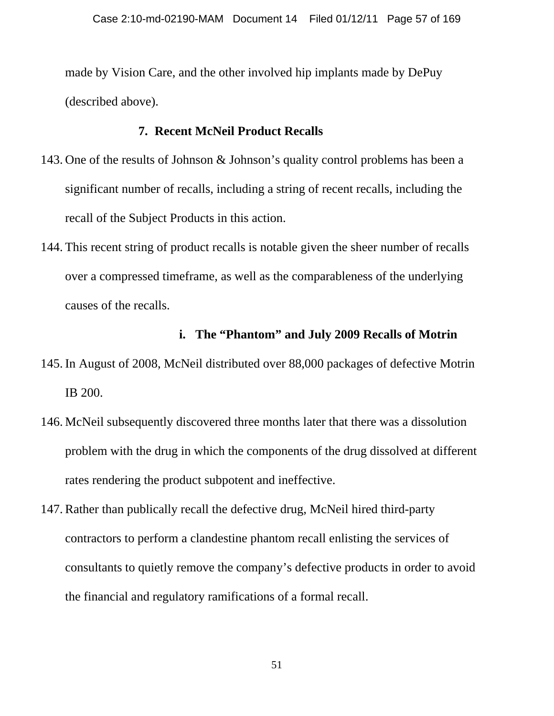made by Vision Care, and the other involved hip implants made by DePuy (described above).

## **7. Recent McNeil Product Recalls**

- 143. One of the results of Johnson & Johnson's quality control problems has been a significant number of recalls, including a string of recent recalls, including the recall of the Subject Products in this action.
- 144. This recent string of product recalls is notable given the sheer number of recalls over a compressed timeframe, as well as the comparableness of the underlying causes of the recalls.

## **i. The "Phantom" and July 2009 Recalls of Motrin**

- 145. In August of 2008, McNeil distributed over 88,000 packages of defective Motrin IB 200.
- 146. McNeil subsequently discovered three months later that there was a dissolution problem with the drug in which the components of the drug dissolved at different rates rendering the product subpotent and ineffective.
- 147. Rather than publically recall the defective drug, McNeil hired third-party contractors to perform a clandestine phantom recall enlisting the services of consultants to quietly remove the company's defective products in order to avoid the financial and regulatory ramifications of a formal recall.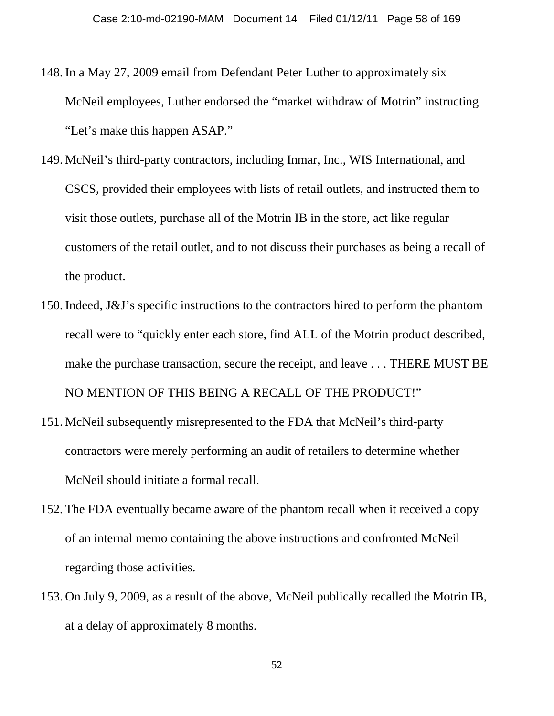- 148. In a May 27, 2009 email from Defendant Peter Luther to approximately six McNeil employees, Luther endorsed the "market withdraw of Motrin" instructing "Let's make this happen ASAP."
- 149. McNeil's third-party contractors, including Inmar, Inc., WIS International, and CSCS, provided their employees with lists of retail outlets, and instructed them to visit those outlets, purchase all of the Motrin IB in the store, act like regular customers of the retail outlet, and to not discuss their purchases as being a recall of the product.
- 150. Indeed, J&J's specific instructions to the contractors hired to perform the phantom recall were to "quickly enter each store, find ALL of the Motrin product described, make the purchase transaction, secure the receipt, and leave . . . THERE MUST BE NO MENTION OF THIS BEING A RECALL OF THE PRODUCT!"
- 151. McNeil subsequently misrepresented to the FDA that McNeil's third-party contractors were merely performing an audit of retailers to determine whether McNeil should initiate a formal recall.
- 152. The FDA eventually became aware of the phantom recall when it received a copy of an internal memo containing the above instructions and confronted McNeil regarding those activities.
- 153. On July 9, 2009, as a result of the above, McNeil publically recalled the Motrin IB, at a delay of approximately 8 months.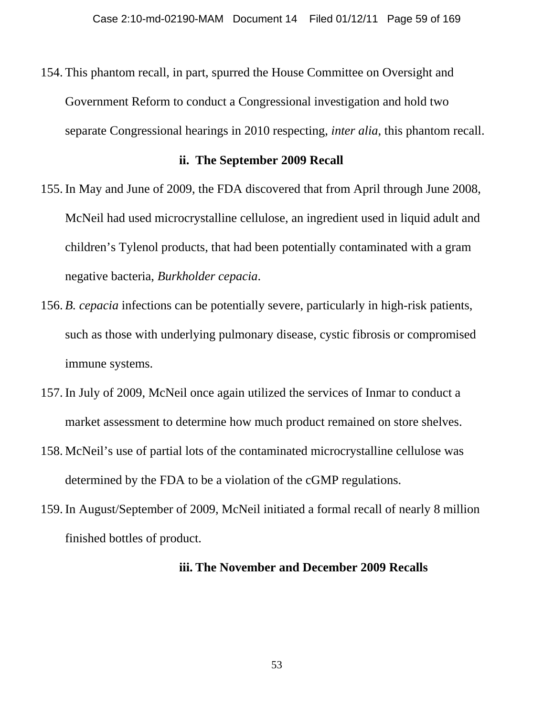154. This phantom recall, in part, spurred the House Committee on Oversight and Government Reform to conduct a Congressional investigation and hold two separate Congressional hearings in 2010 respecting, *inter alia*, this phantom recall.

#### **ii. The September 2009 Recall**

- 155. In May and June of 2009, the FDA discovered that from April through June 2008, McNeil had used microcrystalline cellulose, an ingredient used in liquid adult and children's Tylenol products, that had been potentially contaminated with a gram negative bacteria, *Burkholder cepacia*.
- 156. *B. cepacia* infections can be potentially severe, particularly in high-risk patients, such as those with underlying pulmonary disease, cystic fibrosis or compromised immune systems.
- 157. In July of 2009, McNeil once again utilized the services of Inmar to conduct a market assessment to determine how much product remained on store shelves.
- 158. McNeil's use of partial lots of the contaminated microcrystalline cellulose was determined by the FDA to be a violation of the cGMP regulations.
- 159. In August/September of 2009, McNeil initiated a formal recall of nearly 8 million finished bottles of product.

### **iii. The November and December 2009 Recalls**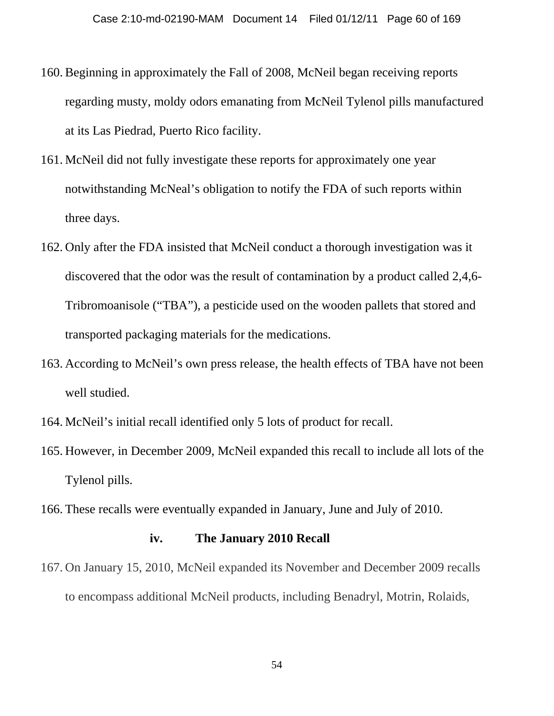- 160. Beginning in approximately the Fall of 2008, McNeil began receiving reports regarding musty, moldy odors emanating from McNeil Tylenol pills manufactured at its Las Piedrad, Puerto Rico facility.
- 161. McNeil did not fully investigate these reports for approximately one year notwithstanding McNeal's obligation to notify the FDA of such reports within three days.
- 162. Only after the FDA insisted that McNeil conduct a thorough investigation was it discovered that the odor was the result of contamination by a product called 2,4,6- Tribromoanisole ("TBA"), a pesticide used on the wooden pallets that stored and transported packaging materials for the medications.
- 163. According to McNeil's own press release, the health effects of TBA have not been well studied.
- 164. McNeil's initial recall identified only 5 lots of product for recall.
- 165. However, in December 2009, McNeil expanded this recall to include all lots of the Tylenol pills.
- 166. These recalls were eventually expanded in January, June and July of 2010.

### **iv. The January 2010 Recall**

167. On January 15, 2010, McNeil expanded its November and December 2009 recalls to encompass additional McNeil products, including Benadryl, Motrin, Rolaids,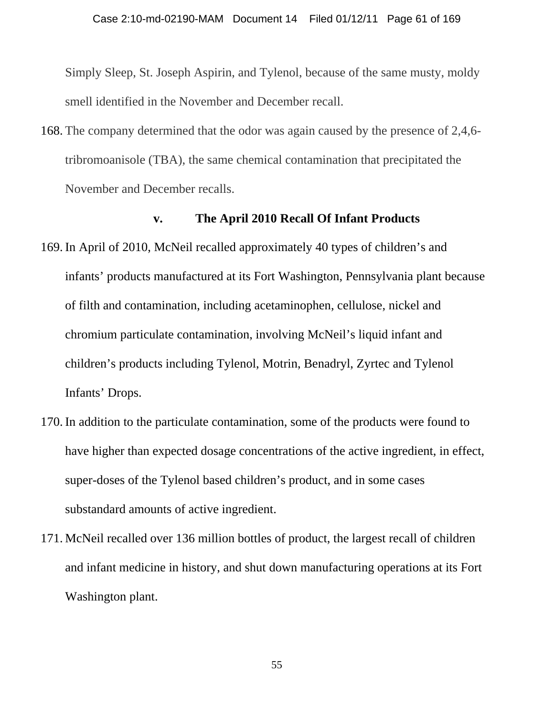Simply Sleep, St. Joseph Aspirin, and Tylenol, because of the same musty, moldy smell identified in the November and December recall.

168. The company determined that the odor was again caused by the presence of 2,4,6 tribromoanisole (TBA), the same chemical contamination that precipitated the November and December recalls.

#### **v. The April 2010 Recall Of Infant Products**

- 169. In April of 2010, McNeil recalled approximately 40 types of children's and infants' products manufactured at its Fort Washington, Pennsylvania plant because of filth and contamination, including acetaminophen, cellulose, nickel and chromium particulate contamination, involving McNeil's liquid infant and children's products including Tylenol, Motrin, Benadryl, Zyrtec and Tylenol Infants' Drops.
- 170. In addition to the particulate contamination, some of the products were found to have higher than expected dosage concentrations of the active ingredient, in effect, super-doses of the Tylenol based children's product, and in some cases substandard amounts of active ingredient.
- 171. McNeil recalled over 136 million bottles of product, the largest recall of children and infant medicine in history, and shut down manufacturing operations at its Fort Washington plant.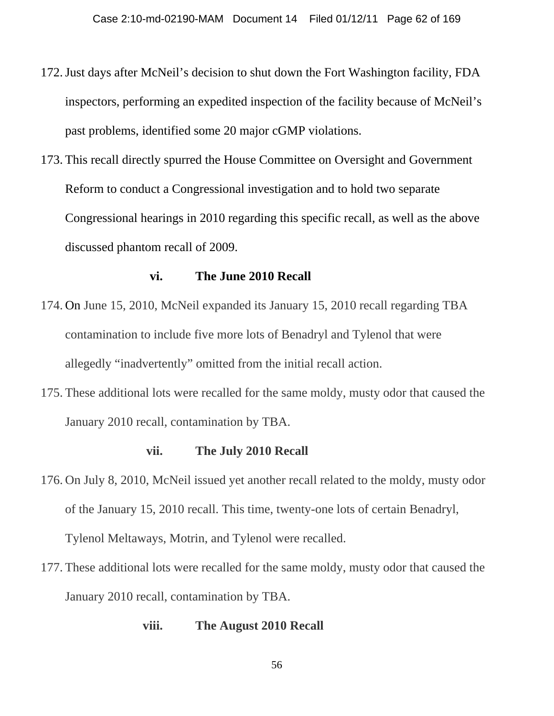- 172.Just days after McNeil's decision to shut down the Fort Washington facility, FDA inspectors, performing an expedited inspection of the facility because of McNeil's past problems, identified some 20 major cGMP violations.
- 173. This recall directly spurred the House Committee on Oversight and Government Reform to conduct a Congressional investigation and to hold two separate Congressional hearings in 2010 regarding this specific recall, as well as the above discussed phantom recall of 2009.

#### **vi. The June 2010 Recall**

- 174. On June 15, 2010, McNeil expanded its January 15, 2010 recall regarding TBA contamination to include five more lots of Benadryl and Tylenol that were allegedly "inadvertently" omitted from the initial recall action.
- 175. These additional lots were recalled for the same moldy, musty odor that caused the January 2010 recall, contamination by TBA.

#### **vii. The July 2010 Recall**

- 176. On July 8, 2010, McNeil issued yet another recall related to the moldy, musty odor of the January 15, 2010 recall. This time, twenty-one lots of certain Benadryl, Tylenol Meltaways, Motrin, and Tylenol were recalled.
- 177. These additional lots were recalled for the same moldy, musty odor that caused the January 2010 recall, contamination by TBA.

## **viii. The August 2010 Recall**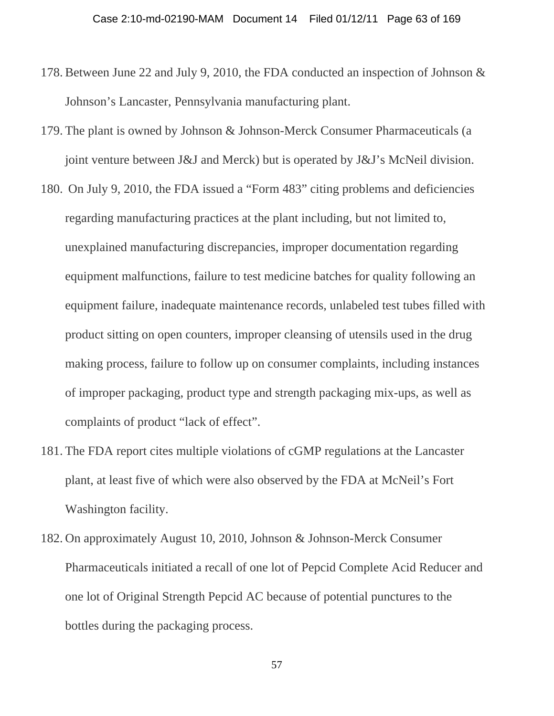- 178. Between June 22 and July 9, 2010, the FDA conducted an inspection of Johnson & Johnson's Lancaster, Pennsylvania manufacturing plant.
- 179. The plant is owned by Johnson & Johnson-Merck Consumer Pharmaceuticals (a joint venture between J&J and Merck) but is operated by J&J's McNeil division.
- 180. On July 9, 2010, the FDA issued a "Form 483" citing problems and deficiencies regarding manufacturing practices at the plant including, but not limited to, unexplained manufacturing discrepancies, improper documentation regarding equipment malfunctions, failure to test medicine batches for quality following an equipment failure, inadequate maintenance records, unlabeled test tubes filled with product sitting on open counters, improper cleansing of utensils used in the drug making process, failure to follow up on consumer complaints, including instances of improper packaging, product type and strength packaging mix-ups, as well as complaints of product "lack of effect".
- 181. The FDA report cites multiple violations of cGMP regulations at the Lancaster plant, at least five of which were also observed by the FDA at McNeil's Fort Washington facility.
- 182. On approximately August 10, 2010, Johnson & Johnson-Merck Consumer Pharmaceuticals initiated a recall of one lot of Pepcid Complete Acid Reducer and one lot of Original Strength Pepcid AC because of potential punctures to the bottles during the packaging process.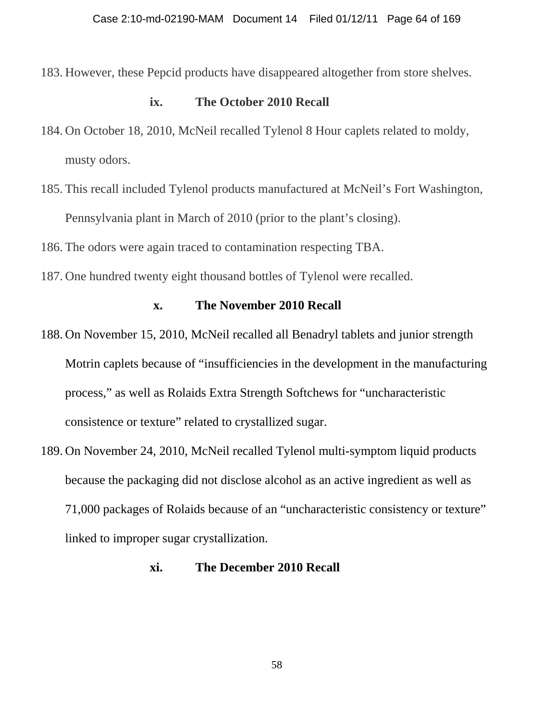183. However, these Pepcid products have disappeared altogether from store shelves.

#### **ix. The October 2010 Recall**

- 184. On October 18, 2010, McNeil recalled Tylenol 8 Hour caplets related to moldy, musty odors.
- 185. This recall included Tylenol products manufactured at McNeil's Fort Washington, Pennsylvania plant in March of 2010 (prior to the plant's closing).
- 186. The odors were again traced to contamination respecting TBA.
- 187. One hundred twenty eight thousand bottles of Tylenol were recalled.

#### **x. The November 2010 Recall**

- 188. On November 15, 2010, McNeil recalled all Benadryl tablets and junior strength Motrin caplets because of "insufficiencies in the development in the manufacturing process," as well as Rolaids Extra Strength Softchews for "uncharacteristic consistence or texture" related to crystallized sugar.
- 189. On November 24, 2010, McNeil recalled Tylenol multi-symptom liquid products because the packaging did not disclose alcohol as an active ingredient as well as 71,000 packages of Rolaids because of an "uncharacteristic consistency or texture" linked to improper sugar crystallization.

### **xi. The December 2010 Recall**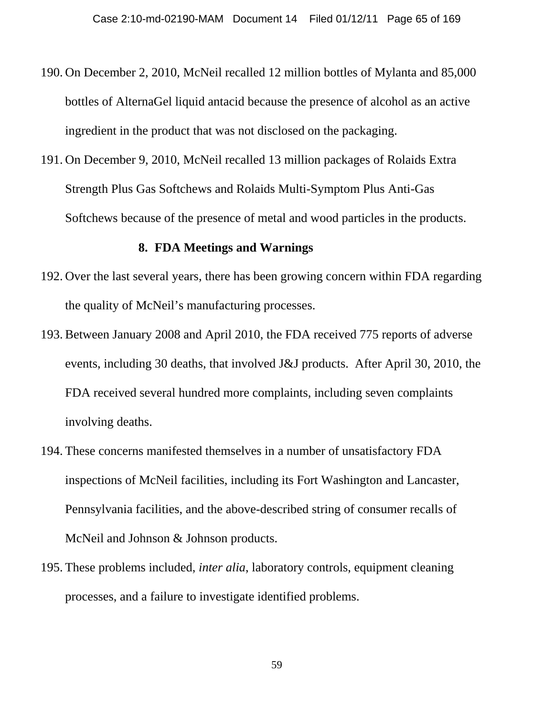- 190. On December 2, 2010, McNeil recalled 12 million bottles of Mylanta and 85,000 bottles of AlternaGel liquid antacid because the presence of alcohol as an active ingredient in the product that was not disclosed on the packaging.
- 191. On December 9, 2010, McNeil recalled 13 million packages of Rolaids Extra Strength Plus Gas Softchews and Rolaids Multi-Symptom Plus Anti-Gas Softchews because of the presence of metal and wood particles in the products.

#### **8. FDA Meetings and Warnings**

- 192. Over the last several years, there has been growing concern within FDA regarding the quality of McNeil's manufacturing processes.
- 193. Between January 2008 and April 2010, the FDA received 775 reports of adverse events, including 30 deaths, that involved J&J products. After April 30, 2010, the FDA received several hundred more complaints, including seven complaints involving deaths.
- 194. These concerns manifested themselves in a number of unsatisfactory FDA inspections of McNeil facilities, including its Fort Washington and Lancaster, Pennsylvania facilities, and the above-described string of consumer recalls of McNeil and Johnson & Johnson products.
- 195. These problems included, *inter alia*, laboratory controls, equipment cleaning processes, and a failure to investigate identified problems.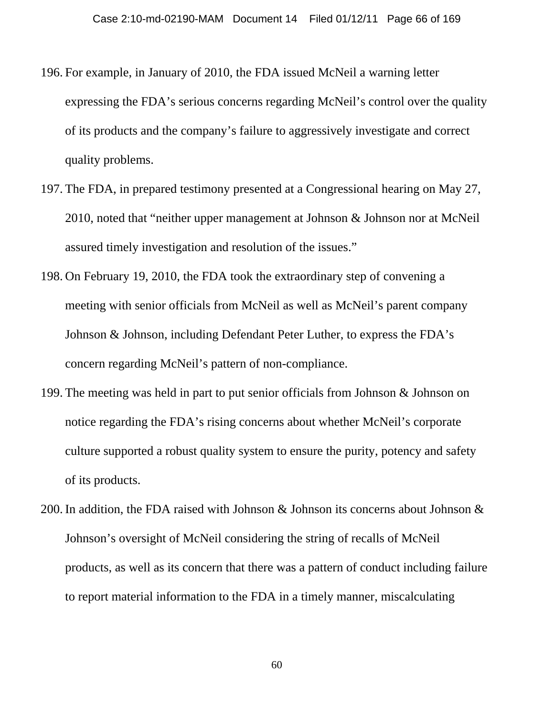- 196. For example, in January of 2010, the FDA issued McNeil a warning letter expressing the FDA's serious concerns regarding McNeil's control over the quality of its products and the company's failure to aggressively investigate and correct quality problems.
- 197. The FDA, in prepared testimony presented at a Congressional hearing on May 27, 2010, noted that "neither upper management at Johnson & Johnson nor at McNeil assured timely investigation and resolution of the issues."
- 198. On February 19, 2010, the FDA took the extraordinary step of convening a meeting with senior officials from McNeil as well as McNeil's parent company Johnson & Johnson, including Defendant Peter Luther, to express the FDA's concern regarding McNeil's pattern of non-compliance.
- 199. The meeting was held in part to put senior officials from Johnson & Johnson on notice regarding the FDA's rising concerns about whether McNeil's corporate culture supported a robust quality system to ensure the purity, potency and safety of its products.
- 200. In addition, the FDA raised with Johnson & Johnson its concerns about Johnson & Johnson's oversight of McNeil considering the string of recalls of McNeil products, as well as its concern that there was a pattern of conduct including failure to report material information to the FDA in a timely manner, miscalculating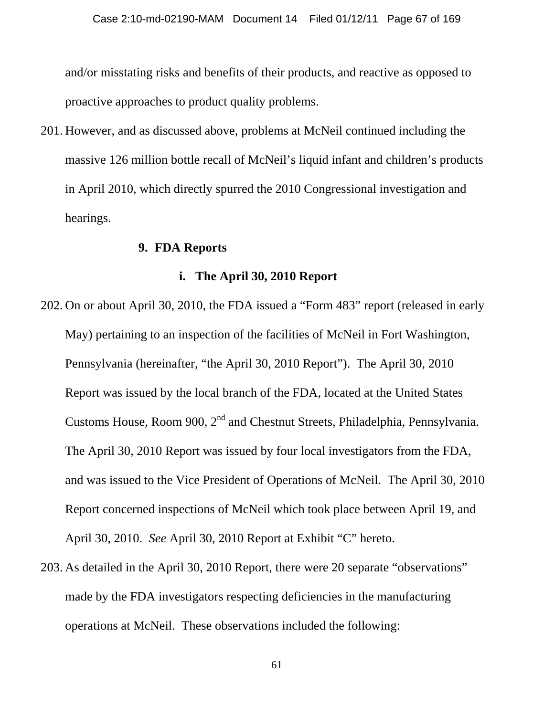and/or misstating risks and benefits of their products, and reactive as opposed to proactive approaches to product quality problems.

201. However, and as discussed above, problems at McNeil continued including the massive 126 million bottle recall of McNeil's liquid infant and children's products in April 2010, which directly spurred the 2010 Congressional investigation and hearings.

#### **9. FDA Reports**

#### **i. The April 30, 2010 Report**

- 202. On or about April 30, 2010, the FDA issued a "Form 483" report (released in early May) pertaining to an inspection of the facilities of McNeil in Fort Washington, Pennsylvania (hereinafter, "the April 30, 2010 Report"). The April 30, 2010 Report was issued by the local branch of the FDA, located at the United States Customs House, Room 900, 2<sup>nd</sup> and Chestnut Streets, Philadelphia, Pennsylvania. The April 30, 2010 Report was issued by four local investigators from the FDA, and was issued to the Vice President of Operations of McNeil. The April 30, 2010 Report concerned inspections of McNeil which took place between April 19, and April 30, 2010. *See* April 30, 2010 Report at Exhibit "C" hereto.
- 203. As detailed in the April 30, 2010 Report, there were 20 separate "observations" made by the FDA investigators respecting deficiencies in the manufacturing operations at McNeil. These observations included the following: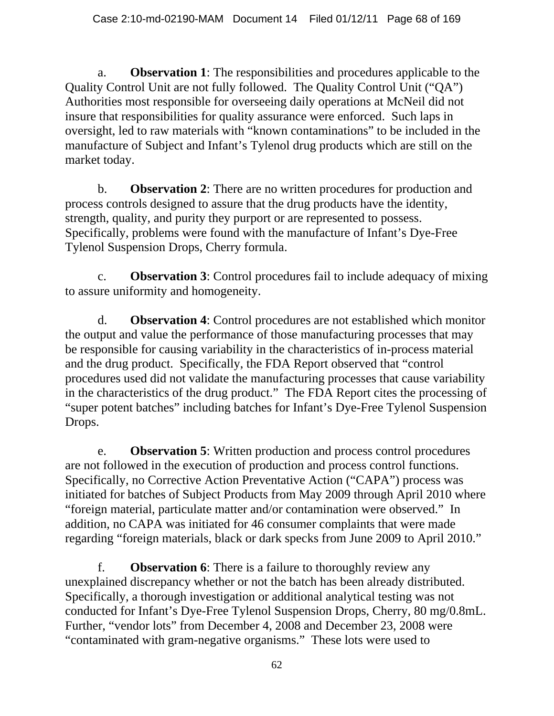a. **Observation 1**: The responsibilities and procedures applicable to the Quality Control Unit are not fully followed. The Quality Control Unit ("QA") Authorities most responsible for overseeing daily operations at McNeil did not insure that responsibilities for quality assurance were enforced. Such laps in oversight, led to raw materials with "known contaminations" to be included in the manufacture of Subject and Infant's Tylenol drug products which are still on the market today.

b. **Observation 2**: There are no written procedures for production and process controls designed to assure that the drug products have the identity, strength, quality, and purity they purport or are represented to possess. Specifically, problems were found with the manufacture of Infant's Dye-Free Tylenol Suspension Drops, Cherry formula.

c. **Observation 3**: Control procedures fail to include adequacy of mixing to assure uniformity and homogeneity.

d. **Observation 4**: Control procedures are not established which monitor the output and value the performance of those manufacturing processes that may be responsible for causing variability in the characteristics of in-process material and the drug product. Specifically, the FDA Report observed that "control procedures used did not validate the manufacturing processes that cause variability in the characteristics of the drug product." The FDA Report cites the processing of "super potent batches" including batches for Infant's Dye-Free Tylenol Suspension Drops.

e. **Observation 5**: Written production and process control procedures are not followed in the execution of production and process control functions. Specifically, no Corrective Action Preventative Action ("CAPA") process was initiated for batches of Subject Products from May 2009 through April 2010 where "foreign material, particulate matter and/or contamination were observed." In addition, no CAPA was initiated for 46 consumer complaints that were made regarding "foreign materials, black or dark specks from June 2009 to April 2010."

f. **Observation 6**: There is a failure to thoroughly review any unexplained discrepancy whether or not the batch has been already distributed. Specifically, a thorough investigation or additional analytical testing was not conducted for Infant's Dye-Free Tylenol Suspension Drops, Cherry, 80 mg/0.8mL. Further, "vendor lots" from December 4, 2008 and December 23, 2008 were "contaminated with gram-negative organisms." These lots were used to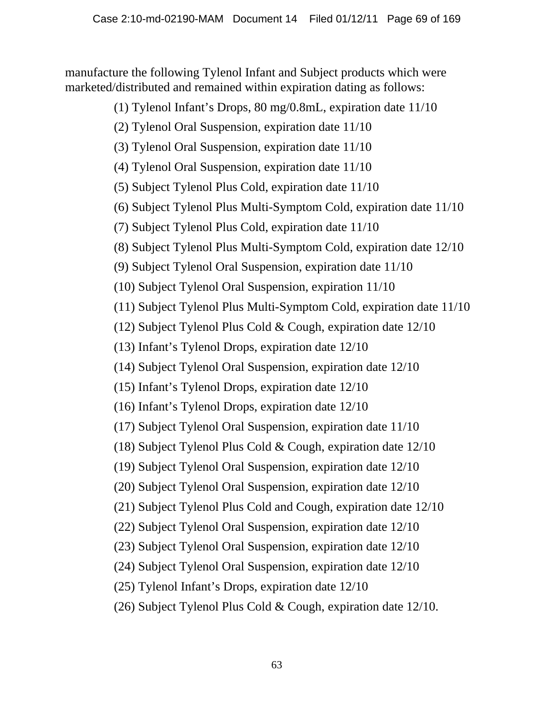manufacture the following Tylenol Infant and Subject products which were marketed/distributed and remained within expiration dating as follows:

- (1) Tylenol Infant's Drops, 80 mg/0.8mL, expiration date 11/10
- (2) Tylenol Oral Suspension, expiration date 11/10
- (3) Tylenol Oral Suspension, expiration date 11/10
- (4) Tylenol Oral Suspension, expiration date 11/10
- (5) Subject Tylenol Plus Cold, expiration date 11/10
- (6) Subject Tylenol Plus Multi-Symptom Cold, expiration date 11/10
- (7) Subject Tylenol Plus Cold, expiration date 11/10
- (8) Subject Tylenol Plus Multi-Symptom Cold, expiration date 12/10
- (9) Subject Tylenol Oral Suspension, expiration date 11/10
- (10) Subject Tylenol Oral Suspension, expiration 11/10
- (11) Subject Tylenol Plus Multi-Symptom Cold, expiration date 11/10
- (12) Subject Tylenol Plus Cold & Cough, expiration date 12/10
- (13) Infant's Tylenol Drops, expiration date 12/10
- (14) Subject Tylenol Oral Suspension, expiration date 12/10
- (15) Infant's Tylenol Drops, expiration date 12/10
- (16) Infant's Tylenol Drops, expiration date 12/10
- (17) Subject Tylenol Oral Suspension, expiration date 11/10
- (18) Subject Tylenol Plus Cold & Cough, expiration date 12/10
- (19) Subject Tylenol Oral Suspension, expiration date 12/10
- (20) Subject Tylenol Oral Suspension, expiration date 12/10
- (21) Subject Tylenol Plus Cold and Cough, expiration date 12/10
- (22) Subject Tylenol Oral Suspension, expiration date 12/10
- (23) Subject Tylenol Oral Suspension, expiration date 12/10
- (24) Subject Tylenol Oral Suspension, expiration date 12/10
- (25) Tylenol Infant's Drops, expiration date 12/10
- (26) Subject Tylenol Plus Cold & Cough, expiration date 12/10.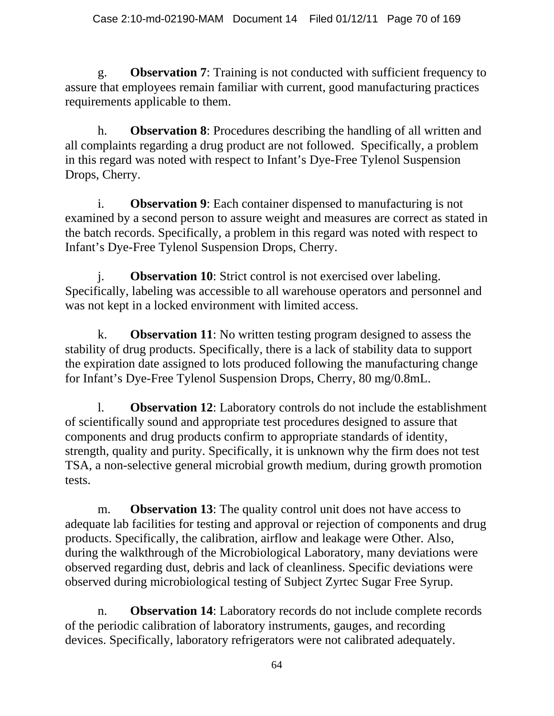g. **Observation 7**: Training is not conducted with sufficient frequency to assure that employees remain familiar with current, good manufacturing practices requirements applicable to them.

h. **Observation 8**: Procedures describing the handling of all written and all complaints regarding a drug product are not followed. Specifically, a problem in this regard was noted with respect to Infant's Dye-Free Tylenol Suspension Drops, Cherry.

i. **Observation 9**: Each container dispensed to manufacturing is not examined by a second person to assure weight and measures are correct as stated in the batch records. Specifically, a problem in this regard was noted with respect to Infant's Dye-Free Tylenol Suspension Drops, Cherry.

j. **Observation 10**: Strict control is not exercised over labeling. Specifically, labeling was accessible to all warehouse operators and personnel and was not kept in a locked environment with limited access.

k. **Observation 11**: No written testing program designed to assess the stability of drug products. Specifically, there is a lack of stability data to support the expiration date assigned to lots produced following the manufacturing change for Infant's Dye-Free Tylenol Suspension Drops, Cherry, 80 mg/0.8mL.

l. **Observation 12**: Laboratory controls do not include the establishment of scientifically sound and appropriate test procedures designed to assure that components and drug products confirm to appropriate standards of identity, strength, quality and purity. Specifically, it is unknown why the firm does not test TSA, a non-selective general microbial growth medium, during growth promotion tests.

m. **Observation 13**: The quality control unit does not have access to adequate lab facilities for testing and approval or rejection of components and drug products. Specifically, the calibration, airflow and leakage were Other. Also, during the walkthrough of the Microbiological Laboratory, many deviations were observed regarding dust, debris and lack of cleanliness. Specific deviations were observed during microbiological testing of Subject Zyrtec Sugar Free Syrup.

n. **Observation 14**: Laboratory records do not include complete records of the periodic calibration of laboratory instruments, gauges, and recording devices. Specifically, laboratory refrigerators were not calibrated adequately.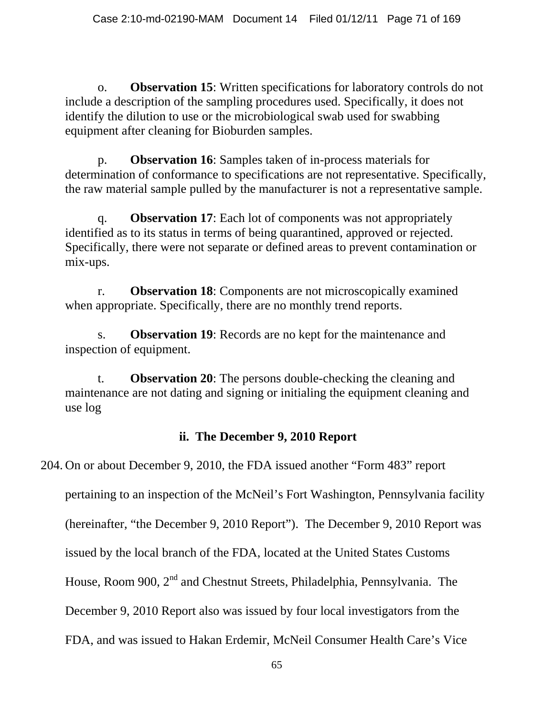o. **Observation 15**: Written specifications for laboratory controls do not include a description of the sampling procedures used. Specifically, it does not identify the dilution to use or the microbiological swab used for swabbing equipment after cleaning for Bioburden samples.

p. **Observation 16**: Samples taken of in-process materials for determination of conformance to specifications are not representative. Specifically, the raw material sample pulled by the manufacturer is not a representative sample.

q. **Observation 17**: Each lot of components was not appropriately identified as to its status in terms of being quarantined, approved or rejected. Specifically, there were not separate or defined areas to prevent contamination or mix-ups.

r. **Observation 18**: Components are not microscopically examined when appropriate. Specifically, there are no monthly trend reports.

s. **Observation 19**: Records are no kept for the maintenance and inspection of equipment.

t. **Observation 20**: The persons double-checking the cleaning and maintenance are not dating and signing or initialing the equipment cleaning and use log

# **ii. The December 9, 2010 Report**

## 204. On or about December 9, 2010, the FDA issued another "Form 483" report

pertaining to an inspection of the McNeil's Fort Washington, Pennsylvania facility

(hereinafter, "the December 9, 2010 Report"). The December 9, 2010 Report was

issued by the local branch of the FDA, located at the United States Customs

House, Room 900, 2<sup>nd</sup> and Chestnut Streets, Philadelphia, Pennsylvania. The

December 9, 2010 Report also was issued by four local investigators from the

FDA, and was issued to Hakan Erdemir, McNeil Consumer Health Care's Vice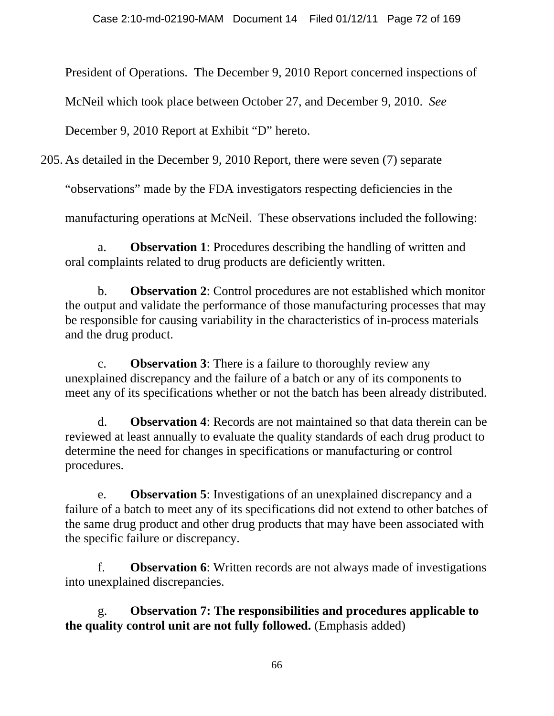President of Operations. The December 9, 2010 Report concerned inspections of

McNeil which took place between October 27, and December 9, 2010. *See*

December 9, 2010 Report at Exhibit "D" hereto.

205. As detailed in the December 9, 2010 Report, there were seven (7) separate

"observations" made by the FDA investigators respecting deficiencies in the

manufacturing operations at McNeil. These observations included the following:

a. **Observation 1**: Procedures describing the handling of written and oral complaints related to drug products are deficiently written.

b. **Observation 2**: Control procedures are not established which monitor the output and validate the performance of those manufacturing processes that may be responsible for causing variability in the characteristics of in-process materials and the drug product.

c. **Observation 3**: There is a failure to thoroughly review any unexplained discrepancy and the failure of a batch or any of its components to meet any of its specifications whether or not the batch has been already distributed.

d. **Observation 4**: Records are not maintained so that data therein can be reviewed at least annually to evaluate the quality standards of each drug product to determine the need for changes in specifications or manufacturing or control procedures.

e. **Observation 5**: Investigations of an unexplained discrepancy and a failure of a batch to meet any of its specifications did not extend to other batches of the same drug product and other drug products that may have been associated with the specific failure or discrepancy.

f. **Observation 6**: Written records are not always made of investigations into unexplained discrepancies.

g. **Observation 7: The responsibilities and procedures applicable to the quality control unit are not fully followed.** (Emphasis added)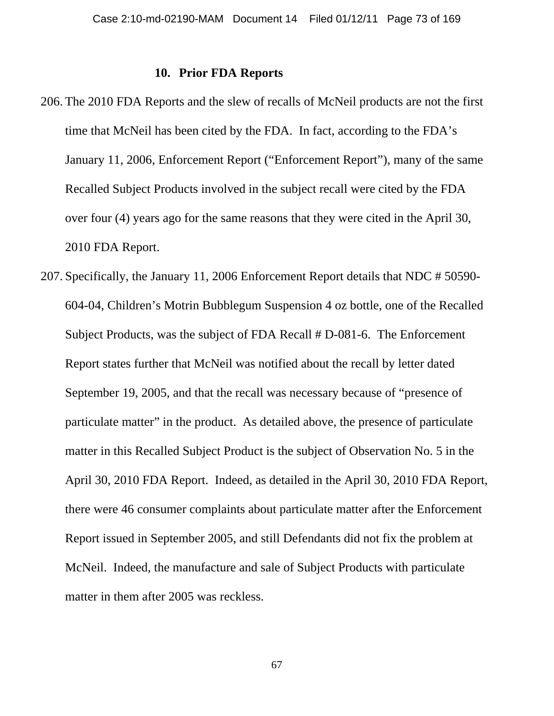#### **10. Prior FDA Reports**

- 206. The 2010 FDA Reports and the slew of recalls of McNeil products are not the first time that McNeil has been cited by the FDA. In fact, according to the FDA's January 11, 2006, Enforcement Report ("Enforcement Report"), many of the same Recalled Subject Products involved in the subject recall were cited by the FDA over four (4) years ago for the same reasons that they were cited in the April 30, 2010 FDA Report.
- 207. Specifically, the January 11, 2006 Enforcement Report details that NDC # 50590- 604-04, Children's Motrin Bubblegum Suspension 4 oz bottle, one of the Recalled Subject Products, was the subject of FDA Recall # D-081-6. The Enforcement Report states further that McNeil was notified about the recall by letter dated September 19, 2005, and that the recall was necessary because of "presence of particulate matter" in the product. As detailed above, the presence of particulate matter in this Recalled Subject Product is the subject of Observation No. 5 in the April 30, 2010 FDA Report. Indeed, as detailed in the April 30, 2010 FDA Report, there were 46 consumer complaints about particulate matter after the Enforcement Report issued in September 2005, and still Defendants did not fix the problem at McNeil. Indeed, the manufacture and sale of Subject Products with particulate matter in them after 2005 was reckless.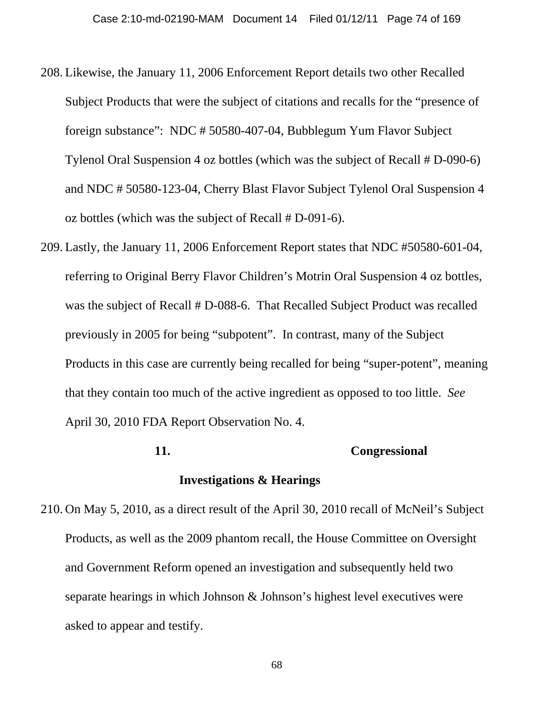- 208. Likewise, the January 11, 2006 Enforcement Report details two other Recalled Subject Products that were the subject of citations and recalls for the "presence of foreign substance": NDC # 50580-407-04, Bubblegum Yum Flavor Subject Tylenol Oral Suspension 4 oz bottles (which was the subject of Recall # D-090-6) and NDC # 50580-123-04, Cherry Blast Flavor Subject Tylenol Oral Suspension 4 oz bottles (which was the subject of Recall # D-091-6).
- 209. Lastly, the January 11, 2006 Enforcement Report states that NDC #50580-601-04, referring to Original Berry Flavor Children's Motrin Oral Suspension 4 oz bottles, was the subject of Recall # D-088-6. That Recalled Subject Product was recalled previously in 2005 for being "subpotent". In contrast, many of the Subject Products in this case are currently being recalled for being "super-potent", meaning that they contain too much of the active ingredient as opposed to too little. *See* April 30, 2010 FDA Report Observation No. 4.

# **11. Congressional Investigations & Hearings**

210. On May 5, 2010, as a direct result of the April 30, 2010 recall of McNeil's Subject Products, as well as the 2009 phantom recall, the House Committee on Oversight and Government Reform opened an investigation and subsequently held two separate hearings in which Johnson & Johnson's highest level executives were asked to appear and testify.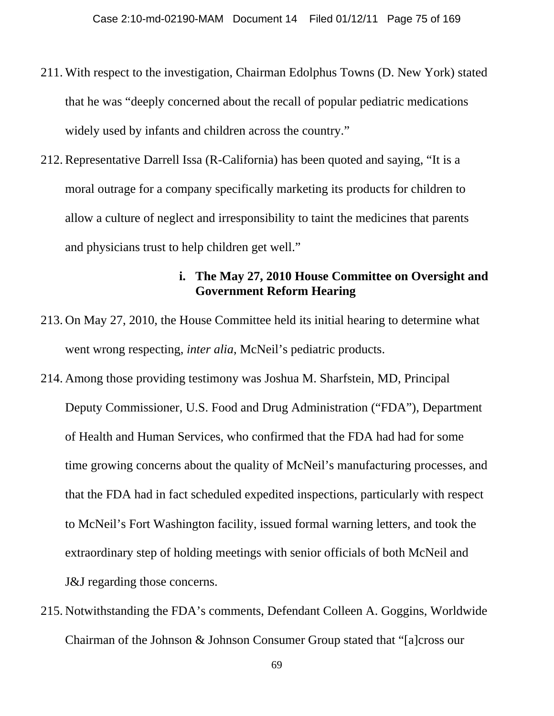- 211. With respect to the investigation, Chairman Edolphus Towns (D. New York) stated that he was "deeply concerned about the recall of popular pediatric medications widely used by infants and children across the country."
- 212. Representative Darrell Issa (R-California) has been quoted and saying, "It is a moral outrage for a company specifically marketing its products for children to allow a culture of neglect and irresponsibility to taint the medicines that parents and physicians trust to help children get well."

## **i. The May 27, 2010 House Committee on Oversight and Government Reform Hearing**

- 213. On May 27, 2010, the House Committee held its initial hearing to determine what went wrong respecting, *inter alia*, McNeil's pediatric products.
- 214. Among those providing testimony was Joshua M. Sharfstein, MD, Principal Deputy Commissioner, U.S. Food and Drug Administration ("FDA"), Department of Health and Human Services, who confirmed that the FDA had had for some time growing concerns about the quality of McNeil's manufacturing processes, and that the FDA had in fact scheduled expedited inspections, particularly with respect to McNeil's Fort Washington facility, issued formal warning letters, and took the extraordinary step of holding meetings with senior officials of both McNeil and J&J regarding those concerns.
- 215. Notwithstanding the FDA's comments, Defendant Colleen A. Goggins, Worldwide Chairman of the Johnson & Johnson Consumer Group stated that "[a]cross our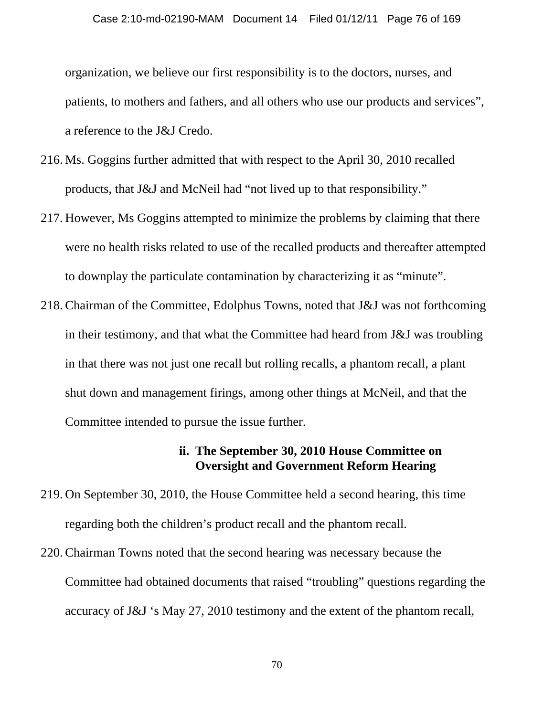organization, we believe our first responsibility is to the doctors, nurses, and patients, to mothers and fathers, and all others who use our products and services", a reference to the J&J Credo.

- 216. Ms. Goggins further admitted that with respect to the April 30, 2010 recalled products, that J&J and McNeil had "not lived up to that responsibility."
- 217. However, Ms Goggins attempted to minimize the problems by claiming that there were no health risks related to use of the recalled products and thereafter attempted to downplay the particulate contamination by characterizing it as "minute".
- 218. Chairman of the Committee, Edolphus Towns, noted that J&J was not forthcoming in their testimony, and that what the Committee had heard from J&J was troubling in that there was not just one recall but rolling recalls, a phantom recall, a plant shut down and management firings, among other things at McNeil, and that the Committee intended to pursue the issue further.

#### **ii. The September 30, 2010 House Committee on Oversight and Government Reform Hearing**

- 219. On September 30, 2010, the House Committee held a second hearing, this time regarding both the children's product recall and the phantom recall.
- 220. Chairman Towns noted that the second hearing was necessary because the Committee had obtained documents that raised "troubling" questions regarding the accuracy of J&J 's May 27, 2010 testimony and the extent of the phantom recall,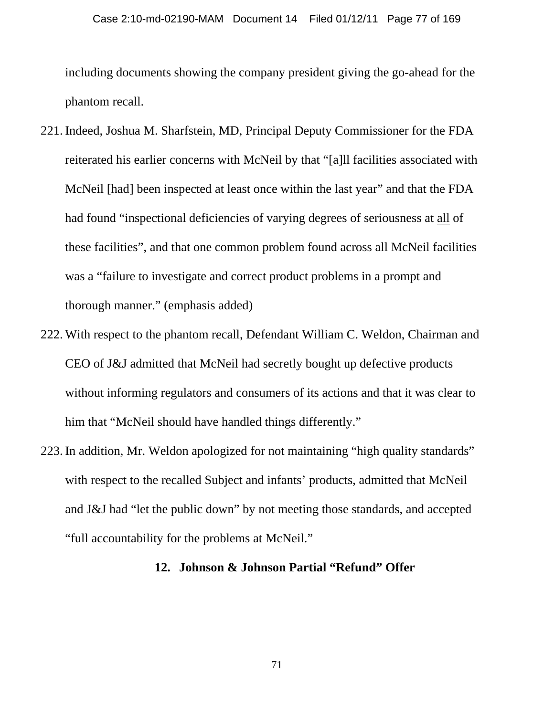including documents showing the company president giving the go-ahead for the phantom recall.

- 221. Indeed, Joshua M. Sharfstein, MD, Principal Deputy Commissioner for the FDA reiterated his earlier concerns with McNeil by that "[a]ll facilities associated with McNeil [had] been inspected at least once within the last year" and that the FDA had found "inspectional deficiencies of varying degrees of seriousness at all of these facilities", and that one common problem found across all McNeil facilities was a "failure to investigate and correct product problems in a prompt and thorough manner." (emphasis added)
- 222. With respect to the phantom recall, Defendant William C. Weldon, Chairman and CEO of J&J admitted that McNeil had secretly bought up defective products without informing regulators and consumers of its actions and that it was clear to him that "McNeil should have handled things differently."
- 223. In addition, Mr. Weldon apologized for not maintaining "high quality standards" with respect to the recalled Subject and infants' products, admitted that McNeil and J&J had "let the public down" by not meeting those standards, and accepted "full accountability for the problems at McNeil."

#### **12. Johnson & Johnson Partial "Refund" Offer**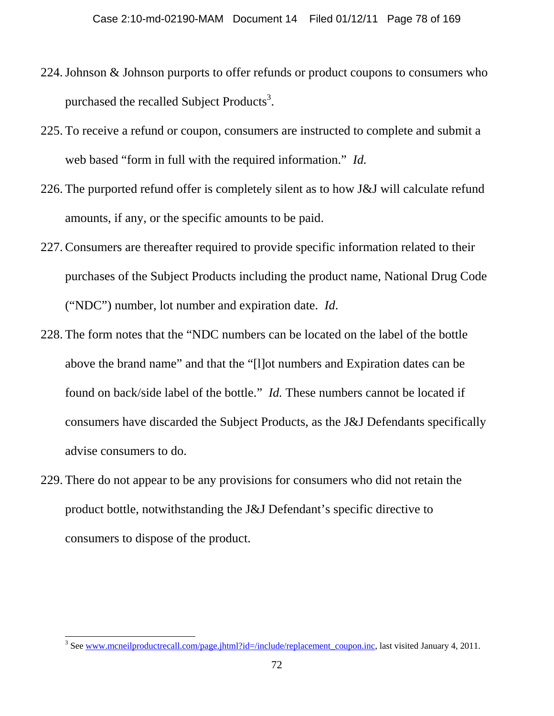- 224.Johnson & Johnson purports to offer refunds or product coupons to consumers who purchased the recalled Subject Products<sup>3</sup>.
- 225. To receive a refund or coupon, consumers are instructed to complete and submit a web based "form in full with the required information." *Id.*
- 226. The purported refund offer is completely silent as to how J&J will calculate refund amounts, if any, or the specific amounts to be paid.
- 227. Consumers are thereafter required to provide specific information related to their purchases of the Subject Products including the product name, National Drug Code ("NDC") number, lot number and expiration date. *Id*.
- 228. The form notes that the "NDC numbers can be located on the label of the bottle above the brand name" and that the "[l]ot numbers and Expiration dates can be found on back/side label of the bottle." *Id.* These numbers cannot be located if consumers have discarded the Subject Products, as the J&J Defendants specifically advise consumers to do.
- 229. There do not appear to be any provisions for consumers who did not retain the product bottle, notwithstanding the J&J Defendant's specific directive to consumers to dispose of the product.

 $\overline{\phantom{a}}$ 

<sup>&</sup>lt;sup>3</sup> See www.mcneilproductrecall.com/page.jhtml?id=/include/replacement\_coupon.inc, last visited January 4, 2011.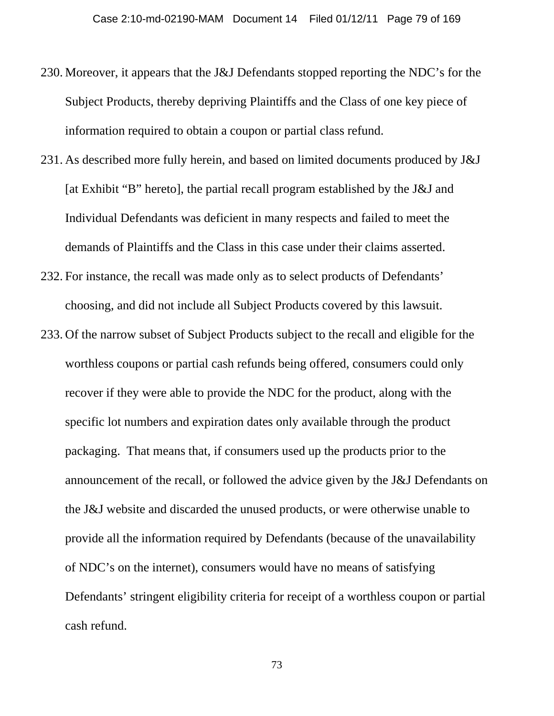- 230. Moreover, it appears that the J&J Defendants stopped reporting the NDC's for the Subject Products, thereby depriving Plaintiffs and the Class of one key piece of information required to obtain a coupon or partial class refund.
- 231. As described more fully herein, and based on limited documents produced by J&J [at Exhibit "B" hereto], the partial recall program established by the J&J and Individual Defendants was deficient in many respects and failed to meet the demands of Plaintiffs and the Class in this case under their claims asserted.
- 232. For instance, the recall was made only as to select products of Defendants' choosing, and did not include all Subject Products covered by this lawsuit.
- 233. Of the narrow subset of Subject Products subject to the recall and eligible for the worthless coupons or partial cash refunds being offered, consumers could only recover if they were able to provide the NDC for the product, along with the specific lot numbers and expiration dates only available through the product packaging. That means that, if consumers used up the products prior to the announcement of the recall, or followed the advice given by the J&J Defendants on the J&J website and discarded the unused products, or were otherwise unable to provide all the information required by Defendants (because of the unavailability of NDC's on the internet), consumers would have no means of satisfying Defendants' stringent eligibility criteria for receipt of a worthless coupon or partial cash refund.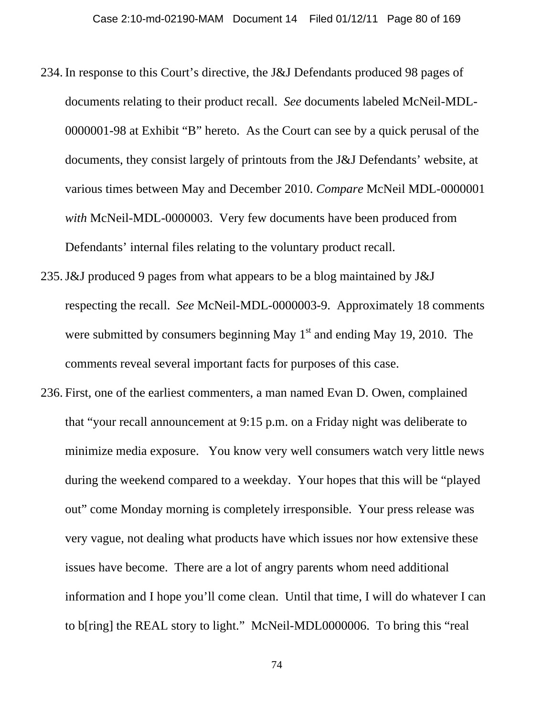- 234. In response to this Court's directive, the J&J Defendants produced 98 pages of documents relating to their product recall. *See* documents labeled McNeil-MDL-0000001-98 at Exhibit "B" hereto. As the Court can see by a quick perusal of the documents, they consist largely of printouts from the J&J Defendants' website, at various times between May and December 2010. *Compare* McNeil MDL-0000001 *with* McNeil-MDL-0000003. Very few documents have been produced from Defendants' internal files relating to the voluntary product recall.
- 235.J&J produced 9 pages from what appears to be a blog maintained by J&J respecting the recall. *See* McNeil-MDL-0000003-9. Approximately 18 comments were submitted by consumers beginning May  $1<sup>st</sup>$  and ending May 19, 2010. The comments reveal several important facts for purposes of this case.
- 236. First, one of the earliest commenters, a man named Evan D. Owen, complained that "your recall announcement at 9:15 p.m. on a Friday night was deliberate to minimize media exposure. You know very well consumers watch very little news during the weekend compared to a weekday. Your hopes that this will be "played out" come Monday morning is completely irresponsible. Your press release was very vague, not dealing what products have which issues nor how extensive these issues have become. There are a lot of angry parents whom need additional information and I hope you'll come clean. Until that time, I will do whatever I can to b[ring] the REAL story to light." McNeil-MDL0000006. To bring this "real

74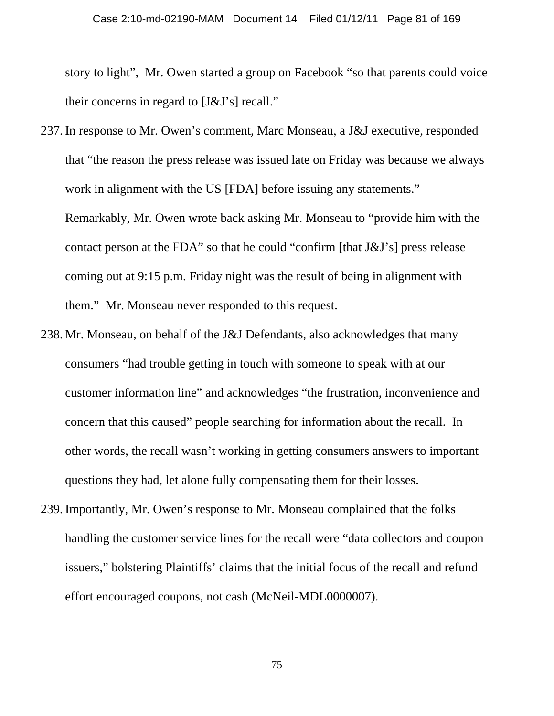story to light", Mr. Owen started a group on Facebook "so that parents could voice their concerns in regard to [J&J's] recall."

- 237. In response to Mr. Owen's comment, Marc Monseau, a J&J executive, responded that "the reason the press release was issued late on Friday was because we always work in alignment with the US [FDA] before issuing any statements." Remarkably, Mr. Owen wrote back asking Mr. Monseau to "provide him with the contact person at the FDA" so that he could "confirm [that J&J's] press release coming out at 9:15 p.m. Friday night was the result of being in alignment with them." Mr. Monseau never responded to this request.
- 238. Mr. Monseau, on behalf of the J&J Defendants, also acknowledges that many consumers "had trouble getting in touch with someone to speak with at our customer information line" and acknowledges "the frustration, inconvenience and concern that this caused" people searching for information about the recall. In other words, the recall wasn't working in getting consumers answers to important questions they had, let alone fully compensating them for their losses.
- 239. Importantly, Mr. Owen's response to Mr. Monseau complained that the folks handling the customer service lines for the recall were "data collectors and coupon issuers," bolstering Plaintiffs' claims that the initial focus of the recall and refund effort encouraged coupons, not cash (McNeil-MDL0000007).

75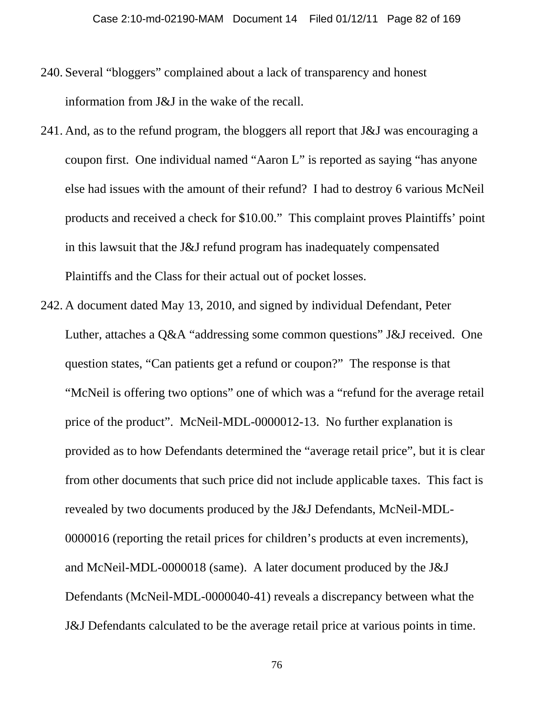- 240. Several "bloggers" complained about a lack of transparency and honest information from J&J in the wake of the recall.
- 241. And, as to the refund program, the bloggers all report that J&J was encouraging a coupon first. One individual named "Aaron L" is reported as saying "has anyone else had issues with the amount of their refund? I had to destroy 6 various McNeil products and received a check for \$10.00." This complaint proves Plaintiffs' point in this lawsuit that the J&J refund program has inadequately compensated Plaintiffs and the Class for their actual out of pocket losses.
- 242. A document dated May 13, 2010, and signed by individual Defendant, Peter Luther, attaches a Q&A "addressing some common questions" J&J received. One question states, "Can patients get a refund or coupon?" The response is that "McNeil is offering two options" one of which was a "refund for the average retail price of the product". McNeil-MDL-0000012-13. No further explanation is provided as to how Defendants determined the "average retail price", but it is clear from other documents that such price did not include applicable taxes. This fact is revealed by two documents produced by the J&J Defendants, McNeil-MDL-0000016 (reporting the retail prices for children's products at even increments), and McNeil-MDL-0000018 (same). A later document produced by the J&J Defendants (McNeil-MDL-0000040-41) reveals a discrepancy between what the J&J Defendants calculated to be the average retail price at various points in time.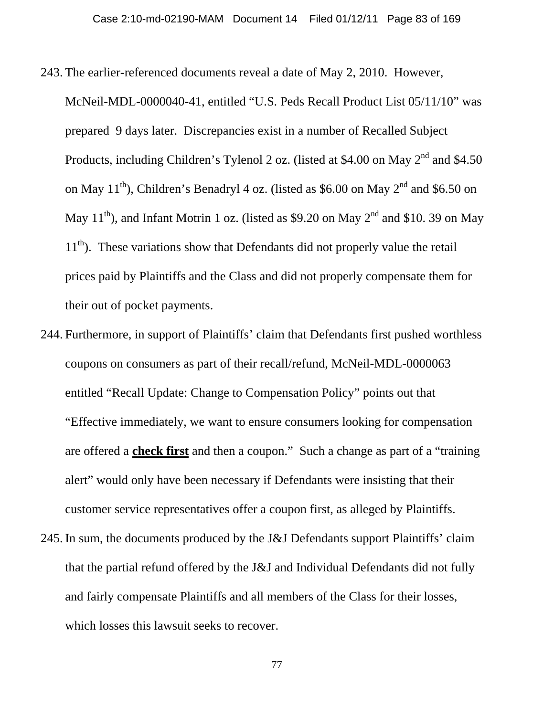243. The earlier-referenced documents reveal a date of May 2, 2010. However,

McNeil-MDL-0000040-41, entitled "U.S. Peds Recall Product List 05/11/10" was prepared 9 days later. Discrepancies exist in a number of Recalled Subject Products, including Children's Tylenol 2 oz. (listed at \$4.00 on May 2<sup>nd</sup> and \$4.50 on May  $11^{th}$ ), Children's Benadryl 4 oz. (listed as \$6.00 on May  $2^{nd}$  and \$6.50 on May 11<sup>th</sup>), and Infant Motrin 1 oz. (listed as \$9.20 on May 2<sup>nd</sup> and \$10. 39 on May  $11<sup>th</sup>$ ). These variations show that Defendants did not properly value the retail prices paid by Plaintiffs and the Class and did not properly compensate them for their out of pocket payments.

- 244. Furthermore, in support of Plaintiffs' claim that Defendants first pushed worthless coupons on consumers as part of their recall/refund, McNeil-MDL-0000063 entitled "Recall Update: Change to Compensation Policy" points out that "Effective immediately, we want to ensure consumers looking for compensation are offered a **check first** and then a coupon." Such a change as part of a "training alert" would only have been necessary if Defendants were insisting that their customer service representatives offer a coupon first, as alleged by Plaintiffs.
- 245. In sum, the documents produced by the J&J Defendants support Plaintiffs' claim that the partial refund offered by the J&J and Individual Defendants did not fully and fairly compensate Plaintiffs and all members of the Class for their losses, which losses this lawsuit seeks to recover.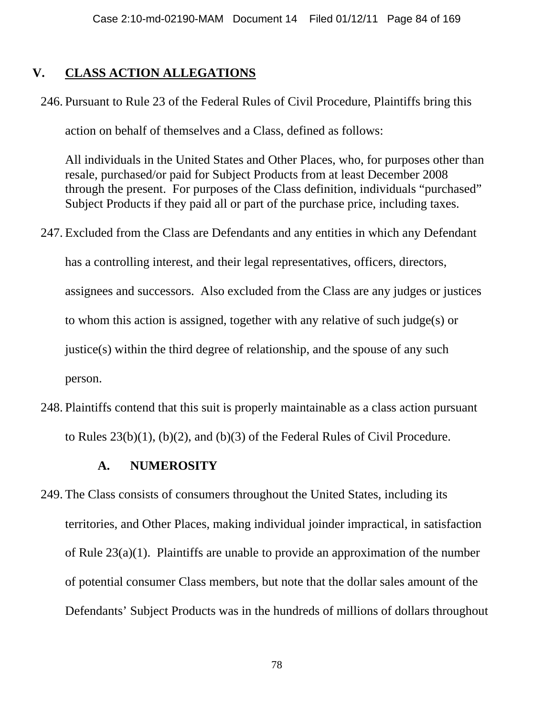## **V. CLASS ACTION ALLEGATIONS**

246. Pursuant to Rule 23 of the Federal Rules of Civil Procedure, Plaintiffs bring this

action on behalf of themselves and a Class, defined as follows:

All individuals in the United States and Other Places, who, for purposes other than resale, purchased/or paid for Subject Products from at least December 2008 through the present. For purposes of the Class definition, individuals "purchased" Subject Products if they paid all or part of the purchase price, including taxes.

247. Excluded from the Class are Defendants and any entities in which any Defendant

has a controlling interest, and their legal representatives, officers, directors,

assignees and successors. Also excluded from the Class are any judges or justices

to whom this action is assigned, together with any relative of such judge(s) or

justice(s) within the third degree of relationship, and the spouse of any such

person.

248. Plaintiffs contend that this suit is properly maintainable as a class action pursuant to Rules 23(b)(1), (b)(2), and (b)(3) of the Federal Rules of Civil Procedure.

## **A. NUMEROSITY**

249. The Class consists of consumers throughout the United States, including its territories, and Other Places, making individual joinder impractical, in satisfaction of Rule 23(a)(1). Plaintiffs are unable to provide an approximation of the number of potential consumer Class members, but note that the dollar sales amount of the Defendants' Subject Products was in the hundreds of millions of dollars throughout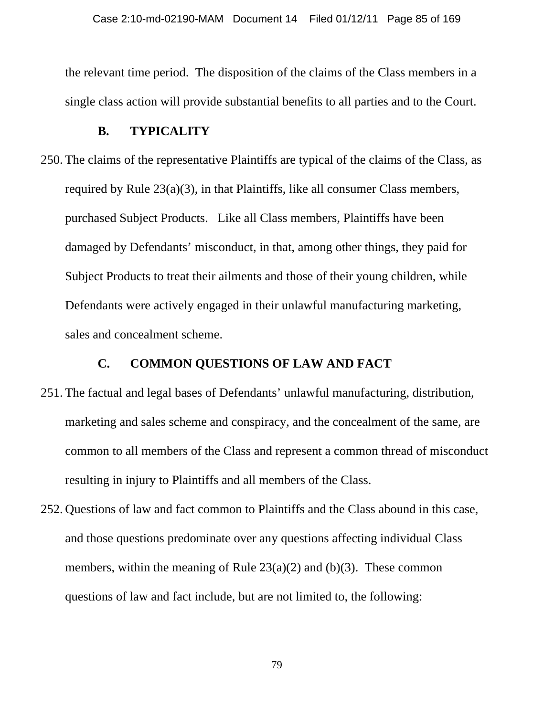the relevant time period. The disposition of the claims of the Class members in a single class action will provide substantial benefits to all parties and to the Court.

#### **B. TYPICALITY**

250. The claims of the representative Plaintiffs are typical of the claims of the Class, as required by Rule 23(a)(3), in that Plaintiffs, like all consumer Class members, purchased Subject Products. Like all Class members, Plaintiffs have been damaged by Defendants' misconduct, in that, among other things, they paid for Subject Products to treat their ailments and those of their young children, while Defendants were actively engaged in their unlawful manufacturing marketing, sales and concealment scheme.

#### **C. COMMON QUESTIONS OF LAW AND FACT**

- 251. The factual and legal bases of Defendants' unlawful manufacturing, distribution, marketing and sales scheme and conspiracy, and the concealment of the same, are common to all members of the Class and represent a common thread of misconduct resulting in injury to Plaintiffs and all members of the Class.
- 252. Questions of law and fact common to Plaintiffs and the Class abound in this case, and those questions predominate over any questions affecting individual Class members, within the meaning of Rule  $23(a)(2)$  and (b)(3). These common questions of law and fact include, but are not limited to, the following: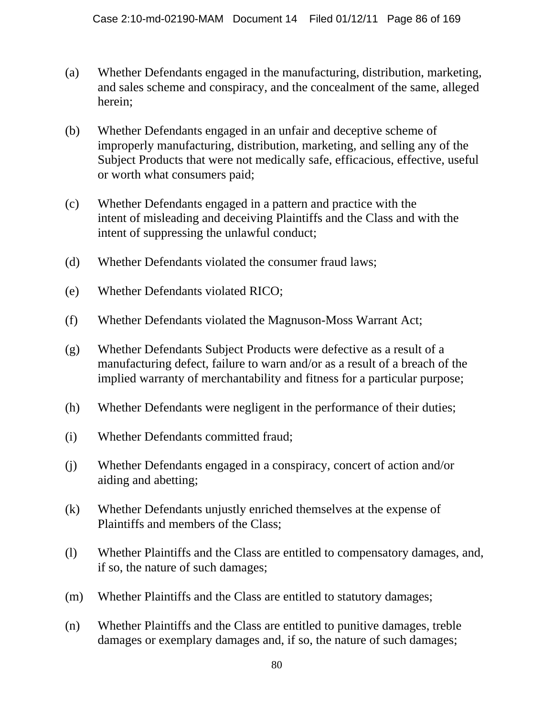- (a) Whether Defendants engaged in the manufacturing, distribution, marketing, and sales scheme and conspiracy, and the concealment of the same, alleged herein;
- (b) Whether Defendants engaged in an unfair and deceptive scheme of improperly manufacturing, distribution, marketing, and selling any of the Subject Products that were not medically safe, efficacious, effective, useful or worth what consumers paid;
- (c) Whether Defendants engaged in a pattern and practice with the intent of misleading and deceiving Plaintiffs and the Class and with the intent of suppressing the unlawful conduct;
- (d) Whether Defendants violated the consumer fraud laws;
- (e) Whether Defendants violated RICO;
- (f) Whether Defendants violated the Magnuson-Moss Warrant Act;
- (g) Whether Defendants Subject Products were defective as a result of a manufacturing defect, failure to warn and/or as a result of a breach of the implied warranty of merchantability and fitness for a particular purpose;
- (h) Whether Defendants were negligent in the performance of their duties;
- (i) Whether Defendants committed fraud;
- (j) Whether Defendants engaged in a conspiracy, concert of action and/or aiding and abetting;
- (k) Whether Defendants unjustly enriched themselves at the expense of Plaintiffs and members of the Class;
- (l) Whether Plaintiffs and the Class are entitled to compensatory damages, and, if so, the nature of such damages;
- (m) Whether Plaintiffs and the Class are entitled to statutory damages;
- (n) Whether Plaintiffs and the Class are entitled to punitive damages, treble damages or exemplary damages and, if so, the nature of such damages;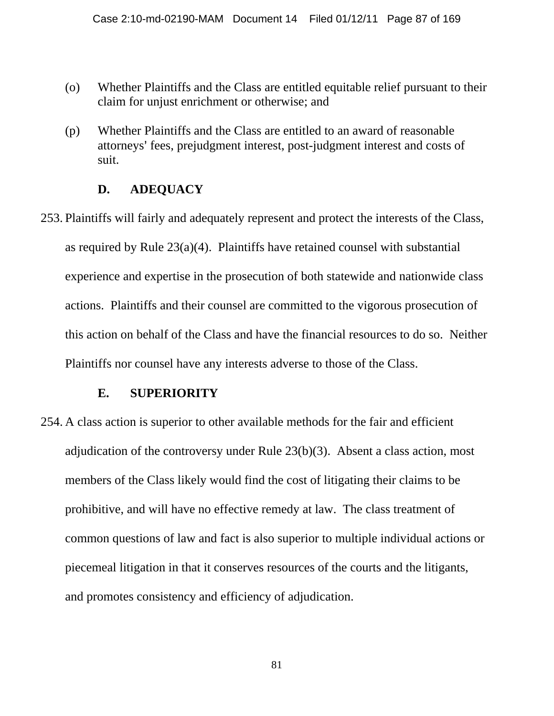- (o) Whether Plaintiffs and the Class are entitled equitable relief pursuant to their claim for unjust enrichment or otherwise; and
- (p) Whether Plaintiffs and the Class are entitled to an award of reasonable attorneys' fees, prejudgment interest, post-judgment interest and costs of suit.

#### **D. ADEQUACY**

253. Plaintiffs will fairly and adequately represent and protect the interests of the Class, as required by Rule  $23(a)(4)$ . Plaintiffs have retained counsel with substantial experience and expertise in the prosecution of both statewide and nationwide class actions. Plaintiffs and their counsel are committed to the vigorous prosecution of this action on behalf of the Class and have the financial resources to do so. Neither Plaintiffs nor counsel have any interests adverse to those of the Class.

#### **E. SUPERIORITY**

254. A class action is superior to other available methods for the fair and efficient adjudication of the controversy under Rule 23(b)(3). Absent a class action, most members of the Class likely would find the cost of litigating their claims to be prohibitive, and will have no effective remedy at law. The class treatment of common questions of law and fact is also superior to multiple individual actions or piecemeal litigation in that it conserves resources of the courts and the litigants, and promotes consistency and efficiency of adjudication.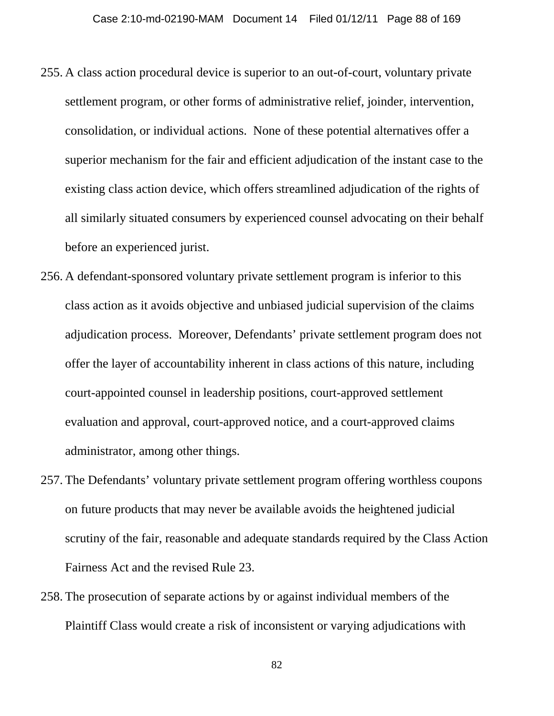- 255. A class action procedural device is superior to an out-of-court, voluntary private settlement program, or other forms of administrative relief, joinder, intervention, consolidation, or individual actions. None of these potential alternatives offer a superior mechanism for the fair and efficient adjudication of the instant case to the existing class action device, which offers streamlined adjudication of the rights of all similarly situated consumers by experienced counsel advocating on their behalf before an experienced jurist.
- 256. A defendant-sponsored voluntary private settlement program is inferior to this class action as it avoids objective and unbiased judicial supervision of the claims adjudication process. Moreover, Defendants' private settlement program does not offer the layer of accountability inherent in class actions of this nature, including court-appointed counsel in leadership positions, court-approved settlement evaluation and approval, court-approved notice, and a court-approved claims administrator, among other things.
- 257. The Defendants' voluntary private settlement program offering worthless coupons on future products that may never be available avoids the heightened judicial scrutiny of the fair, reasonable and adequate standards required by the Class Action Fairness Act and the revised Rule 23.
- 258. The prosecution of separate actions by or against individual members of the Plaintiff Class would create a risk of inconsistent or varying adjudications with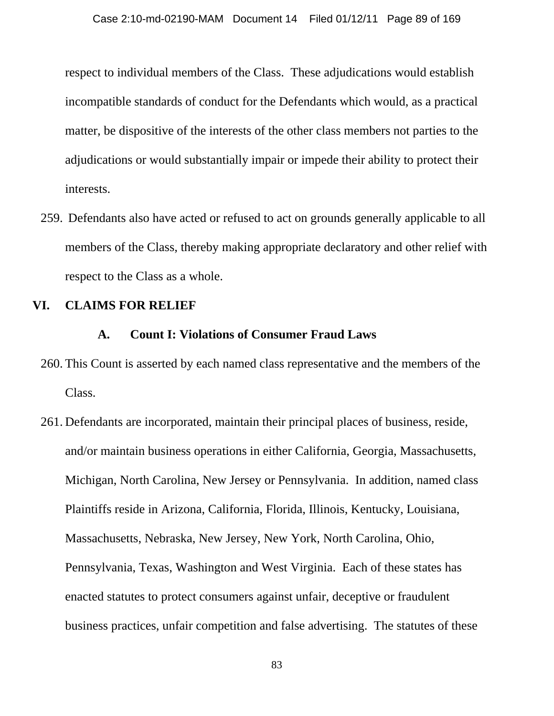respect to individual members of the Class. These adjudications would establish incompatible standards of conduct for the Defendants which would, as a practical matter, be dispositive of the interests of the other class members not parties to the adjudications or would substantially impair or impede their ability to protect their interests.

259. Defendants also have acted or refused to act on grounds generally applicable to all members of the Class, thereby making appropriate declaratory and other relief with respect to the Class as a whole.

#### **VI. CLAIMS FOR RELIEF**

#### **A. Count I: Violations of Consumer Fraud Laws**

- 260. This Count is asserted by each named class representative and the members of the Class.
- 261. Defendants are incorporated, maintain their principal places of business, reside, and/or maintain business operations in either California, Georgia, Massachusetts, Michigan, North Carolina, New Jersey or Pennsylvania. In addition, named class Plaintiffs reside in Arizona, California, Florida, Illinois, Kentucky, Louisiana, Massachusetts, Nebraska, New Jersey, New York, North Carolina, Ohio, Pennsylvania, Texas, Washington and West Virginia. Each of these states has enacted statutes to protect consumers against unfair, deceptive or fraudulent business practices, unfair competition and false advertising. The statutes of these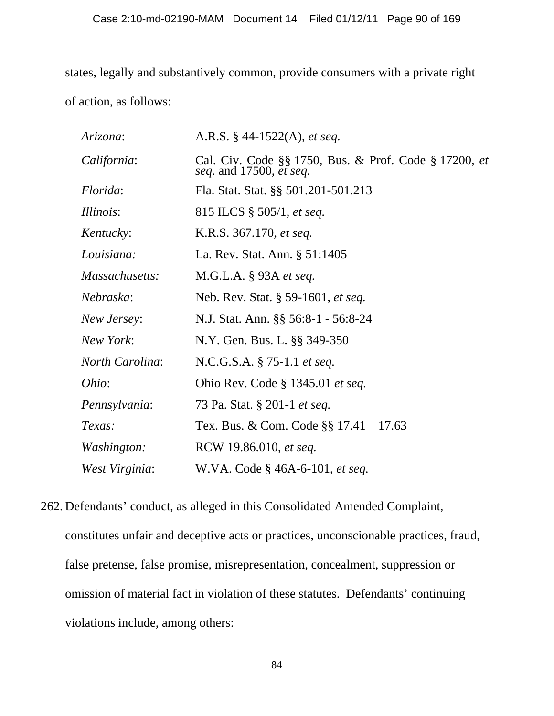states, legally and substantively common, provide consumers with a private right of action, as follows:

| Arizona:               | A.R.S. $§$ 44-1522(A), <i>et seq.</i>                                            |
|------------------------|----------------------------------------------------------------------------------|
| California:            | Cal. Civ. Code §§ 1750, Bus. & Prof. Code § 17200, et<br>seq. and 17500, et seq. |
| Florida:               | Fla. Stat. Stat. §§ 501.201-501.213                                              |
| <i>Illinois:</i>       | 815 ILCS $\S 505/1$ , <i>et seq.</i>                                             |
| Kentucky:              | K.R.S. 367.170, et seq.                                                          |
| Louisiana:             | La. Rev. Stat. Ann. § 51:1405                                                    |
| Massachusetts:         | M.G.L.A. § 93A et seq.                                                           |
| Nebraska:              | Neb. Rev. Stat. § 59-1601, et seq.                                               |
| New Jersey:            | N.J. Stat. Ann. §§ 56:8-1 - 56:8-24                                              |
| New York:              | N.Y. Gen. Bus. L. §§ 349-350                                                     |
| <i>North Carolina:</i> | N.C.G.S.A. § 75-1.1 et seq.                                                      |
| Ohio:                  | Ohio Rev. Code $\S$ 1345.01 <i>et seq.</i>                                       |
| Pennsylvania:          | 73 Pa. Stat. § 201-1 <i>et seq.</i>                                              |
| Texas:                 | Tex. Bus. & Com. Code §§ 17.41<br>17.63                                          |
| Washington:            | RCW 19.86.010, et seq.                                                           |
| West Virginia:         | W.VA. Code § 46A-6-101, et seq.                                                  |

262. Defendants' conduct, as alleged in this Consolidated Amended Complaint, constitutes unfair and deceptive acts or practices, unconscionable practices, fraud, false pretense, false promise, misrepresentation, concealment, suppression or omission of material fact in violation of these statutes. Defendants' continuing violations include, among others: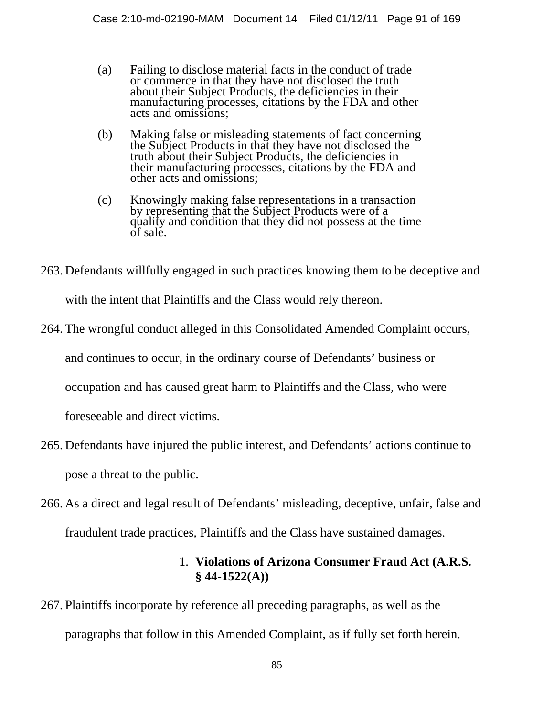- (a) Failing to disclose material facts in the conduct of trade or commerce in that they have not disclosed the truth about their Subject Products, the deficiencies in their manufacturing processes, citations by the FDA and other acts and omissions;
- (b) Making false or misleading statements of fact concerning the Subject Products in that they have not disclosed the truth about their Subject Products, the deficiencies in their manufacturing processes, citations by the FDA and other acts and omissions;
- (c) Knowingly making false representations in a transaction by representing that the Subject Products were of a quality and condition that they did not possess at the time of sale.
- 263. Defendants willfully engaged in such practices knowing them to be deceptive and

with the intent that Plaintiffs and the Class would rely thereon.

264. The wrongful conduct alleged in this Consolidated Amended Complaint occurs,

and continues to occur, in the ordinary course of Defendants' business or

occupation and has caused great harm to Plaintiffs and the Class, who were

foreseeable and direct victims.

- 265. Defendants have injured the public interest, and Defendants' actions continue to pose a threat to the public.
- 266. As a direct and legal result of Defendants' misleading, deceptive, unfair, false and

fraudulent trade practices, Plaintiffs and the Class have sustained damages.

## 1. **Violations of Arizona Consumer Fraud Act (A.R.S. § 44-1522(A))**

267. Plaintiffs incorporate by reference all preceding paragraphs, as well as the paragraphs that follow in this Amended Complaint, as if fully set forth herein.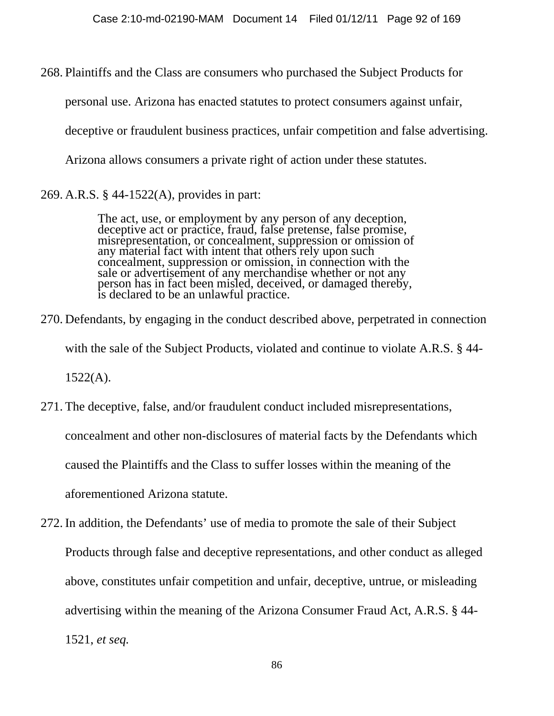268. Plaintiffs and the Class are consumers who purchased the Subject Products for

personal use. Arizona has enacted statutes to protect consumers against unfair,

deceptive or fraudulent business practices, unfair competition and false advertising.

Arizona allows consumers a private right of action under these statutes.

269. A.R.S. § 44-1522(A), provides in part:

The act, use, or employment by any person of any deception,<br>deceptive act or practice, fraud, false pretense, false promise,<br>misrepresentation, or concealment, suppression or omission of<br>any material fact with intent that concealment, suppression or omission, in connection with the sale or advertisement of any merchandise whether or not any person has in fact been misled, deceived, or damaged thereby, is declared to be an unlawful practice.

270. Defendants, by engaging in the conduct described above, perpetrated in connection

with the sale of the Subject Products, violated and continue to violate A.R.S. § 44-

 $1522(A)$ .

271. The deceptive, false, and/or fraudulent conduct included misrepresentations,

concealment and other non-disclosures of material facts by the Defendants which

caused the Plaintiffs and the Class to suffer losses within the meaning of the

aforementioned Arizona statute.

272. In addition, the Defendants' use of media to promote the sale of their Subject

Products through false and deceptive representations, and other conduct as alleged above, constitutes unfair competition and unfair, deceptive, untrue, or misleading advertising within the meaning of the Arizona Consumer Fraud Act, A.R.S. § 44- 1521, *et seq.*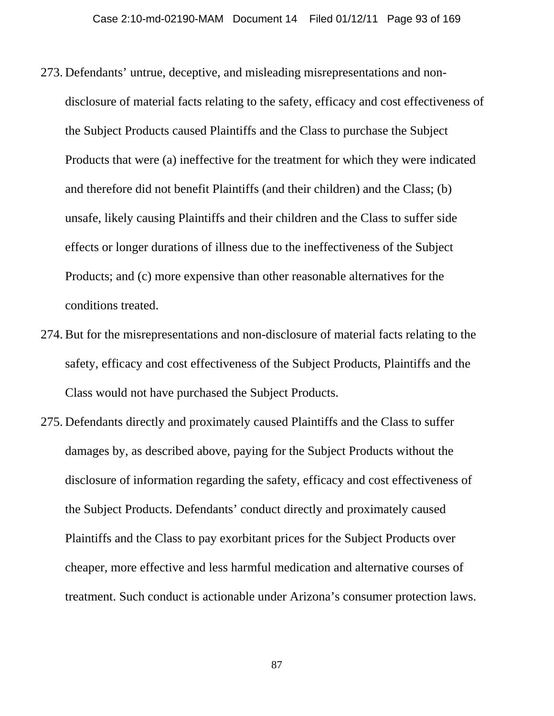- 273. Defendants' untrue, deceptive, and misleading misrepresentations and nondisclosure of material facts relating to the safety, efficacy and cost effectiveness of the Subject Products caused Plaintiffs and the Class to purchase the Subject Products that were (a) ineffective for the treatment for which they were indicated and therefore did not benefit Plaintiffs (and their children) and the Class; (b) unsafe, likely causing Plaintiffs and their children and the Class to suffer side effects or longer durations of illness due to the ineffectiveness of the Subject Products; and (c) more expensive than other reasonable alternatives for the conditions treated.
- 274. But for the misrepresentations and non-disclosure of material facts relating to the safety, efficacy and cost effectiveness of the Subject Products, Plaintiffs and the Class would not have purchased the Subject Products.
- 275. Defendants directly and proximately caused Plaintiffs and the Class to suffer damages by, as described above, paying for the Subject Products without the disclosure of information regarding the safety, efficacy and cost effectiveness of the Subject Products. Defendants' conduct directly and proximately caused Plaintiffs and the Class to pay exorbitant prices for the Subject Products over cheaper, more effective and less harmful medication and alternative courses of treatment. Such conduct is actionable under Arizona's consumer protection laws.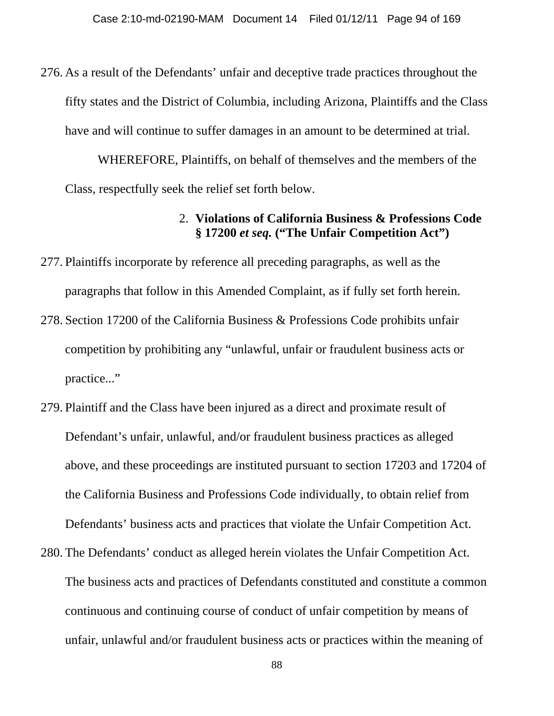276. As a result of the Defendants' unfair and deceptive trade practices throughout the fifty states and the District of Columbia, including Arizona, Plaintiffs and the Class have and will continue to suffer damages in an amount to be determined at trial.

WHEREFORE, Plaintiffs, on behalf of themselves and the members of the Class, respectfully seek the relief set forth below.

### 2. **Violations of California Business & Professions Code § 17200** *et seq.* **("The Unfair Competition Act")**

- 277. Plaintiffs incorporate by reference all preceding paragraphs, as well as the paragraphs that follow in this Amended Complaint, as if fully set forth herein.
- 278. Section 17200 of the California Business & Professions Code prohibits unfair competition by prohibiting any "unlawful, unfair or fraudulent business acts or practice..."
- 279. Plaintiff and the Class have been injured as a direct and proximate result of Defendant's unfair, unlawful, and/or fraudulent business practices as alleged above, and these proceedings are instituted pursuant to section 17203 and 17204 of the California Business and Professions Code individually, to obtain relief from Defendants' business acts and practices that violate the Unfair Competition Act.
- 280. The Defendants' conduct as alleged herein violates the Unfair Competition Act. The business acts and practices of Defendants constituted and constitute a common continuous and continuing course of conduct of unfair competition by means of unfair, unlawful and/or fraudulent business acts or practices within the meaning of

88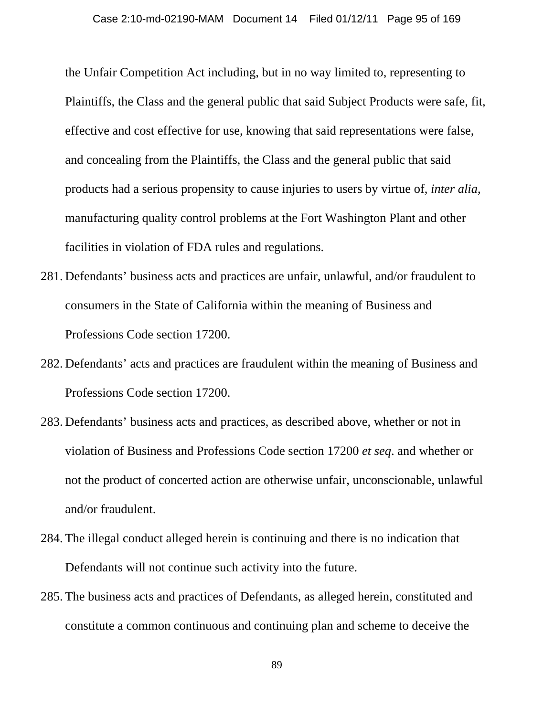the Unfair Competition Act including, but in no way limited to, representing to Plaintiffs, the Class and the general public that said Subject Products were safe, fit, effective and cost effective for use, knowing that said representations were false, and concealing from the Plaintiffs, the Class and the general public that said products had a serious propensity to cause injuries to users by virtue of, *inter alia*, manufacturing quality control problems at the Fort Washington Plant and other facilities in violation of FDA rules and regulations.

- 281. Defendants' business acts and practices are unfair, unlawful, and/or fraudulent to consumers in the State of California within the meaning of Business and Professions Code section 17200.
- 282. Defendants' acts and practices are fraudulent within the meaning of Business and Professions Code section 17200.
- 283. Defendants' business acts and practices, as described above, whether or not in violation of Business and Professions Code section 17200 *et seq*. and whether or not the product of concerted action are otherwise unfair, unconscionable, unlawful and/or fraudulent.
- 284. The illegal conduct alleged herein is continuing and there is no indication that Defendants will not continue such activity into the future.
- 285. The business acts and practices of Defendants, as alleged herein, constituted and constitute a common continuous and continuing plan and scheme to deceive the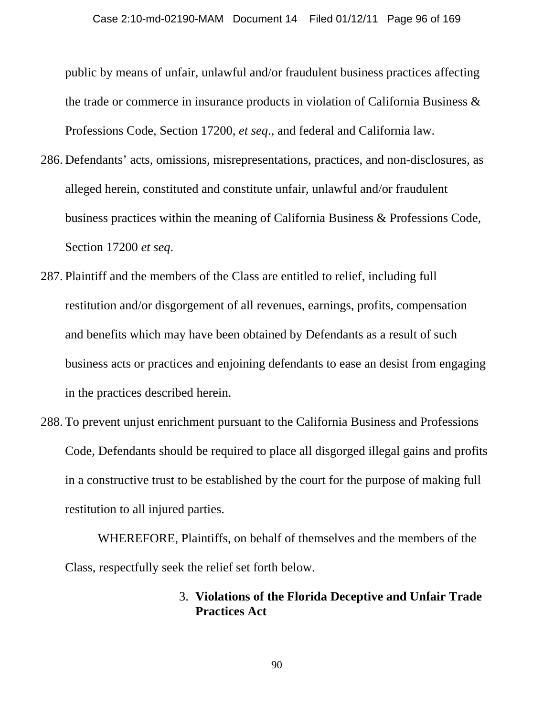public by means of unfair, unlawful and/or fraudulent business practices affecting the trade or commerce in insurance products in violation of California Business & Professions Code, Section 17200, *et seq*., and federal and California law.

- 286. Defendants' acts, omissions, misrepresentations, practices, and non-disclosures, as alleged herein, constituted and constitute unfair, unlawful and/or fraudulent business practices within the meaning of California Business & Professions Code, Section 17200 *et seq*.
- 287. Plaintiff and the members of the Class are entitled to relief, including full restitution and/or disgorgement of all revenues, earnings, profits, compensation and benefits which may have been obtained by Defendants as a result of such business acts or practices and enjoining defendants to ease an desist from engaging in the practices described herein.
- 288. To prevent unjust enrichment pursuant to the California Business and Professions Code, Defendants should be required to place all disgorged illegal gains and profits in a constructive trust to be established by the court for the purpose of making full restitution to all injured parties.

WHEREFORE, Plaintiffs, on behalf of themselves and the members of the Class, respectfully seek the relief set forth below.

## 3. **Violations of the Florida Deceptive and Unfair Trade Practices Act**

90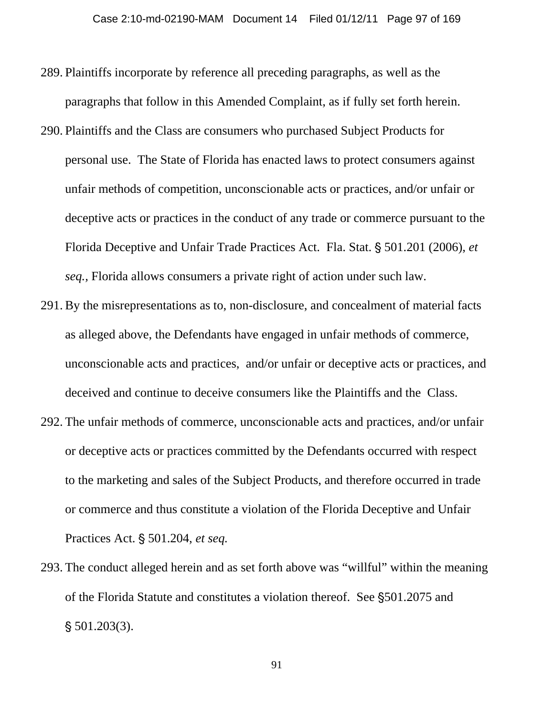- 289. Plaintiffs incorporate by reference all preceding paragraphs, as well as the paragraphs that follow in this Amended Complaint, as if fully set forth herein.
- 290. Plaintiffs and the Class are consumers who purchased Subject Products for personal use. The State of Florida has enacted laws to protect consumers against unfair methods of competition, unconscionable acts or practices, and/or unfair or deceptive acts or practices in the conduct of any trade or commerce pursuant to the Florida Deceptive and Unfair Trade Practices Act. Fla. Stat. § 501.201 (2006), *et seq.,* Florida allows consumers a private right of action under such law.
- 291. By the misrepresentations as to, non-disclosure, and concealment of material facts as alleged above, the Defendants have engaged in unfair methods of commerce, unconscionable acts and practices, and/or unfair or deceptive acts or practices, and deceived and continue to deceive consumers like the Plaintiffs and the Class.
- 292. The unfair methods of commerce, unconscionable acts and practices, and/or unfair or deceptive acts or practices committed by the Defendants occurred with respect to the marketing and sales of the Subject Products, and therefore occurred in trade or commerce and thus constitute a violation of the Florida Deceptive and Unfair Practices Act. § 501.204, *et seq.*
- 293. The conduct alleged herein and as set forth above was "willful" within the meaning of the Florida Statute and constitutes a violation thereof. See \$501.2075 and  $$501.203(3)$ .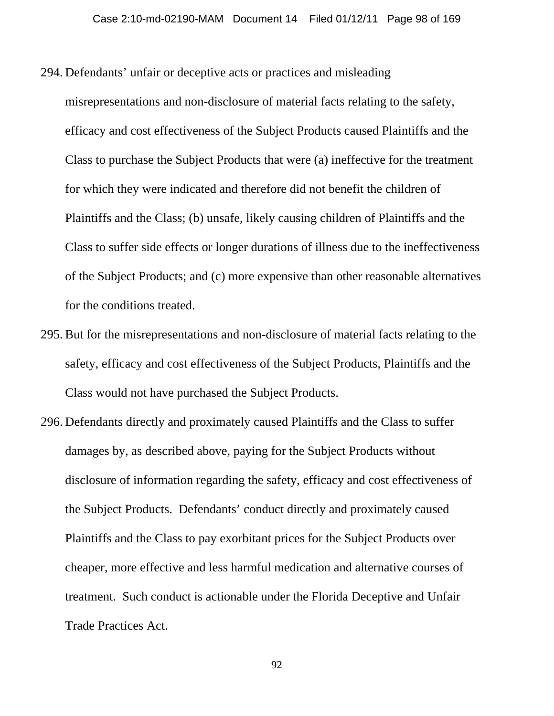- 294. Defendants' unfair or deceptive acts or practices and misleading
- misrepresentations and non-disclosure of material facts relating to the safety, efficacy and cost effectiveness of the Subject Products caused Plaintiffs and the Class to purchase the Subject Products that were (a) ineffective for the treatment for which they were indicated and therefore did not benefit the children of Plaintiffs and the Class; (b) unsafe, likely causing children of Plaintiffs and the Class to suffer side effects or longer durations of illness due to the ineffectiveness of the Subject Products; and (c) more expensive than other reasonable alternatives for the conditions treated.
- 295. But for the misrepresentations and non-disclosure of material facts relating to the safety, efficacy and cost effectiveness of the Subject Products, Plaintiffs and the Class would not have purchased the Subject Products.
- 296. Defendants directly and proximately caused Plaintiffs and the Class to suffer damages by, as described above, paying for the Subject Products without disclosure of information regarding the safety, efficacy and cost effectiveness of the Subject Products. Defendants' conduct directly and proximately caused Plaintiffs and the Class to pay exorbitant prices for the Subject Products over cheaper, more effective and less harmful medication and alternative courses of treatment. Such conduct is actionable under the Florida Deceptive and Unfair Trade Practices Act.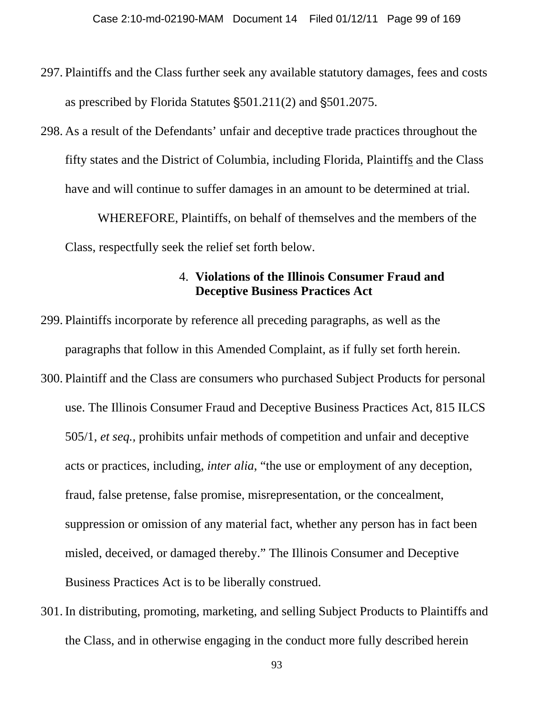- 297. Plaintiffs and the Class further seek any available statutory damages, fees and costs as prescribed by Florida Statutes  $$501.211(2)$  and  $$501.2075$ .
- 298. As a result of the Defendants' unfair and deceptive trade practices throughout the fifty states and the District of Columbia, including Florida, Plaintiffs and the Class have and will continue to suffer damages in an amount to be determined at trial.

WHEREFORE, Plaintiffs, on behalf of themselves and the members of the Class, respectfully seek the relief set forth below.

### 4. **Violations of the Illinois Consumer Fraud and Deceptive Business Practices Act**

- 299. Plaintiffs incorporate by reference all preceding paragraphs, as well as the paragraphs that follow in this Amended Complaint, as if fully set forth herein.
- 300. Plaintiff and the Class are consumers who purchased Subject Products for personal use. The Illinois Consumer Fraud and Deceptive Business Practices Act, 815 ILCS 505/1, *et seq.,* prohibits unfair methods of competition and unfair and deceptive acts or practices, including, *inter alia*, "the use or employment of any deception, fraud, false pretense, false promise, misrepresentation, or the concealment, suppression or omission of any material fact, whether any person has in fact been misled, deceived, or damaged thereby." The Illinois Consumer and Deceptive Business Practices Act is to be liberally construed.
- 301. In distributing, promoting, marketing, and selling Subject Products to Plaintiffs and the Class, and in otherwise engaging in the conduct more fully described herein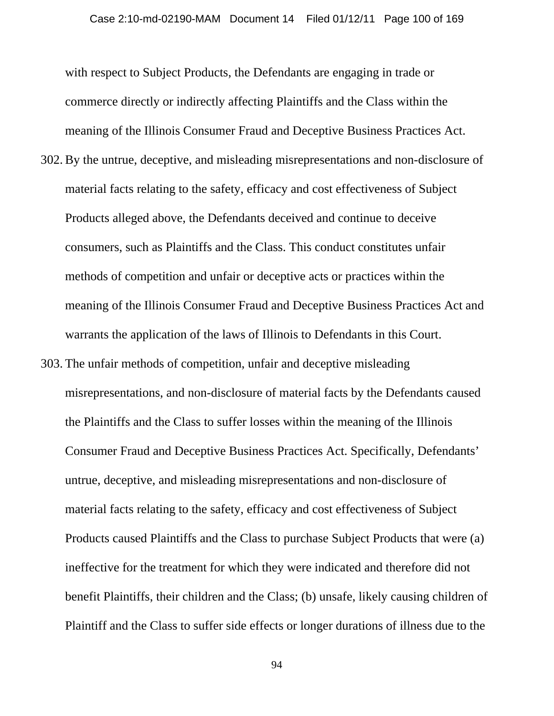with respect to Subject Products, the Defendants are engaging in trade or commerce directly or indirectly affecting Plaintiffs and the Class within the meaning of the Illinois Consumer Fraud and Deceptive Business Practices Act.

- 302. By the untrue, deceptive, and misleading misrepresentations and non-disclosure of material facts relating to the safety, efficacy and cost effectiveness of Subject Products alleged above, the Defendants deceived and continue to deceive consumers, such as Plaintiffs and the Class. This conduct constitutes unfair methods of competition and unfair or deceptive acts or practices within the meaning of the Illinois Consumer Fraud and Deceptive Business Practices Act and warrants the application of the laws of Illinois to Defendants in this Court.
- 303. The unfair methods of competition, unfair and deceptive misleading misrepresentations, and non-disclosure of material facts by the Defendants caused the Plaintiffs and the Class to suffer losses within the meaning of the Illinois Consumer Fraud and Deceptive Business Practices Act. Specifically, Defendants' untrue, deceptive, and misleading misrepresentations and non-disclosure of material facts relating to the safety, efficacy and cost effectiveness of Subject Products caused Plaintiffs and the Class to purchase Subject Products that were (a) ineffective for the treatment for which they were indicated and therefore did not benefit Plaintiffs, their children and the Class; (b) unsafe, likely causing children of Plaintiff and the Class to suffer side effects or longer durations of illness due to the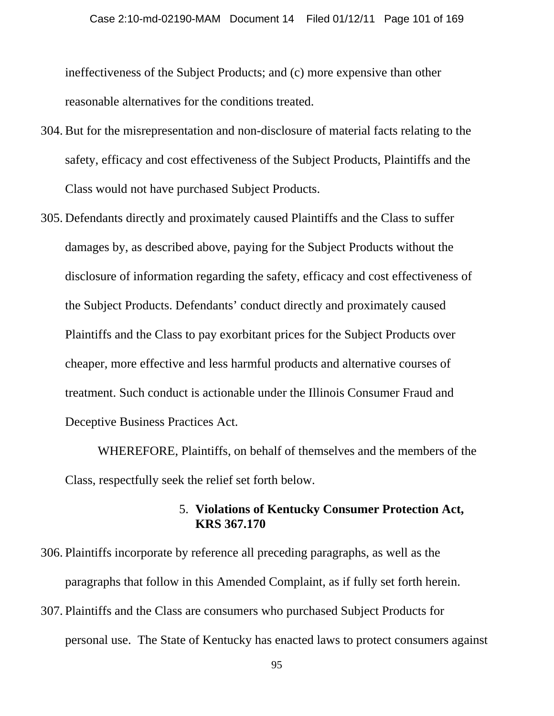ineffectiveness of the Subject Products; and (c) more expensive than other reasonable alternatives for the conditions treated.

- 304. But for the misrepresentation and non-disclosure of material facts relating to the safety, efficacy and cost effectiveness of the Subject Products, Plaintiffs and the Class would not have purchased Subject Products.
- 305. Defendants directly and proximately caused Plaintiffs and the Class to suffer damages by, as described above, paying for the Subject Products without the disclosure of information regarding the safety, efficacy and cost effectiveness of the Subject Products. Defendants' conduct directly and proximately caused Plaintiffs and the Class to pay exorbitant prices for the Subject Products over cheaper, more effective and less harmful products and alternative courses of treatment. Such conduct is actionable under the Illinois Consumer Fraud and Deceptive Business Practices Act.

WHEREFORE, Plaintiffs, on behalf of themselves and the members of the Class, respectfully seek the relief set forth below.

## 5. **Violations of Kentucky Consumer Protection Act, KRS 367.170**

- 306. Plaintiffs incorporate by reference all preceding paragraphs, as well as the paragraphs that follow in this Amended Complaint, as if fully set forth herein.
- 307. Plaintiffs and the Class are consumers who purchased Subject Products for personal use. The State of Kentucky has enacted laws to protect consumers against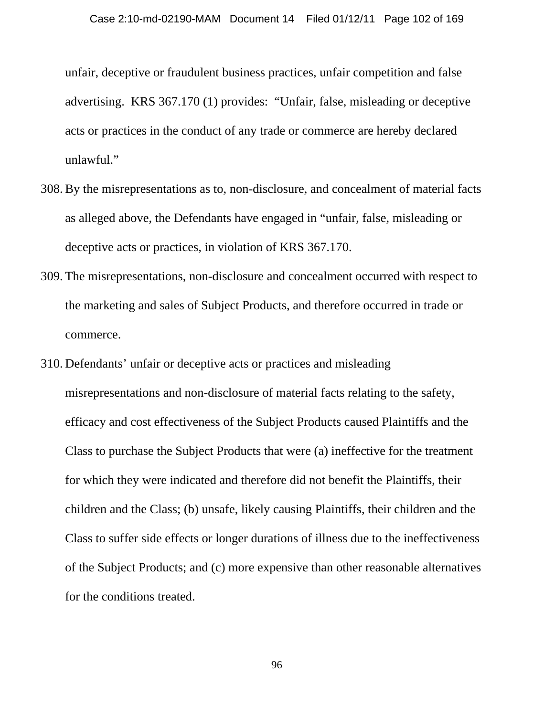unfair, deceptive or fraudulent business practices, unfair competition and false advertising. KRS 367.170 (1) provides: "Unfair, false, misleading or deceptive acts or practices in the conduct of any trade or commerce are hereby declared unlawful."

- 308. By the misrepresentations as to, non-disclosure, and concealment of material facts as alleged above, the Defendants have engaged in "unfair, false, misleading or deceptive acts or practices, in violation of KRS 367.170.
- 309. The misrepresentations, non-disclosure and concealment occurred with respect to the marketing and sales of Subject Products, and therefore occurred in trade or commerce.
- 310. Defendants' unfair or deceptive acts or practices and misleading misrepresentations and non-disclosure of material facts relating to the safety, efficacy and cost effectiveness of the Subject Products caused Plaintiffs and the Class to purchase the Subject Products that were (a) ineffective for the treatment for which they were indicated and therefore did not benefit the Plaintiffs, their children and the Class; (b) unsafe, likely causing Plaintiffs, their children and the Class to suffer side effects or longer durations of illness due to the ineffectiveness of the Subject Products; and (c) more expensive than other reasonable alternatives for the conditions treated.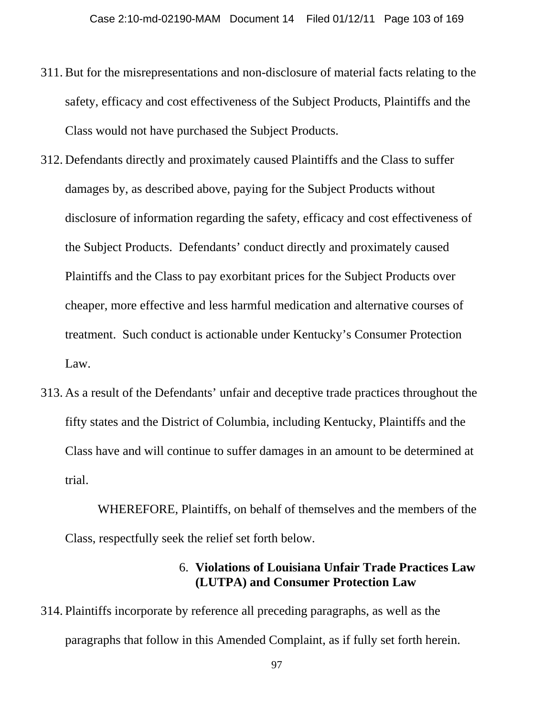- 311. But for the misrepresentations and non-disclosure of material facts relating to the safety, efficacy and cost effectiveness of the Subject Products, Plaintiffs and the Class would not have purchased the Subject Products.
- 312. Defendants directly and proximately caused Plaintiffs and the Class to suffer damages by, as described above, paying for the Subject Products without disclosure of information regarding the safety, efficacy and cost effectiveness of the Subject Products. Defendants' conduct directly and proximately caused Plaintiffs and the Class to pay exorbitant prices for the Subject Products over cheaper, more effective and less harmful medication and alternative courses of treatment. Such conduct is actionable under Kentucky's Consumer Protection Law.
- 313. As a result of the Defendants' unfair and deceptive trade practices throughout the fifty states and the District of Columbia, including Kentucky, Plaintiffs and the Class have and will continue to suffer damages in an amount to be determined at trial.

WHEREFORE, Plaintiffs, on behalf of themselves and the members of the Class, respectfully seek the relief set forth below.

### 6. **Violations of Louisiana Unfair Trade Practices Law (LUTPA) and Consumer Protection Law**

314. Plaintiffs incorporate by reference all preceding paragraphs, as well as the paragraphs that follow in this Amended Complaint, as if fully set forth herein.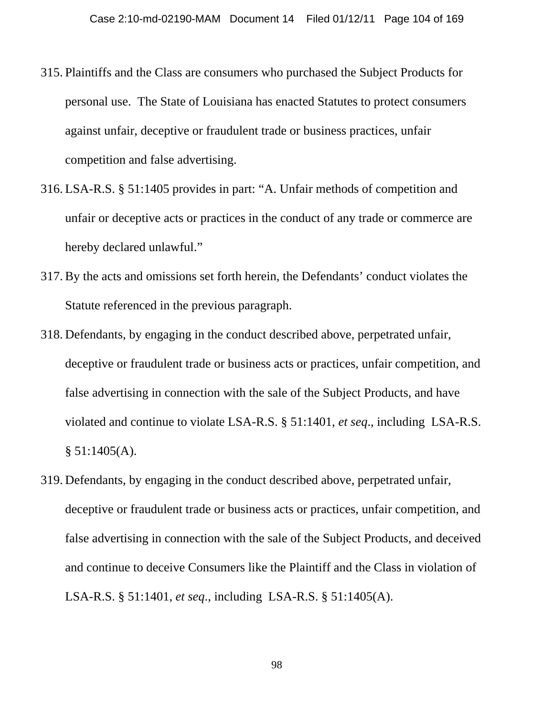- 315. Plaintiffs and the Class are consumers who purchased the Subject Products for personal use. The State of Louisiana has enacted Statutes to protect consumers against unfair, deceptive or fraudulent trade or business practices, unfair competition and false advertising.
- 316. LSA-R.S. § 51:1405 provides in part: "A. Unfair methods of competition and unfair or deceptive acts or practices in the conduct of any trade or commerce are hereby declared unlawful."
- 317. By the acts and omissions set forth herein, the Defendants' conduct violates the Statute referenced in the previous paragraph.
- 318. Defendants, by engaging in the conduct described above, perpetrated unfair, deceptive or fraudulent trade or business acts or practices, unfair competition, and false advertising in connection with the sale of the Subject Products, and have violated and continue to violate LSA-R.S. § 51:1401, *et seq*., including LSA-R.S.  $§ 51:1405(A).$
- 319. Defendants, by engaging in the conduct described above, perpetrated unfair, deceptive or fraudulent trade or business acts or practices, unfair competition, and false advertising in connection with the sale of the Subject Products, and deceived and continue to deceive Consumers like the Plaintiff and the Class in violation of LSA-R.S. § 51:1401, *et seq*., including LSA-R.S. § 51:1405(A).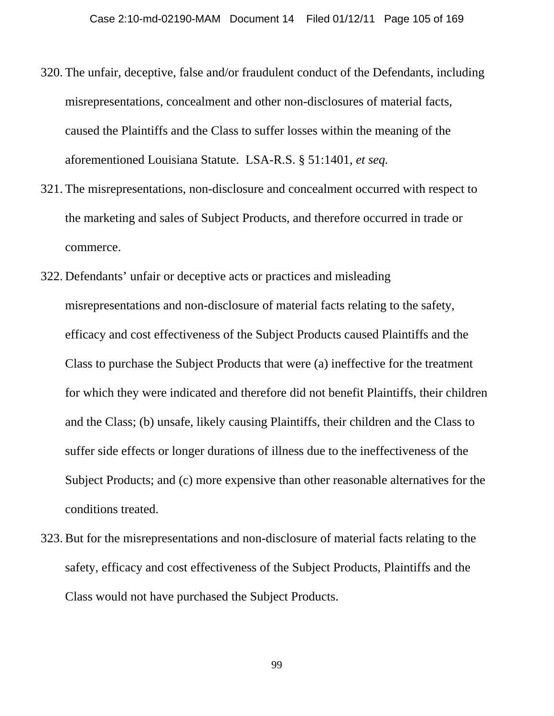- 320. The unfair, deceptive, false and/or fraudulent conduct of the Defendants, including misrepresentations, concealment and other non-disclosures of material facts, caused the Plaintiffs and the Class to suffer losses within the meaning of the aforementioned Louisiana Statute. LSA-R.S. § 51:1401, *et seq.*
- 321. The misrepresentations, non-disclosure and concealment occurred with respect to the marketing and sales of Subject Products, and therefore occurred in trade or commerce.
- 322. Defendants' unfair or deceptive acts or practices and misleading misrepresentations and non-disclosure of material facts relating to the safety, efficacy and cost effectiveness of the Subject Products caused Plaintiffs and the Class to purchase the Subject Products that were (a) ineffective for the treatment for which they were indicated and therefore did not benefit Plaintiffs, their children and the Class; (b) unsafe, likely causing Plaintiffs, their children and the Class to suffer side effects or longer durations of illness due to the ineffectiveness of the Subject Products; and (c) more expensive than other reasonable alternatives for the conditions treated.
- 323. But for the misrepresentations and non-disclosure of material facts relating to the safety, efficacy and cost effectiveness of the Subject Products, Plaintiffs and the Class would not have purchased the Subject Products.

99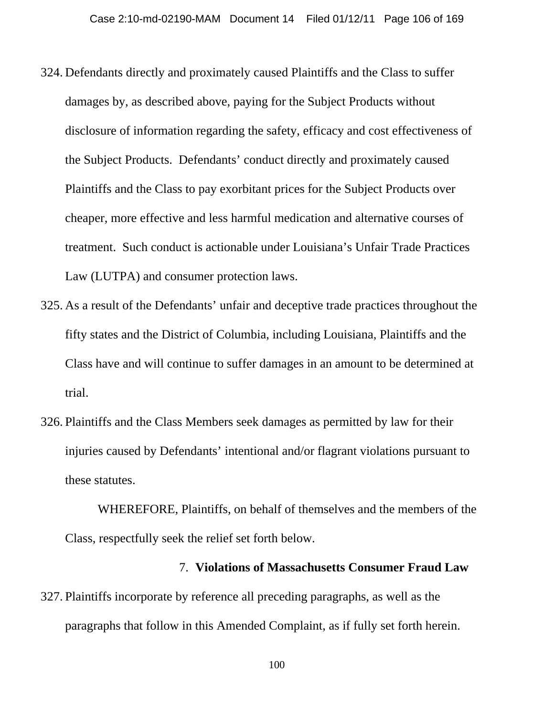- 324. Defendants directly and proximately caused Plaintiffs and the Class to suffer damages by, as described above, paying for the Subject Products without disclosure of information regarding the safety, efficacy and cost effectiveness of the Subject Products. Defendants' conduct directly and proximately caused Plaintiffs and the Class to pay exorbitant prices for the Subject Products over cheaper, more effective and less harmful medication and alternative courses of treatment. Such conduct is actionable under Louisiana's Unfair Trade Practices Law (LUTPA) and consumer protection laws.
- 325. As a result of the Defendants' unfair and deceptive trade practices throughout the fifty states and the District of Columbia, including Louisiana, Plaintiffs and the Class have and will continue to suffer damages in an amount to be determined at trial.
- 326. Plaintiffs and the Class Members seek damages as permitted by law for their injuries caused by Defendants' intentional and/or flagrant violations pursuant to these statutes.

WHEREFORE, Plaintiffs, on behalf of themselves and the members of the Class, respectfully seek the relief set forth below.

#### 7. **Violations of Massachusetts Consumer Fraud Law**

327. Plaintiffs incorporate by reference all preceding paragraphs, as well as the paragraphs that follow in this Amended Complaint, as if fully set forth herein.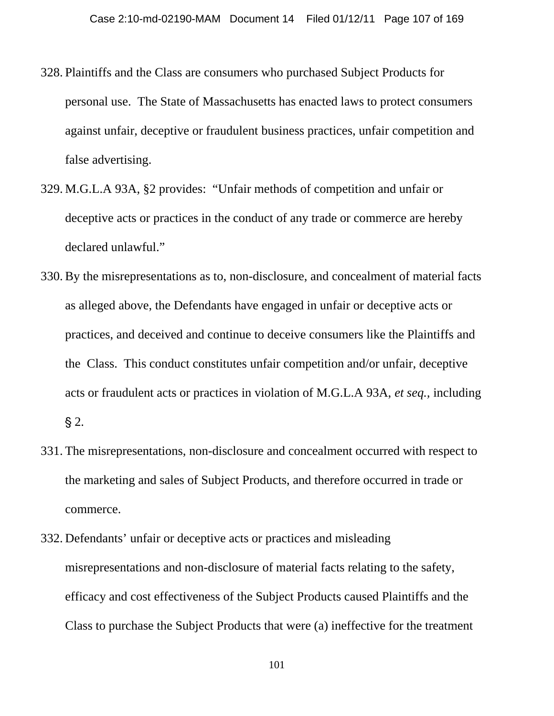- 328. Plaintiffs and the Class are consumers who purchased Subject Products for personal use. The State of Massachusetts has enacted laws to protect consumers against unfair, deceptive or fraudulent business practices, unfair competition and false advertising.
- 329. M.G.L.A 93A, §2 provides: "Unfair methods of competition and unfair or deceptive acts or practices in the conduct of any trade or commerce are hereby declared unlawful."
- 330. By the misrepresentations as to, non-disclosure, and concealment of material facts as alleged above, the Defendants have engaged in unfair or deceptive acts or practices, and deceived and continue to deceive consumers like the Plaintiffs and the Class. This conduct constitutes unfair competition and/or unfair, deceptive acts or fraudulent acts or practices in violation of M.G.L.A 93A, *et seq.,* including  $\S$  2.
- 331. The misrepresentations, non-disclosure and concealment occurred with respect to the marketing and sales of Subject Products, and therefore occurred in trade or commerce.
- 332. Defendants' unfair or deceptive acts or practices and misleading misrepresentations and non-disclosure of material facts relating to the safety, efficacy and cost effectiveness of the Subject Products caused Plaintiffs and the Class to purchase the Subject Products that were (a) ineffective for the treatment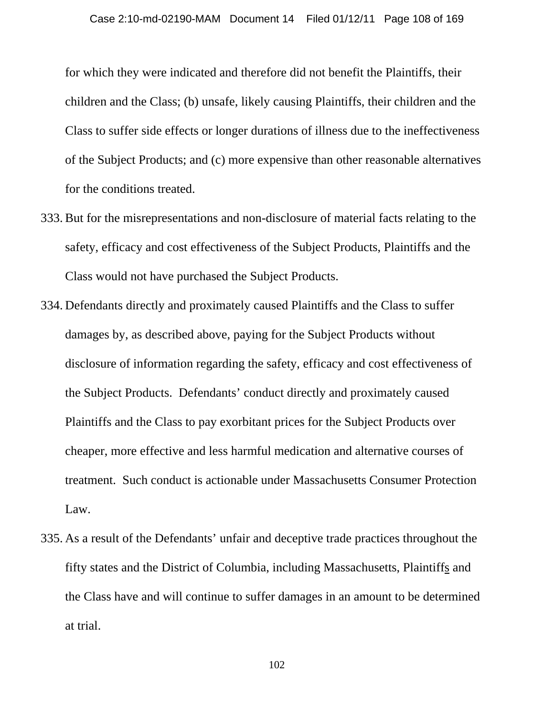for which they were indicated and therefore did not benefit the Plaintiffs, their children and the Class; (b) unsafe, likely causing Plaintiffs, their children and the Class to suffer side effects or longer durations of illness due to the ineffectiveness of the Subject Products; and (c) more expensive than other reasonable alternatives for the conditions treated.

- 333. But for the misrepresentations and non-disclosure of material facts relating to the safety, efficacy and cost effectiveness of the Subject Products, Plaintiffs and the Class would not have purchased the Subject Products.
- 334. Defendants directly and proximately caused Plaintiffs and the Class to suffer damages by, as described above, paying for the Subject Products without disclosure of information regarding the safety, efficacy and cost effectiveness of the Subject Products. Defendants' conduct directly and proximately caused Plaintiffs and the Class to pay exorbitant prices for the Subject Products over cheaper, more effective and less harmful medication and alternative courses of treatment. Such conduct is actionable under Massachusetts Consumer Protection Law.
- 335. As a result of the Defendants' unfair and deceptive trade practices throughout the fifty states and the District of Columbia, including Massachusetts, Plaintiffs and the Class have and will continue to suffer damages in an amount to be determined at trial.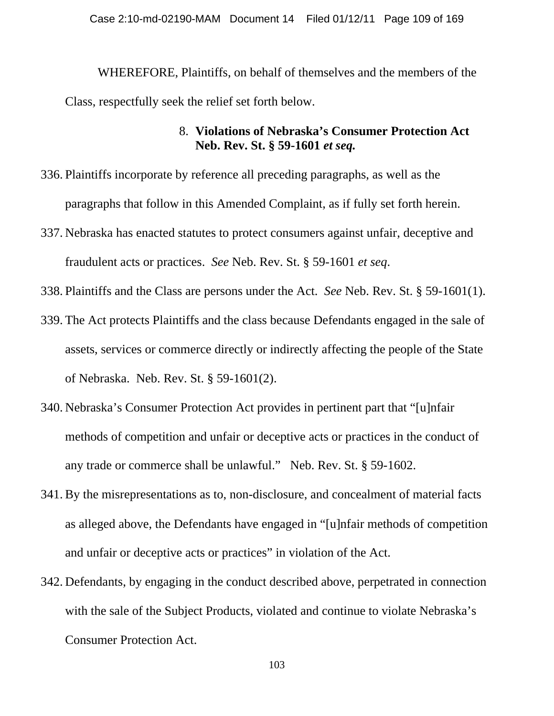WHEREFORE, Plaintiffs, on behalf of themselves and the members of the Class, respectfully seek the relief set forth below.

# 8. **Violations of Nebraska's Consumer Protection Act Neb. Rev. St. § 59-1601** *et seq.*

- 336. Plaintiffs incorporate by reference all preceding paragraphs, as well as the paragraphs that follow in this Amended Complaint, as if fully set forth herein.
- 337. Nebraska has enacted statutes to protect consumers against unfair, deceptive and fraudulent acts or practices. *See* Neb. Rev. St. § 59-1601 *et seq*.
- 338. Plaintiffs and the Class are persons under the Act. *See* Neb. Rev. St. § 59-1601(1).
- 339. The Act protects Plaintiffs and the class because Defendants engaged in the sale of assets, services or commerce directly or indirectly affecting the people of the State of Nebraska. Neb. Rev. St. § 59-1601(2).
- 340. Nebraska's Consumer Protection Act provides in pertinent part that "[u]nfair methods of competition and unfair or deceptive acts or practices in the conduct of any trade or commerce shall be unlawful." Neb. Rev. St. § 59-1602.
- 341. By the misrepresentations as to, non-disclosure, and concealment of material facts as alleged above, the Defendants have engaged in "[u]nfair methods of competition and unfair or deceptive acts or practices" in violation of the Act.
- 342. Defendants, by engaging in the conduct described above, perpetrated in connection with the sale of the Subject Products, violated and continue to violate Nebraska's Consumer Protection Act.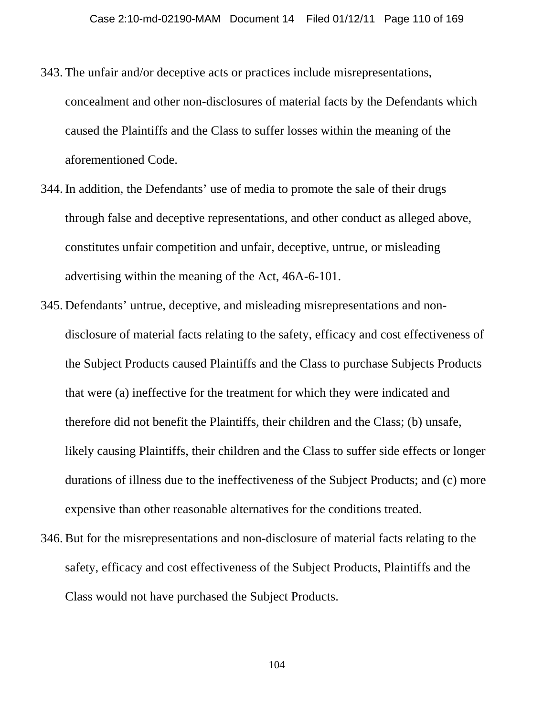- 343. The unfair and/or deceptive acts or practices include misrepresentations, concealment and other non-disclosures of material facts by the Defendants which caused the Plaintiffs and the Class to suffer losses within the meaning of the aforementioned Code.
- 344. In addition, the Defendants' use of media to promote the sale of their drugs through false and deceptive representations, and other conduct as alleged above, constitutes unfair competition and unfair, deceptive, untrue, or misleading advertising within the meaning of the Act, 46A-6-101.
- 345. Defendants' untrue, deceptive, and misleading misrepresentations and nondisclosure of material facts relating to the safety, efficacy and cost effectiveness of the Subject Products caused Plaintiffs and the Class to purchase Subjects Products that were (a) ineffective for the treatment for which they were indicated and therefore did not benefit the Plaintiffs, their children and the Class; (b) unsafe, likely causing Plaintiffs, their children and the Class to suffer side effects or longer durations of illness due to the ineffectiveness of the Subject Products; and (c) more expensive than other reasonable alternatives for the conditions treated.
- 346. But for the misrepresentations and non-disclosure of material facts relating to the safety, efficacy and cost effectiveness of the Subject Products, Plaintiffs and the Class would not have purchased the Subject Products.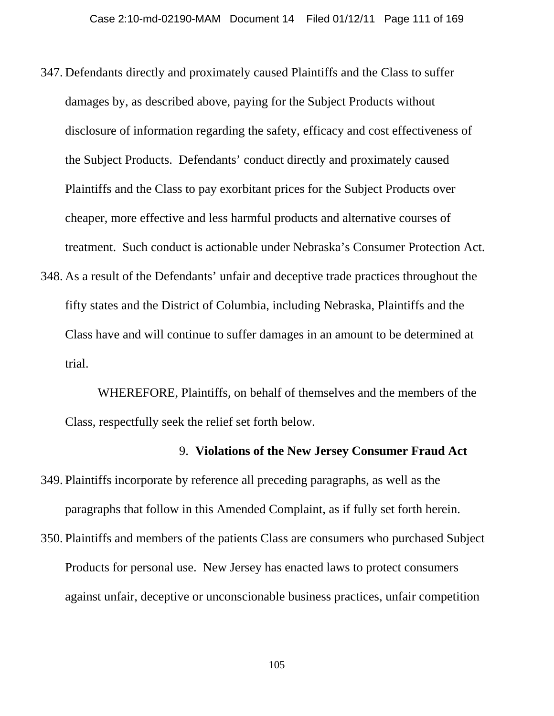- 347. Defendants directly and proximately caused Plaintiffs and the Class to suffer damages by, as described above, paying for the Subject Products without disclosure of information regarding the safety, efficacy and cost effectiveness of the Subject Products. Defendants' conduct directly and proximately caused Plaintiffs and the Class to pay exorbitant prices for the Subject Products over cheaper, more effective and less harmful products and alternative courses of treatment. Such conduct is actionable under Nebraska's Consumer Protection Act.
- 348. As a result of the Defendants' unfair and deceptive trade practices throughout the fifty states and the District of Columbia, including Nebraska, Plaintiffs and the Class have and will continue to suffer damages in an amount to be determined at trial.

WHEREFORE, Plaintiffs, on behalf of themselves and the members of the Class, respectfully seek the relief set forth below.

## 9. **Violations of the New Jersey Consumer Fraud Act**

- 349. Plaintiffs incorporate by reference all preceding paragraphs, as well as the paragraphs that follow in this Amended Complaint, as if fully set forth herein.
- 350. Plaintiffs and members of the patients Class are consumers who purchased Subject Products for personal use. New Jersey has enacted laws to protect consumers against unfair, deceptive or unconscionable business practices, unfair competition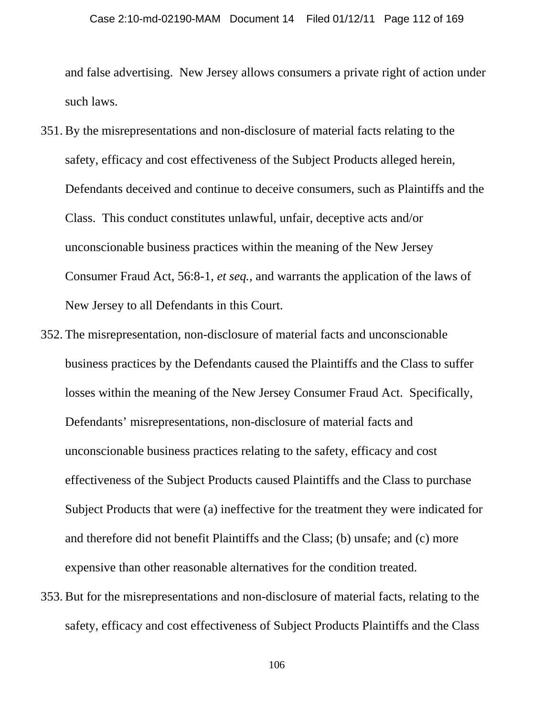and false advertising. New Jersey allows consumers a private right of action under such laws.

- 351. By the misrepresentations and non-disclosure of material facts relating to the safety, efficacy and cost effectiveness of the Subject Products alleged herein, Defendants deceived and continue to deceive consumers, such as Plaintiffs and the Class. This conduct constitutes unlawful, unfair, deceptive acts and/or unconscionable business practices within the meaning of the New Jersey Consumer Fraud Act, 56:8-1, *et seq.,* and warrants the application of the laws of New Jersey to all Defendants in this Court.
- 352. The misrepresentation, non-disclosure of material facts and unconscionable business practices by the Defendants caused the Plaintiffs and the Class to suffer losses within the meaning of the New Jersey Consumer Fraud Act. Specifically, Defendants' misrepresentations, non-disclosure of material facts and unconscionable business practices relating to the safety, efficacy and cost effectiveness of the Subject Products caused Plaintiffs and the Class to purchase Subject Products that were (a) ineffective for the treatment they were indicated for and therefore did not benefit Plaintiffs and the Class; (b) unsafe; and (c) more expensive than other reasonable alternatives for the condition treated.
- 353. But for the misrepresentations and non-disclosure of material facts, relating to the safety, efficacy and cost effectiveness of Subject Products Plaintiffs and the Class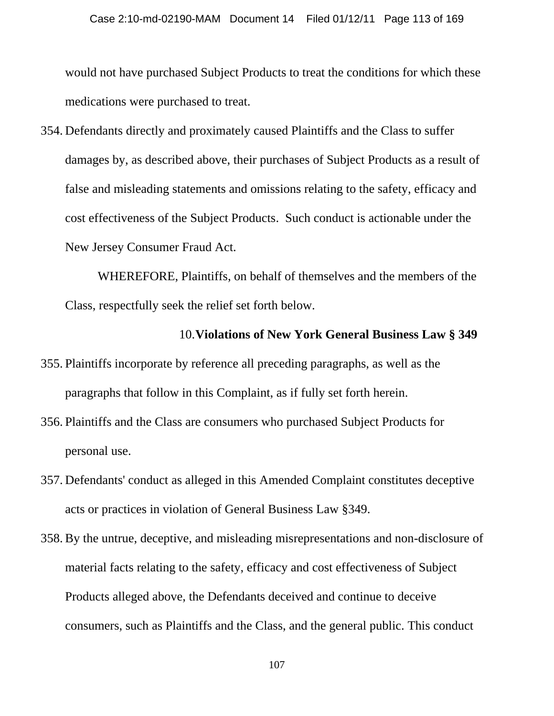would not have purchased Subject Products to treat the conditions for which these medications were purchased to treat.

354. Defendants directly and proximately caused Plaintiffs and the Class to suffer damages by, as described above, their purchases of Subject Products as a result of false and misleading statements and omissions relating to the safety, efficacy and cost effectiveness of the Subject Products. Such conduct is actionable under the New Jersey Consumer Fraud Act.

 WHEREFORE, Plaintiffs, on behalf of themselves and the members of the Class, respectfully seek the relief set forth below.

#### 10.**Violations of New York General Business Law § 349**

- 355. Plaintiffs incorporate by reference all preceding paragraphs, as well as the paragraphs that follow in this Complaint, as if fully set forth herein.
- 356. Plaintiffs and the Class are consumers who purchased Subject Products for personal use.
- 357. Defendants' conduct as alleged in this Amended Complaint constitutes deceptive acts or practices in violation of General Business Law §349.
- 358. By the untrue, deceptive, and misleading misrepresentations and non-disclosure of material facts relating to the safety, efficacy and cost effectiveness of Subject Products alleged above, the Defendants deceived and continue to deceive consumers, such as Plaintiffs and the Class, and the general public. This conduct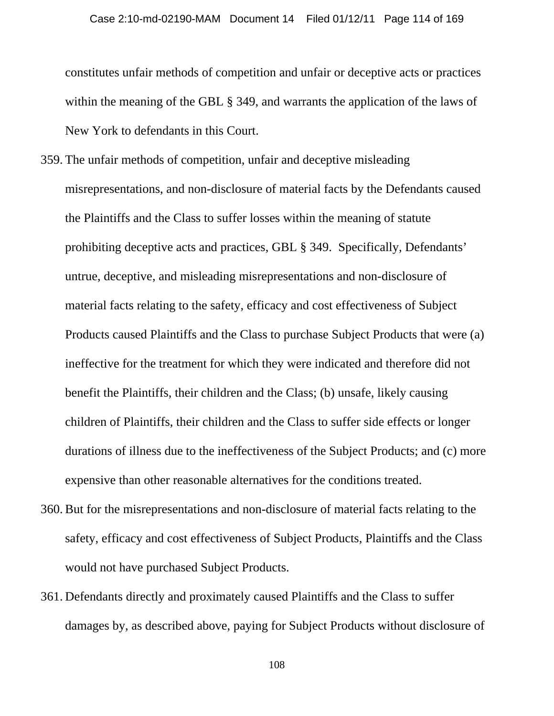constitutes unfair methods of competition and unfair or deceptive acts or practices within the meaning of the GBL § 349, and warrants the application of the laws of New York to defendants in this Court.

- 359. The unfair methods of competition, unfair and deceptive misleading misrepresentations, and non-disclosure of material facts by the Defendants caused the Plaintiffs and the Class to suffer losses within the meaning of statute prohibiting deceptive acts and practices, GBL § 349. Specifically, Defendants' untrue, deceptive, and misleading misrepresentations and non-disclosure of material facts relating to the safety, efficacy and cost effectiveness of Subject Products caused Plaintiffs and the Class to purchase Subject Products that were (a) ineffective for the treatment for which they were indicated and therefore did not benefit the Plaintiffs, their children and the Class; (b) unsafe, likely causing children of Plaintiffs, their children and the Class to suffer side effects or longer durations of illness due to the ineffectiveness of the Subject Products; and (c) more expensive than other reasonable alternatives for the conditions treated.
- 360. But for the misrepresentations and non-disclosure of material facts relating to the safety, efficacy and cost effectiveness of Subject Products, Plaintiffs and the Class would not have purchased Subject Products.
- 361. Defendants directly and proximately caused Plaintiffs and the Class to suffer damages by, as described above, paying for Subject Products without disclosure of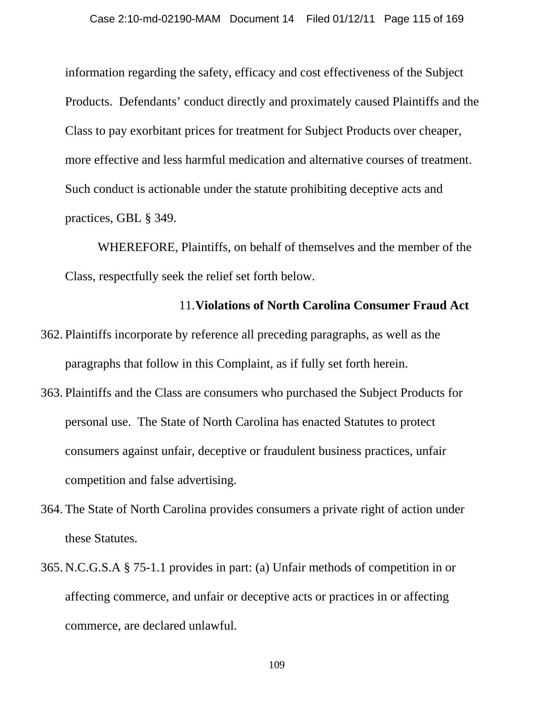information regarding the safety, efficacy and cost effectiveness of the Subject Products. Defendants' conduct directly and proximately caused Plaintiffs and the Class to pay exorbitant prices for treatment for Subject Products over cheaper, more effective and less harmful medication and alternative courses of treatment. Such conduct is actionable under the statute prohibiting deceptive acts and practices, GBL § 349.

 WHEREFORE, Plaintiffs, on behalf of themselves and the member of the Class, respectfully seek the relief set forth below.

# 11.**Violations of North Carolina Consumer Fraud Act**

- 362. Plaintiffs incorporate by reference all preceding paragraphs, as well as the paragraphs that follow in this Complaint, as if fully set forth herein.
- 363. Plaintiffs and the Class are consumers who purchased the Subject Products for personal use. The State of North Carolina has enacted Statutes to protect consumers against unfair, deceptive or fraudulent business practices, unfair competition and false advertising.
- 364. The State of North Carolina provides consumers a private right of action under these Statutes.
- 365. N.C.G.S.A § 75-1.1 provides in part: (a) Unfair methods of competition in or affecting commerce, and unfair or deceptive acts or practices in or affecting commerce, are declared unlawful.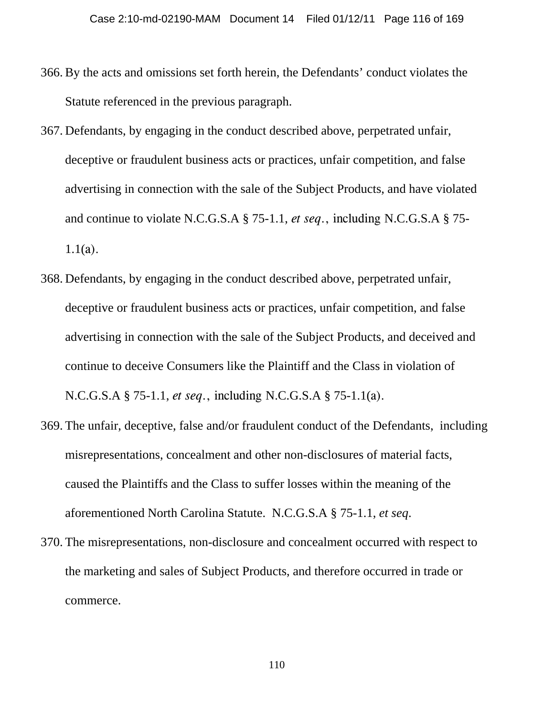- 366. By the acts and omissions set forth herein, the Defendants' conduct violates the Statute referenced in the previous paragraph.
- 367. Defendants, by engaging in the conduct described above, perpetrated unfair, deceptive or fraudulent business acts or practices, unfair competition, and false advertising in connection with the sale of the Subject Products, and have violated and continue to violate N.C.G.S.A § 75-1.1, *et seq*., including N.C.G.S.A § 75- 1.1(a).
- 368. Defendants, by engaging in the conduct described above, perpetrated unfair, deceptive or fraudulent business acts or practices, unfair competition, and false advertising in connection with the sale of the Subject Products, and deceived and continue to deceive Consumers like the Plaintiff and the Class in violation of N.C.G.S.A § 75-1.1, *et seq*., including N.C.G.S.A § 75-1.1(a).
- 369. The unfair, deceptive, false and/or fraudulent conduct of the Defendants, including misrepresentations, concealment and other non-disclosures of material facts, caused the Plaintiffs and the Class to suffer losses within the meaning of the aforementioned North Carolina Statute. N.C.G.S.A § 75-1.1, *et seq*.
- 370. The misrepresentations, non-disclosure and concealment occurred with respect to the marketing and sales of Subject Products, and therefore occurred in trade or commerce.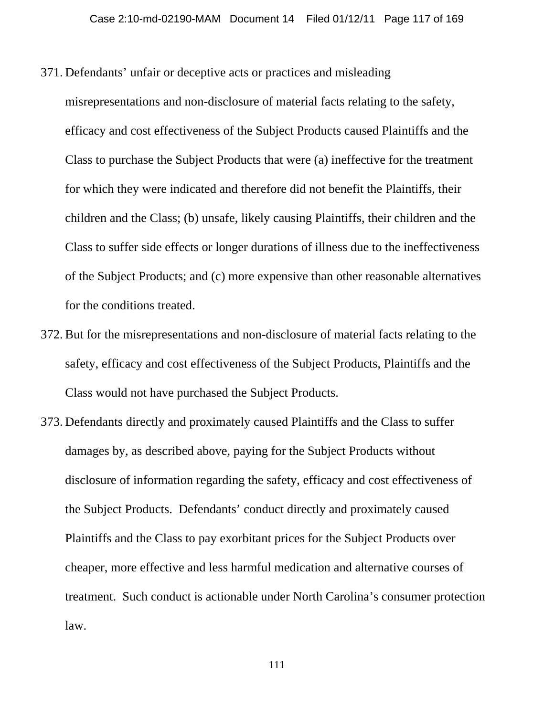- 371. Defendants' unfair or deceptive acts or practices and misleading
- misrepresentations and non-disclosure of material facts relating to the safety, efficacy and cost effectiveness of the Subject Products caused Plaintiffs and the Class to purchase the Subject Products that were (a) ineffective for the treatment for which they were indicated and therefore did not benefit the Plaintiffs, their children and the Class; (b) unsafe, likely causing Plaintiffs, their children and the Class to suffer side effects or longer durations of illness due to the ineffectiveness of the Subject Products; and (c) more expensive than other reasonable alternatives for the conditions treated.
- 372. But for the misrepresentations and non-disclosure of material facts relating to the safety, efficacy and cost effectiveness of the Subject Products, Plaintiffs and the Class would not have purchased the Subject Products.
- 373. Defendants directly and proximately caused Plaintiffs and the Class to suffer damages by, as described above, paying for the Subject Products without disclosure of information regarding the safety, efficacy and cost effectiveness of the Subject Products. Defendants' conduct directly and proximately caused Plaintiffs and the Class to pay exorbitant prices for the Subject Products over cheaper, more effective and less harmful medication and alternative courses of treatment. Such conduct is actionable under North Carolina's consumer protection law.

111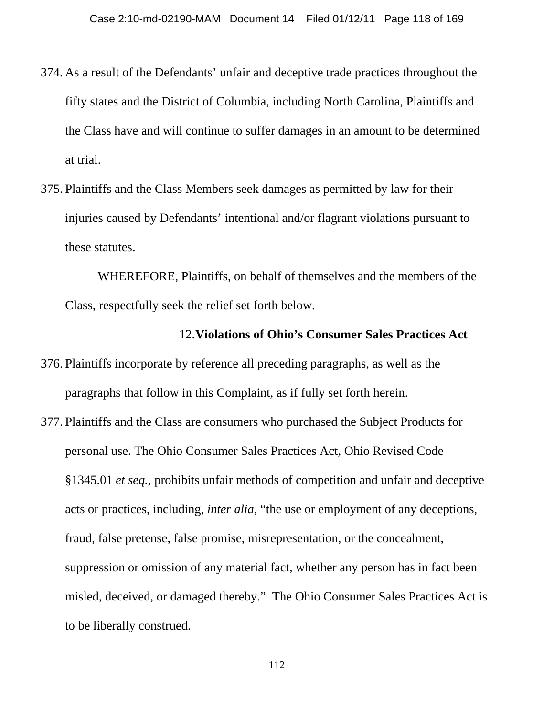- 374. As a result of the Defendants' unfair and deceptive trade practices throughout the fifty states and the District of Columbia, including North Carolina, Plaintiffs and the Class have and will continue to suffer damages in an amount to be determined at trial.
- 375. Plaintiffs and the Class Members seek damages as permitted by law for their injuries caused by Defendants' intentional and/or flagrant violations pursuant to these statutes.

WHEREFORE, Plaintiffs, on behalf of themselves and the members of the Class, respectfully seek the relief set forth below.

#### 12.**Violations of Ohio's Consumer Sales Practices Act**

- 376. Plaintiffs incorporate by reference all preceding paragraphs, as well as the paragraphs that follow in this Complaint, as if fully set forth herein.
- 377. Plaintiffs and the Class are consumers who purchased the Subject Products for personal use. The Ohio Consumer Sales Practices Act, Ohio Revised Code §1345.01 *et seq.,* prohibits unfair methods of competition and unfair and deceptive acts or practices, including, *inter alia,* "the use or employment of any deceptions, fraud, false pretense, false promise, misrepresentation, or the concealment, suppression or omission of any material fact, whether any person has in fact been misled, deceived, or damaged thereby." The Ohio Consumer Sales Practices Act is to be liberally construed.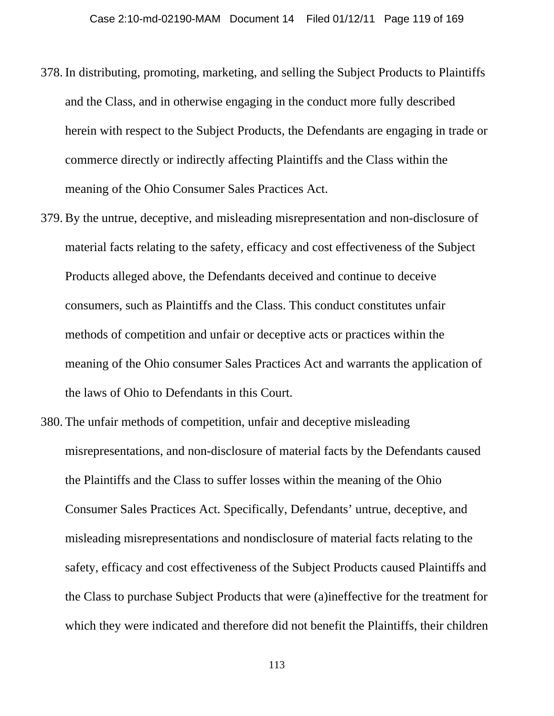- 378. In distributing, promoting, marketing, and selling the Subject Products to Plaintiffs and the Class, and in otherwise engaging in the conduct more fully described herein with respect to the Subject Products, the Defendants are engaging in trade or commerce directly or indirectly affecting Plaintiffs and the Class within the meaning of the Ohio Consumer Sales Practices Act.
- 379. By the untrue, deceptive, and misleading misrepresentation and non-disclosure of material facts relating to the safety, efficacy and cost effectiveness of the Subject Products alleged above, the Defendants deceived and continue to deceive consumers, such as Plaintiffs and the Class. This conduct constitutes unfair methods of competition and unfair or deceptive acts or practices within the meaning of the Ohio consumer Sales Practices Act and warrants the application of the laws of Ohio to Defendants in this Court.
- 380. The unfair methods of competition, unfair and deceptive misleading misrepresentations, and non-disclosure of material facts by the Defendants caused the Plaintiffs and the Class to suffer losses within the meaning of the Ohio Consumer Sales Practices Act. Specifically, Defendants' untrue, deceptive, and misleading misrepresentations and nondisclosure of material facts relating to the safety, efficacy and cost effectiveness of the Subject Products caused Plaintiffs and the Class to purchase Subject Products that were (a)ineffective for the treatment for which they were indicated and therefore did not benefit the Plaintiffs, their children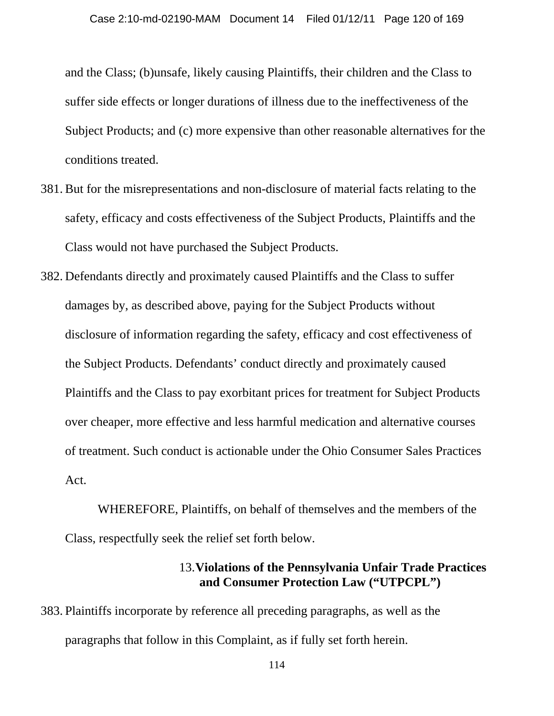and the Class; (b)unsafe, likely causing Plaintiffs, their children and the Class to suffer side effects or longer durations of illness due to the ineffectiveness of the Subject Products; and (c) more expensive than other reasonable alternatives for the conditions treated.

- 381. But for the misrepresentations and non-disclosure of material facts relating to the safety, efficacy and costs effectiveness of the Subject Products, Plaintiffs and the Class would not have purchased the Subject Products.
- 382. Defendants directly and proximately caused Plaintiffs and the Class to suffer damages by, as described above, paying for the Subject Products without disclosure of information regarding the safety, efficacy and cost effectiveness of the Subject Products. Defendants' conduct directly and proximately caused Plaintiffs and the Class to pay exorbitant prices for treatment for Subject Products over cheaper, more effective and less harmful medication and alternative courses of treatment. Such conduct is actionable under the Ohio Consumer Sales Practices Act.

WHEREFORE, Plaintiffs, on behalf of themselves and the members of the Class, respectfully seek the relief set forth below.

## 13.**Violations of the Pennsylvania Unfair Trade Practices and Consumer Protection Law ("UTPCPL")**

383. Plaintiffs incorporate by reference all preceding paragraphs, as well as the paragraphs that follow in this Complaint, as if fully set forth herein.

114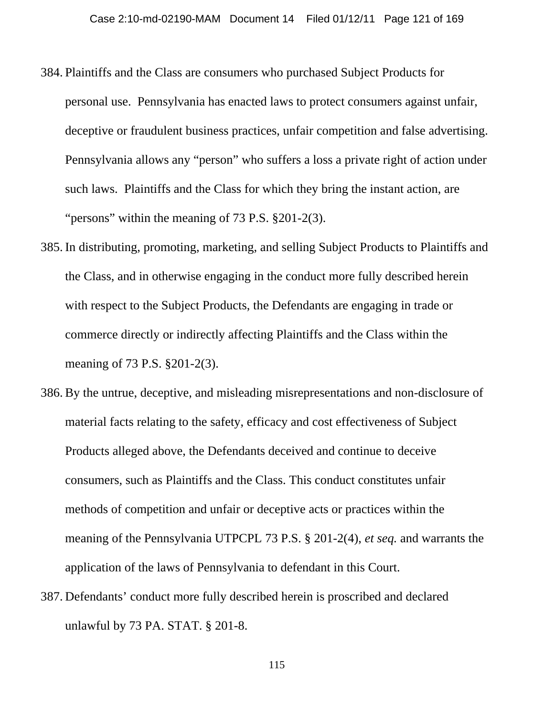- 384. Plaintiffs and the Class are consumers who purchased Subject Products for personal use. Pennsylvania has enacted laws to protect consumers against unfair, deceptive or fraudulent business practices, unfair competition and false advertising. Pennsylvania allows any "person" who suffers a loss a private right of action under such laws. Plaintiffs and the Class for which they bring the instant action, are "persons" within the meaning of 73 P.S. §201-2(3).
- 385. In distributing, promoting, marketing, and selling Subject Products to Plaintiffs and the Class, and in otherwise engaging in the conduct more fully described herein with respect to the Subject Products, the Defendants are engaging in trade or commerce directly or indirectly affecting Plaintiffs and the Class within the meaning of 73 P.S. §201-2(3).
- 386. By the untrue, deceptive, and misleading misrepresentations and non-disclosure of material facts relating to the safety, efficacy and cost effectiveness of Subject Products alleged above, the Defendants deceived and continue to deceive consumers, such as Plaintiffs and the Class. This conduct constitutes unfair methods of competition and unfair or deceptive acts or practices within the meaning of the Pennsylvania UTPCPL 73 P.S. § 201-2(4), *et seq.* and warrants the application of the laws of Pennsylvania to defendant in this Court.
- 387. Defendants' conduct more fully described herein is proscribed and declared unlawful by 73 PA. STAT. § 201-8.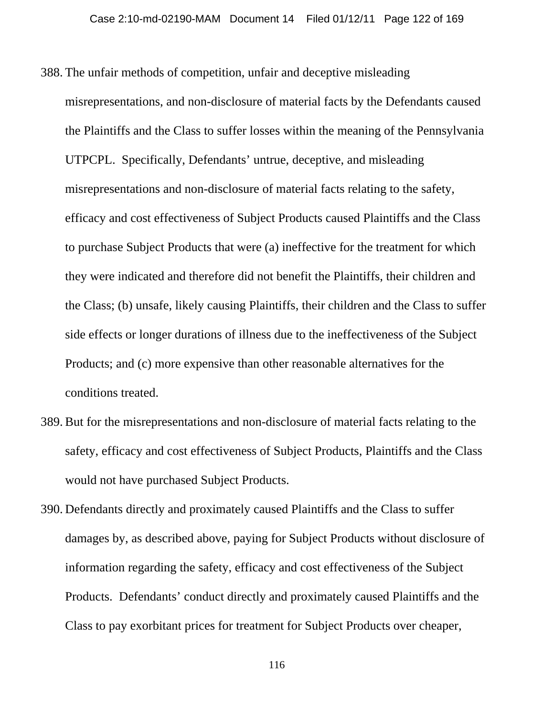- 388. The unfair methods of competition, unfair and deceptive misleading misrepresentations, and non-disclosure of material facts by the Defendants caused the Plaintiffs and the Class to suffer losses within the meaning of the Pennsylvania UTPCPL. Specifically, Defendants' untrue, deceptive, and misleading misrepresentations and non-disclosure of material facts relating to the safety, efficacy and cost effectiveness of Subject Products caused Plaintiffs and the Class to purchase Subject Products that were (a) ineffective for the treatment for which they were indicated and therefore did not benefit the Plaintiffs, their children and the Class; (b) unsafe, likely causing Plaintiffs, their children and the Class to suffer side effects or longer durations of illness due to the ineffectiveness of the Subject Products; and (c) more expensive than other reasonable alternatives for the conditions treated.
- 389. But for the misrepresentations and non-disclosure of material facts relating to the safety, efficacy and cost effectiveness of Subject Products, Plaintiffs and the Class would not have purchased Subject Products.
- 390. Defendants directly and proximately caused Plaintiffs and the Class to suffer damages by, as described above, paying for Subject Products without disclosure of information regarding the safety, efficacy and cost effectiveness of the Subject Products. Defendants' conduct directly and proximately caused Plaintiffs and the Class to pay exorbitant prices for treatment for Subject Products over cheaper,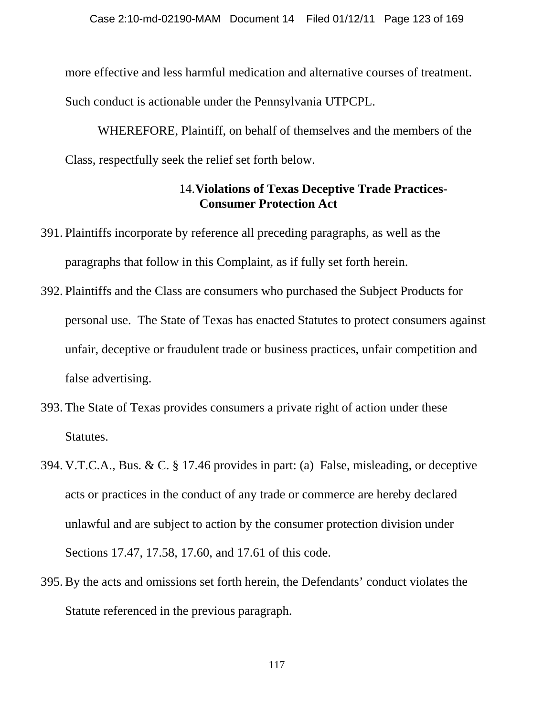more effective and less harmful medication and alternative courses of treatment. Such conduct is actionable under the Pennsylvania UTPCPL.

 WHEREFORE, Plaintiff, on behalf of themselves and the members of the Class, respectfully seek the relief set forth below.

# 14.**Violations of Texas Deceptive Trade Practices-Consumer Protection Act**

- 391. Plaintiffs incorporate by reference all preceding paragraphs, as well as the paragraphs that follow in this Complaint, as if fully set forth herein.
- 392. Plaintiffs and the Class are consumers who purchased the Subject Products for personal use. The State of Texas has enacted Statutes to protect consumers against unfair, deceptive or fraudulent trade or business practices, unfair competition and false advertising.
- 393. The State of Texas provides consumers a private right of action under these Statutes.
- 394. V.T.C.A., Bus. & C. § 17.46 provides in part: (a) False, misleading, or deceptive acts or practices in the conduct of any trade or commerce are hereby declared unlawful and are subject to action by the consumer protection division under Sections 17.47, 17.58, 17.60, and 17.61 of this code.
- 395. By the acts and omissions set forth herein, the Defendants' conduct violates the Statute referenced in the previous paragraph.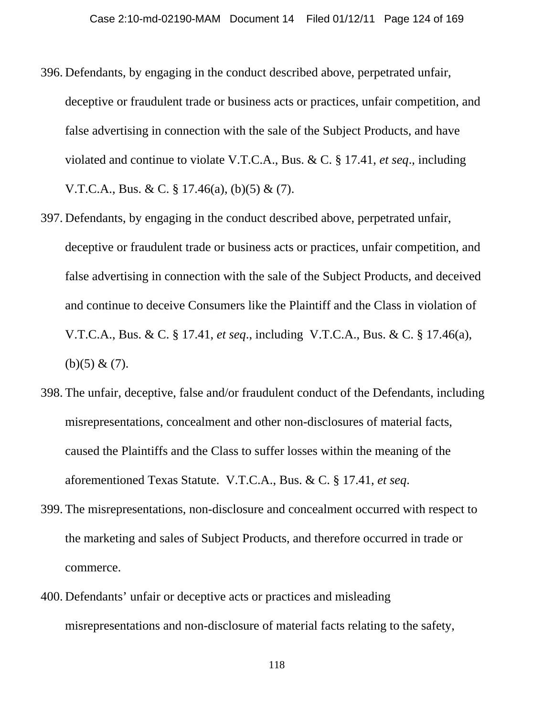- 396. Defendants, by engaging in the conduct described above, perpetrated unfair, deceptive or fraudulent trade or business acts or practices, unfair competition, and false advertising in connection with the sale of the Subject Products, and have violated and continue to violate V.T.C.A., Bus. & C. § 17.41, *et seq*., including V.T.C.A., Bus. & C. § 17.46(a), (b)(5) & (7).
- 397. Defendants, by engaging in the conduct described above, perpetrated unfair, deceptive or fraudulent trade or business acts or practices, unfair competition, and false advertising in connection with the sale of the Subject Products, and deceived and continue to deceive Consumers like the Plaintiff and the Class in violation of V.T.C.A., Bus. & C. § 17.41, *et seq*., including V.T.C.A., Bus. & C. § 17.46(a), (b)(5) &  $(7)$ .
- 398. The unfair, deceptive, false and/or fraudulent conduct of the Defendants, including misrepresentations, concealment and other non-disclosures of material facts, caused the Plaintiffs and the Class to suffer losses within the meaning of the aforementioned Texas Statute. V.T.C.A., Bus. & C. § 17.41, *et seq*.
- 399. The misrepresentations, non-disclosure and concealment occurred with respect to the marketing and sales of Subject Products, and therefore occurred in trade or commerce.
- 400. Defendants' unfair or deceptive acts or practices and misleading misrepresentations and non-disclosure of material facts relating to the safety,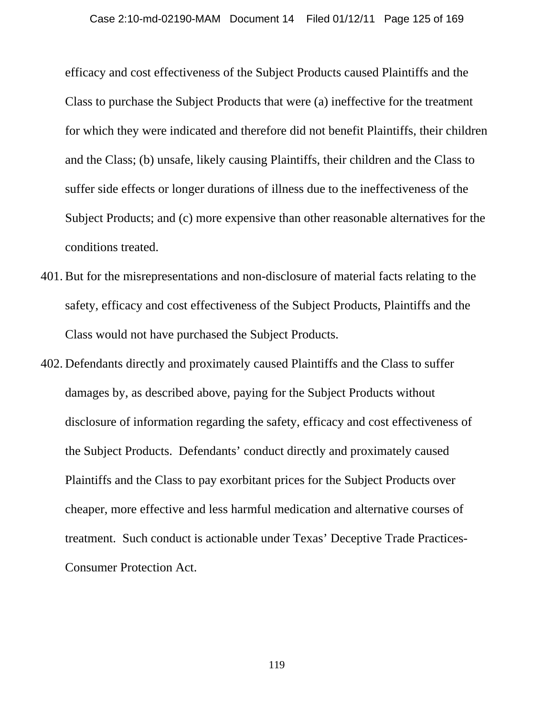efficacy and cost effectiveness of the Subject Products caused Plaintiffs and the Class to purchase the Subject Products that were (a) ineffective for the treatment for which they were indicated and therefore did not benefit Plaintiffs, their children and the Class; (b) unsafe, likely causing Plaintiffs, their children and the Class to suffer side effects or longer durations of illness due to the ineffectiveness of the Subject Products; and (c) more expensive than other reasonable alternatives for the conditions treated.

- 401. But for the misrepresentations and non-disclosure of material facts relating to the safety, efficacy and cost effectiveness of the Subject Products, Plaintiffs and the Class would not have purchased the Subject Products.
- 402. Defendants directly and proximately caused Plaintiffs and the Class to suffer damages by, as described above, paying for the Subject Products without disclosure of information regarding the safety, efficacy and cost effectiveness of the Subject Products. Defendants' conduct directly and proximately caused Plaintiffs and the Class to pay exorbitant prices for the Subject Products over cheaper, more effective and less harmful medication and alternative courses of treatment. Such conduct is actionable under Texas' Deceptive Trade Practices-Consumer Protection Act.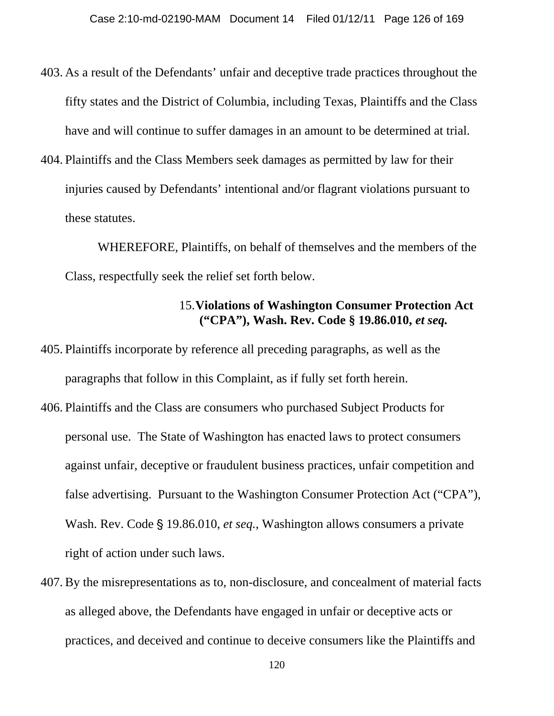- 403. As a result of the Defendants' unfair and deceptive trade practices throughout the fifty states and the District of Columbia, including Texas, Plaintiffs and the Class have and will continue to suffer damages in an amount to be determined at trial.
- 404. Plaintiffs and the Class Members seek damages as permitted by law for their injuries caused by Defendants' intentional and/or flagrant violations pursuant to these statutes.

WHEREFORE, Plaintiffs, on behalf of themselves and the members of the Class, respectfully seek the relief set forth below.

## 15.**Violations of Washington Consumer Protection Act ("CPA"), Wash. Rev. Code § 19.86.010,** *et seq.*

- 405. Plaintiffs incorporate by reference all preceding paragraphs, as well as the paragraphs that follow in this Complaint, as if fully set forth herein.
- 406. Plaintiffs and the Class are consumers who purchased Subject Products for personal use. The State of Washington has enacted laws to protect consumers against unfair, deceptive or fraudulent business practices, unfair competition and false advertising. Pursuant to the Washington Consumer Protection Act ("CPA"), Wash. Rev. Code § 19.86.010, *et seq.*, Washington allows consumers a private right of action under such laws.
- 407. By the misrepresentations as to, non-disclosure, and concealment of material facts as alleged above, the Defendants have engaged in unfair or deceptive acts or practices, and deceived and continue to deceive consumers like the Plaintiffs and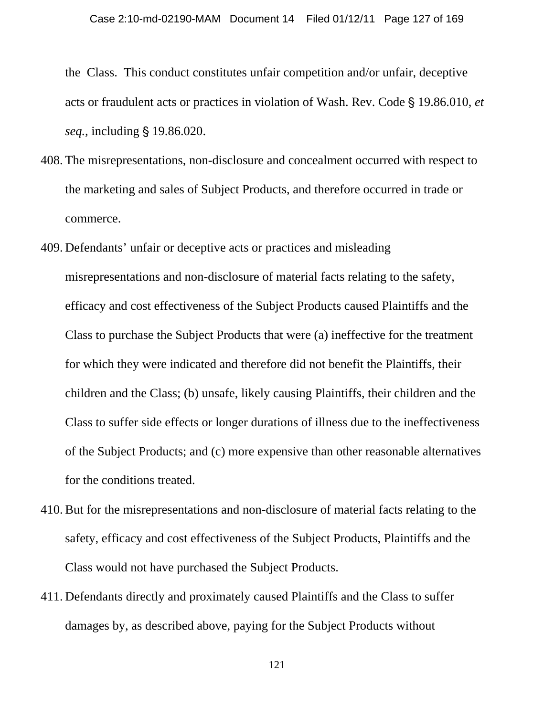the Class. This conduct constitutes unfair competition and/or unfair, deceptive acts or fraudulent acts or practices in violation of Wash. Rev. Code § 19.86.010, *et seq.,* including § 19.86.020.

- 408. The misrepresentations, non-disclosure and concealment occurred with respect to the marketing and sales of Subject Products, and therefore occurred in trade or commerce.
- 409. Defendants' unfair or deceptive acts or practices and misleading misrepresentations and non-disclosure of material facts relating to the safety, efficacy and cost effectiveness of the Subject Products caused Plaintiffs and the Class to purchase the Subject Products that were (a) ineffective for the treatment for which they were indicated and therefore did not benefit the Plaintiffs, their children and the Class; (b) unsafe, likely causing Plaintiffs, their children and the Class to suffer side effects or longer durations of illness due to the ineffectiveness of the Subject Products; and (c) more expensive than other reasonable alternatives for the conditions treated.
- 410. But for the misrepresentations and non-disclosure of material facts relating to the safety, efficacy and cost effectiveness of the Subject Products, Plaintiffs and the Class would not have purchased the Subject Products.
- 411. Defendants directly and proximately caused Plaintiffs and the Class to suffer damages by, as described above, paying for the Subject Products without

121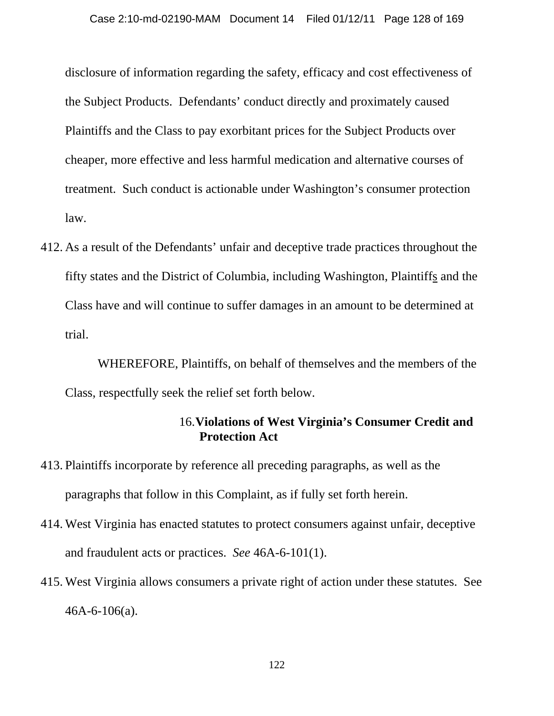disclosure of information regarding the safety, efficacy and cost effectiveness of the Subject Products. Defendants' conduct directly and proximately caused Plaintiffs and the Class to pay exorbitant prices for the Subject Products over cheaper, more effective and less harmful medication and alternative courses of treatment. Such conduct is actionable under Washington's consumer protection law.

412. As a result of the Defendants' unfair and deceptive trade practices throughout the fifty states and the District of Columbia, including Washington, Plaintiffs and the Class have and will continue to suffer damages in an amount to be determined at trial.

WHEREFORE, Plaintiffs, on behalf of themselves and the members of the Class, respectfully seek the relief set forth below.

## 16.**Violations of West Virginia's Consumer Credit and Protection Act**

- 413. Plaintiffs incorporate by reference all preceding paragraphs, as well as the paragraphs that follow in this Complaint, as if fully set forth herein.
- 414. West Virginia has enacted statutes to protect consumers against unfair, deceptive and fraudulent acts or practices. *See* 46A-6-101(1).
- 415. West Virginia allows consumers a private right of action under these statutes. See 46A-6-106(a).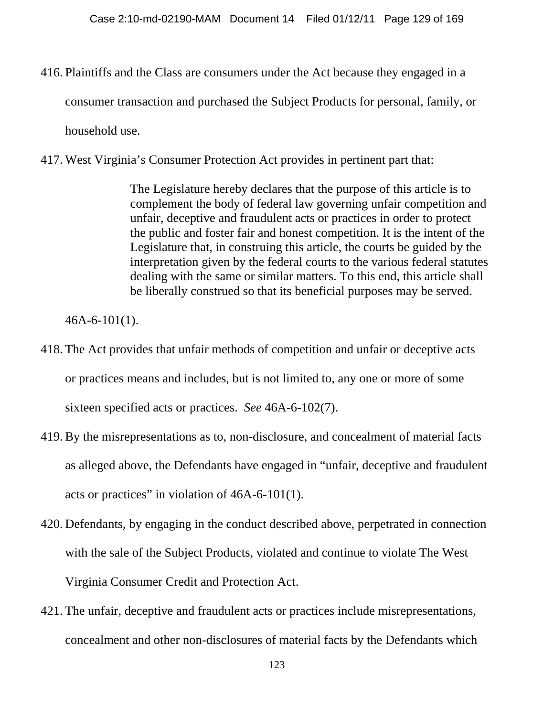416. Plaintiffs and the Class are consumers under the Act because they engaged in a consumer transaction and purchased the Subject Products for personal, family, or household use.

417. West Virginia's Consumer Protection Act provides in pertinent part that:

The Legislature hereby declares that the purpose of this article is to complement the body of federal law governing unfair competition and unfair, deceptive and fraudulent acts or practices in order to protect the public and foster fair and honest competition. It is the intent of the Legislature that, in construing this article, the courts be guided by the interpretation given by the federal courts to the various federal statutes dealing with the same or similar matters. To this end, this article shall be liberally construed so that its beneficial purposes may be served.

46A-6-101(1).

- 418. The Act provides that unfair methods of competition and unfair or deceptive acts or practices means and includes, but is not limited to, any one or more of some sixteen specified acts or practices. *See* 46A-6-102(7).
- 419. By the misrepresentations as to, non-disclosure, and concealment of material facts as alleged above, the Defendants have engaged in "unfair, deceptive and fraudulent acts or practices" in violation of 46A-6-101(1).
- 420. Defendants, by engaging in the conduct described above, perpetrated in connection with the sale of the Subject Products, violated and continue to violate The West Virginia Consumer Credit and Protection Act.
- 421. The unfair, deceptive and fraudulent acts or practices include misrepresentations, concealment and other non-disclosures of material facts by the Defendants which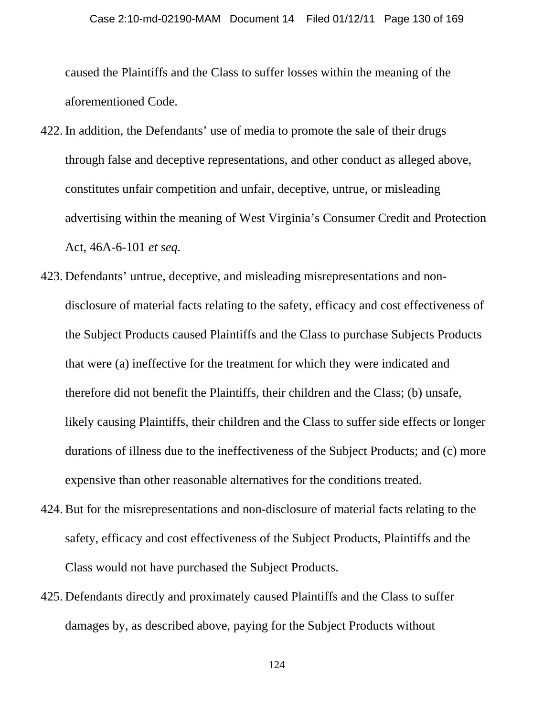caused the Plaintiffs and the Class to suffer losses within the meaning of the aforementioned Code.

- 422. In addition, the Defendants' use of media to promote the sale of their drugs through false and deceptive representations, and other conduct as alleged above, constitutes unfair competition and unfair, deceptive, untrue, or misleading advertising within the meaning of West Virginia's Consumer Credit and Protection Act, 46A-6-101 *et seq.*
- 423. Defendants' untrue, deceptive, and misleading misrepresentations and nondisclosure of material facts relating to the safety, efficacy and cost effectiveness of the Subject Products caused Plaintiffs and the Class to purchase Subjects Products that were (a) ineffective for the treatment for which they were indicated and therefore did not benefit the Plaintiffs, their children and the Class; (b) unsafe, likely causing Plaintiffs, their children and the Class to suffer side effects or longer durations of illness due to the ineffectiveness of the Subject Products; and (c) more expensive than other reasonable alternatives for the conditions treated.
- 424. But for the misrepresentations and non-disclosure of material facts relating to the safety, efficacy and cost effectiveness of the Subject Products, Plaintiffs and the Class would not have purchased the Subject Products.
- 425. Defendants directly and proximately caused Plaintiffs and the Class to suffer damages by, as described above, paying for the Subject Products without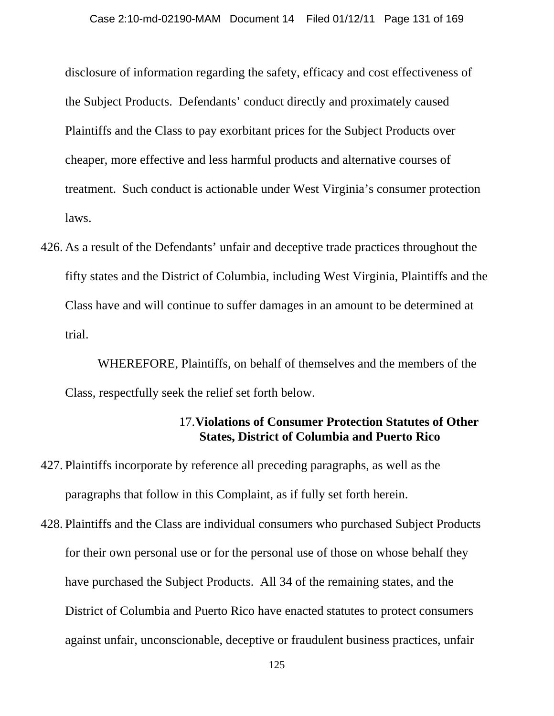disclosure of information regarding the safety, efficacy and cost effectiveness of the Subject Products. Defendants' conduct directly and proximately caused Plaintiffs and the Class to pay exorbitant prices for the Subject Products over cheaper, more effective and less harmful products and alternative courses of treatment. Such conduct is actionable under West Virginia's consumer protection laws.

426. As a result of the Defendants' unfair and deceptive trade practices throughout the fifty states and the District of Columbia, including West Virginia, Plaintiffs and the Class have and will continue to suffer damages in an amount to be determined at trial.

WHEREFORE, Plaintiffs, on behalf of themselves and the members of the Class, respectfully seek the relief set forth below.

## 17.**Violations of Consumer Protection Statutes of Other States, District of Columbia and Puerto Rico**

- 427. Plaintiffs incorporate by reference all preceding paragraphs, as well as the paragraphs that follow in this Complaint, as if fully set forth herein.
- 428. Plaintiffs and the Class are individual consumers who purchased Subject Products for their own personal use or for the personal use of those on whose behalf they have purchased the Subject Products. All 34 of the remaining states, and the District of Columbia and Puerto Rico have enacted statutes to protect consumers against unfair, unconscionable, deceptive or fraudulent business practices, unfair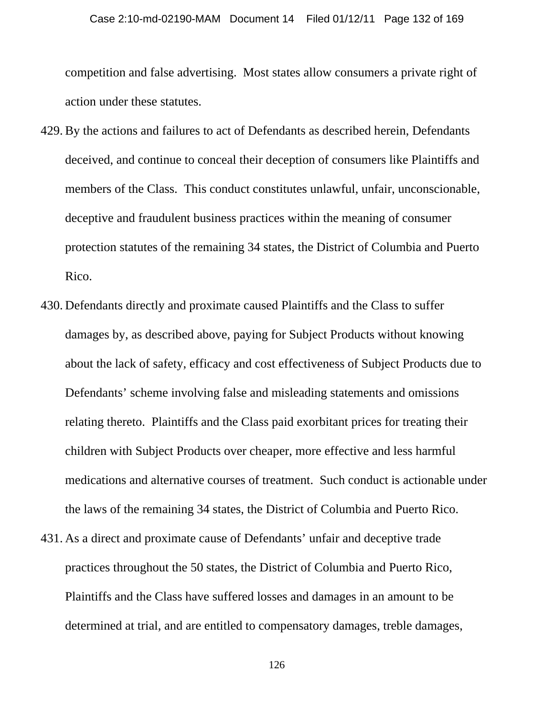competition and false advertising. Most states allow consumers a private right of action under these statutes.

- 429. By the actions and failures to act of Defendants as described herein, Defendants deceived, and continue to conceal their deception of consumers like Plaintiffs and members of the Class. This conduct constitutes unlawful, unfair, unconscionable, deceptive and fraudulent business practices within the meaning of consumer protection statutes of the remaining 34 states, the District of Columbia and Puerto Rico.
- 430. Defendants directly and proximate caused Plaintiffs and the Class to suffer damages by, as described above, paying for Subject Products without knowing about the lack of safety, efficacy and cost effectiveness of Subject Products due to Defendants' scheme involving false and misleading statements and omissions relating thereto. Plaintiffs and the Class paid exorbitant prices for treating their children with Subject Products over cheaper, more effective and less harmful medications and alternative courses of treatment. Such conduct is actionable under the laws of the remaining 34 states, the District of Columbia and Puerto Rico.
- 431. As a direct and proximate cause of Defendants' unfair and deceptive trade practices throughout the 50 states, the District of Columbia and Puerto Rico, Plaintiffs and the Class have suffered losses and damages in an amount to be determined at trial, and are entitled to compensatory damages, treble damages,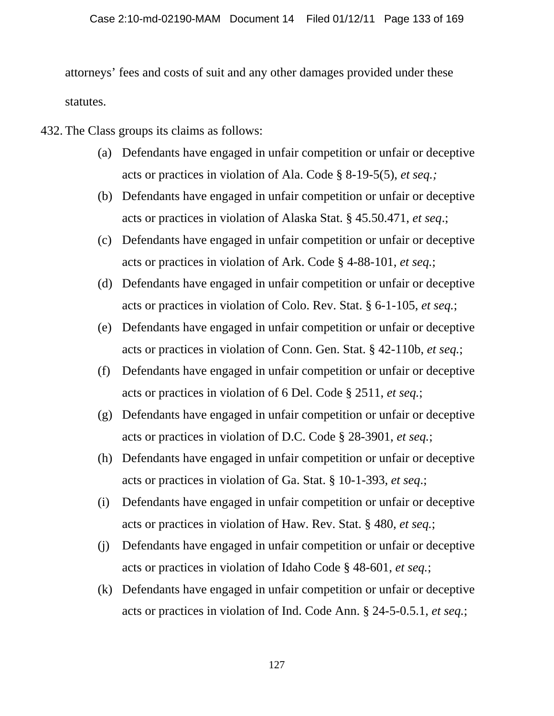attorneys' fees and costs of suit and any other damages provided under these statutes.

- 432. The Class groups its claims as follows:
	- (a) Defendants have engaged in unfair competition or unfair or deceptive acts or practices in violation of Ala. Code § 8-19-5(5), *et seq.;*
	- (b) Defendants have engaged in unfair competition or unfair or deceptive acts or practices in violation of Alaska Stat. § 45.50.471, *et seq*.;
	- (c) Defendants have engaged in unfair competition or unfair or deceptive acts or practices in violation of Ark. Code § 4-88-101, *et seq.*;
	- (d) Defendants have engaged in unfair competition or unfair or deceptive acts or practices in violation of Colo. Rev. Stat. § 6-1-105, *et seq.*;
	- (e) Defendants have engaged in unfair competition or unfair or deceptive acts or practices in violation of Conn. Gen. Stat. § 42-110b, *et seq.*;
	- (f) Defendants have engaged in unfair competition or unfair or deceptive acts or practices in violation of 6 Del. Code § 2511, *et seq.*;
	- (g) Defendants have engaged in unfair competition or unfair or deceptive acts or practices in violation of D.C. Code § 28-3901, *et seq.*;
	- (h) Defendants have engaged in unfair competition or unfair or deceptive acts or practices in violation of Ga. Stat. § 10-1-393, *et seq*.;
	- (i) Defendants have engaged in unfair competition or unfair or deceptive acts or practices in violation of Haw. Rev. Stat. § 480, *et seq.*;
	- (j) Defendants have engaged in unfair competition or unfair or deceptive acts or practices in violation of Idaho Code § 48-601, *et seq.*;
	- (k) Defendants have engaged in unfair competition or unfair or deceptive acts or practices in violation of Ind. Code Ann. § 24-5-0.5.1, *et seq.*;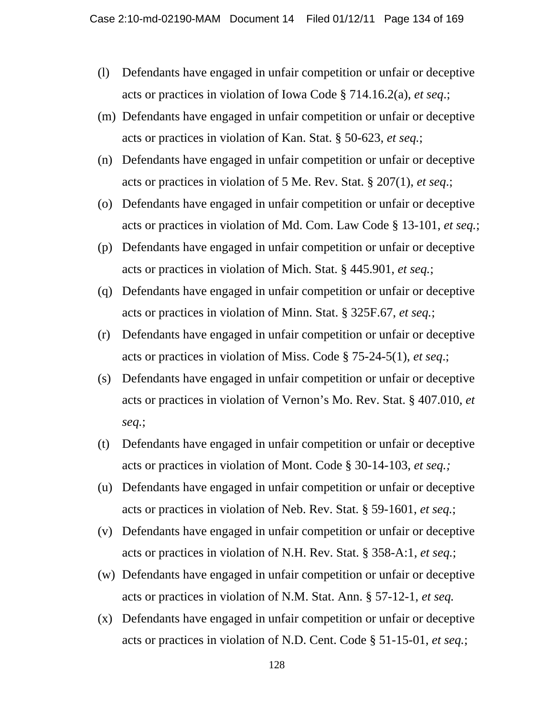- (l) Defendants have engaged in unfair competition or unfair or deceptive acts or practices in violation of Iowa Code § 714.16.2(a), *et seq*.;
- (m) Defendants have engaged in unfair competition or unfair or deceptive acts or practices in violation of Kan. Stat. § 50-623, *et seq.*;
- (n) Defendants have engaged in unfair competition or unfair or deceptive acts or practices in violation of 5 Me. Rev. Stat. § 207(1), *et seq*.;
- (o) Defendants have engaged in unfair competition or unfair or deceptive acts or practices in violation of Md. Com. Law Code § 13-101, *et seq.*;
- (p) Defendants have engaged in unfair competition or unfair or deceptive acts or practices in violation of Mich. Stat. § 445.901, *et seq.*;
- (q) Defendants have engaged in unfair competition or unfair or deceptive acts or practices in violation of Minn. Stat. § 325F.67, *et seq.*;
- (r) Defendants have engaged in unfair competition or unfair or deceptive acts or practices in violation of Miss. Code § 75-24-5(1), *et seq*.;
- (s) Defendants have engaged in unfair competition or unfair or deceptive acts or practices in violation of Vernon's Mo. Rev. Stat. § 407.010, *et seq.*;
- (t) Defendants have engaged in unfair competition or unfair or deceptive acts or practices in violation of Mont. Code § 30-14-103, *et seq.;*
- (u) Defendants have engaged in unfair competition or unfair or deceptive acts or practices in violation of Neb. Rev. Stat. § 59-1601, *et seq.*;
- (v) Defendants have engaged in unfair competition or unfair or deceptive acts or practices in violation of N.H. Rev. Stat. § 358-A:1, *et seq.*;
- (w) Defendants have engaged in unfair competition or unfair or deceptive acts or practices in violation of N.M. Stat. Ann. § 57-12-1, *et seq.*
- (x) Defendants have engaged in unfair competition or unfair or deceptive acts or practices in violation of N.D. Cent. Code § 51-15-01, *et seq.*;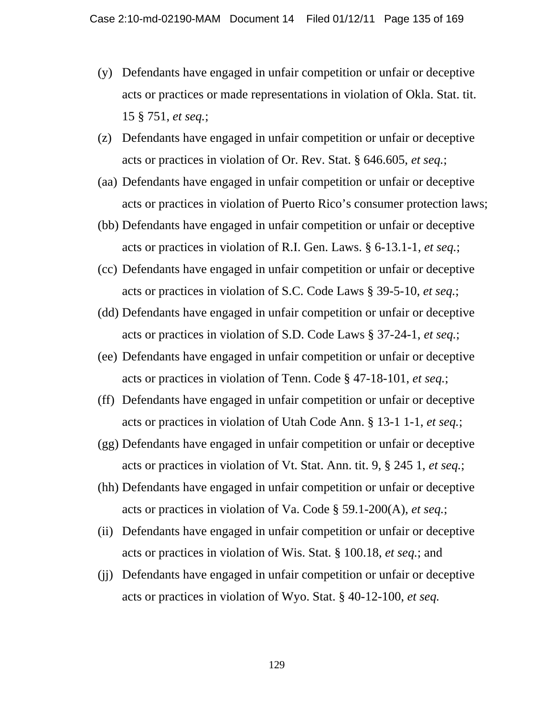- (y) Defendants have engaged in unfair competition or unfair or deceptive acts or practices or made representations in violation of Okla. Stat. tit. 15 § 751, *et seq.*;
- (z) Defendants have engaged in unfair competition or unfair or deceptive acts or practices in violation of Or. Rev. Stat. § 646.605, *et seq.*;
- (aa) Defendants have engaged in unfair competition or unfair or deceptive acts or practices in violation of Puerto Rico's consumer protection laws;
- (bb) Defendants have engaged in unfair competition or unfair or deceptive acts or practices in violation of R.I. Gen. Laws. § 6-13.1-1, *et seq.*;
- (cc) Defendants have engaged in unfair competition or unfair or deceptive acts or practices in violation of S.C. Code Laws § 39-5-10, *et seq.*;
- (dd) Defendants have engaged in unfair competition or unfair or deceptive acts or practices in violation of S.D. Code Laws § 37-24-1, *et seq.*;
- (ee) Defendants have engaged in unfair competition or unfair or deceptive acts or practices in violation of Tenn. Code § 47-18-101, *et seq.*;
- (ff) Defendants have engaged in unfair competition or unfair or deceptive acts or practices in violation of Utah Code Ann. § 13-1 1-1, *et seq.*;
- (gg) Defendants have engaged in unfair competition or unfair or deceptive acts or practices in violation of Vt. Stat. Ann. tit. 9, § 245 1, *et seq.*;
- (hh) Defendants have engaged in unfair competition or unfair or deceptive acts or practices in violation of Va. Code § 59.1-200(A), *et seq.*;
- (ii) Defendants have engaged in unfair competition or unfair or deceptive acts or practices in violation of Wis. Stat. § 100.18, *et seq.*; and
- (jj) Defendants have engaged in unfair competition or unfair or deceptive acts or practices in violation of Wyo. Stat. § 40-12-100, *et seq.*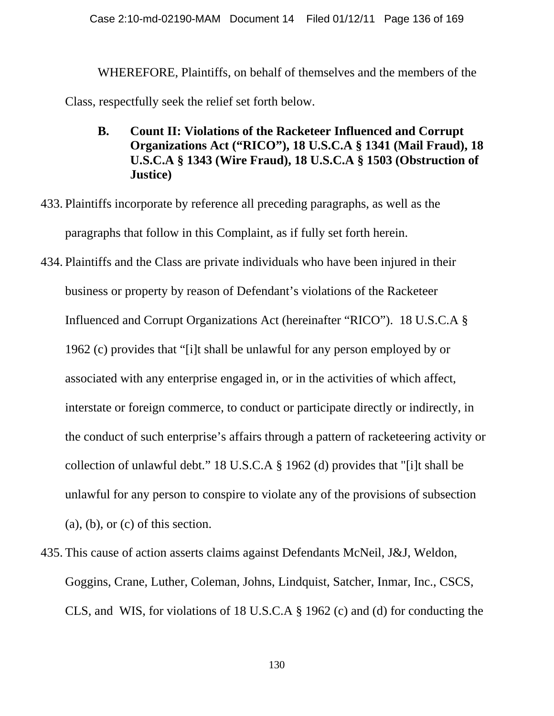WHEREFORE, Plaintiffs, on behalf of themselves and the members of the Class, respectfully seek the relief set forth below.

- **B. Count II: Violations of the Racketeer Influenced and Corrupt Organizations Act ("RICO"), 18 U.S.C.A § 1341 (Mail Fraud), 18 U.S.C.A § 1343 (Wire Fraud), 18 U.S.C.A § 1503 (Obstruction of Justice)**
- 433. Plaintiffs incorporate by reference all preceding paragraphs, as well as the paragraphs that follow in this Complaint, as if fully set forth herein.
- 434. Plaintiffs and the Class are private individuals who have been injured in their business or property by reason of Defendant's violations of the Racketeer Influenced and Corrupt Organizations Act (hereinafter "RICO"). 18 U.S.C.A § 1962 (c) provides that "[i]t shall be unlawful for any person employed by or associated with any enterprise engaged in, or in the activities of which affect, interstate or foreign commerce, to conduct or participate directly or indirectly, in the conduct of such enterprise's affairs through a pattern of racketeering activity or collection of unlawful debt." 18 U.S.C.A § 1962 (d) provides that "[i]t shall be unlawful for any person to conspire to violate any of the provisions of subsection  $(a)$ ,  $(b)$ , or  $(c)$  of this section.
- 435. This cause of action asserts claims against Defendants McNeil, J&J, Weldon, Goggins, Crane, Luther, Coleman, Johns, Lindquist, Satcher, Inmar, Inc., CSCS, CLS, and WIS, for violations of 18 U.S.C.A § 1962 (c) and (d) for conducting the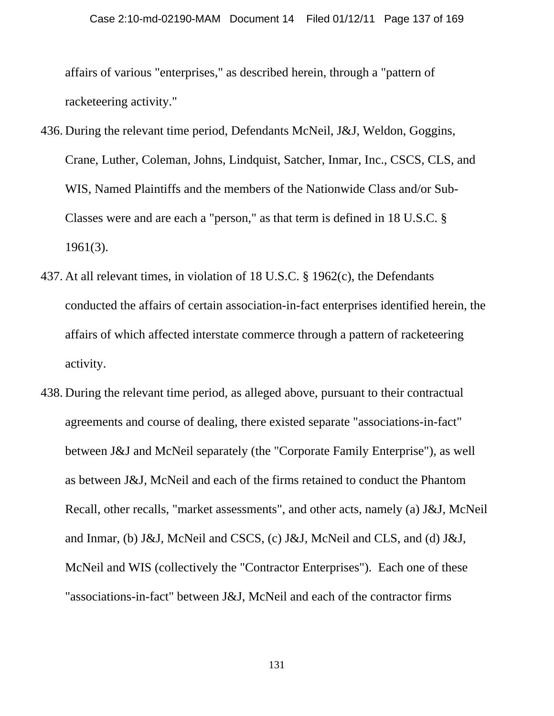affairs of various "enterprises," as described herein, through a "pattern of racketeering activity."

- 436. During the relevant time period, Defendants McNeil, J&J, Weldon, Goggins, Crane, Luther, Coleman, Johns, Lindquist, Satcher, Inmar, Inc., CSCS, CLS, and WIS, Named Plaintiffs and the members of the Nationwide Class and/or Sub-Classes were and are each a "person," as that term is defined in 18 U.S.C. § 1961(3).
- 437. At all relevant times, in violation of 18 U.S.C. § 1962(c), the Defendants conducted the affairs of certain association-in-fact enterprises identified herein, the affairs of which affected interstate commerce through a pattern of racketeering activity.
- 438. During the relevant time period, as alleged above, pursuant to their contractual agreements and course of dealing, there existed separate "associations-in-fact" between J&J and McNeil separately (the "Corporate Family Enterprise"), as well as between J&J, McNeil and each of the firms retained to conduct the Phantom Recall, other recalls, "market assessments", and other acts, namely (a) J&J, McNeil and Inmar, (b) J&J, McNeil and CSCS, (c) J&J, McNeil and CLS, and (d) J&J, McNeil and WIS (collectively the "Contractor Enterprises"). Each one of these "associations-in-fact" between J&J, McNeil and each of the contractor firms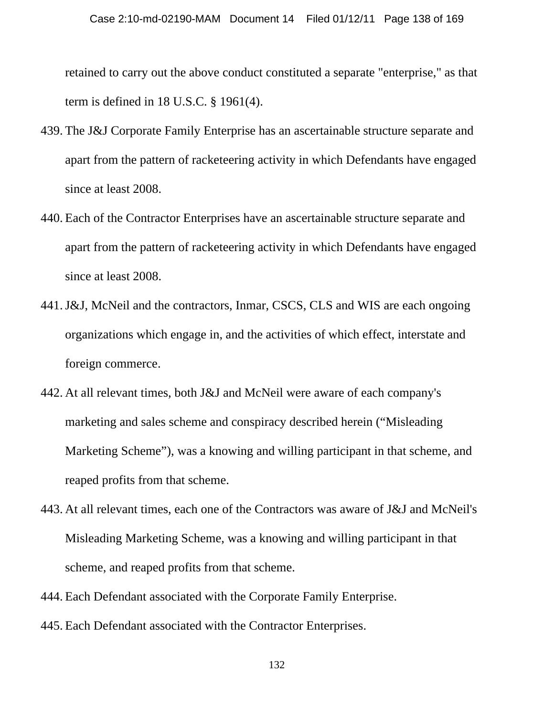retained to carry out the above conduct constituted a separate "enterprise," as that term is defined in 18 U.S.C. § 1961(4).

- 439. The J&J Corporate Family Enterprise has an ascertainable structure separate and apart from the pattern of racketeering activity in which Defendants have engaged since at least 2008.
- 440. Each of the Contractor Enterprises have an ascertainable structure separate and apart from the pattern of racketeering activity in which Defendants have engaged since at least 2008.
- 441.J&J, McNeil and the contractors, Inmar, CSCS, CLS and WIS are each ongoing organizations which engage in, and the activities of which effect, interstate and foreign commerce.
- 442. At all relevant times, both J&J and McNeil were aware of each company's marketing and sales scheme and conspiracy described herein ("Misleading Marketing Scheme"), was a knowing and willing participant in that scheme, and reaped profits from that scheme.
- 443. At all relevant times, each one of the Contractors was aware of J&J and McNeil's Misleading Marketing Scheme, was a knowing and willing participant in that scheme, and reaped profits from that scheme.
- 444. Each Defendant associated with the Corporate Family Enterprise.
- 445. Each Defendant associated with the Contractor Enterprises.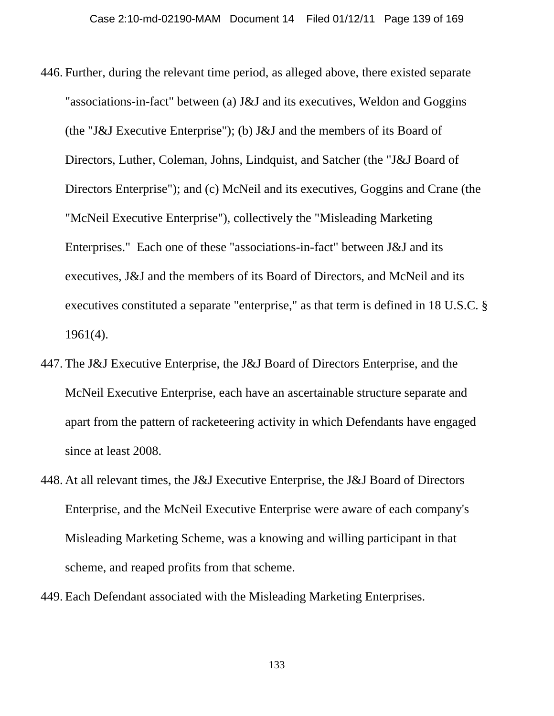- 446. Further, during the relevant time period, as alleged above, there existed separate "associations-in-fact" between (a) J&J and its executives, Weldon and Goggins (the "J&J Executive Enterprise"); (b) J&J and the members of its Board of Directors, Luther, Coleman, Johns, Lindquist, and Satcher (the "J&J Board of Directors Enterprise"); and (c) McNeil and its executives, Goggins and Crane (the "McNeil Executive Enterprise"), collectively the "Misleading Marketing Enterprises." Each one of these "associations-in-fact" between J&J and its executives, J&J and the members of its Board of Directors, and McNeil and its executives constituted a separate "enterprise," as that term is defined in 18 U.S.C. § 1961(4).
- 447. The J&J Executive Enterprise, the J&J Board of Directors Enterprise, and the McNeil Executive Enterprise, each have an ascertainable structure separate and apart from the pattern of racketeering activity in which Defendants have engaged since at least 2008.
- 448. At all relevant times, the J&J Executive Enterprise, the J&J Board of Directors Enterprise, and the McNeil Executive Enterprise were aware of each company's Misleading Marketing Scheme, was a knowing and willing participant in that scheme, and reaped profits from that scheme.
- 449. Each Defendant associated with the Misleading Marketing Enterprises.

133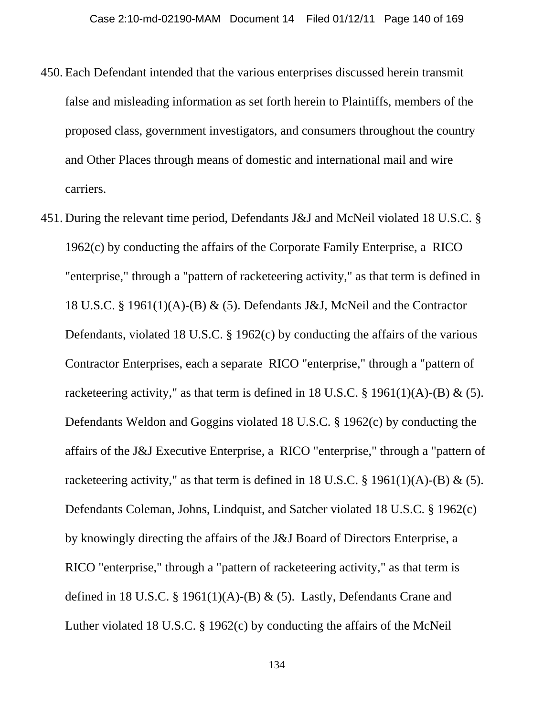- 450. Each Defendant intended that the various enterprises discussed herein transmit false and misleading information as set forth herein to Plaintiffs, members of the proposed class, government investigators, and consumers throughout the country and Other Places through means of domestic and international mail and wire carriers.
- 451. During the relevant time period, Defendants J&J and McNeil violated 18 U.S.C. § 1962(c) by conducting the affairs of the Corporate Family Enterprise, a RICO "enterprise," through a "pattern of racketeering activity," as that term is defined in 18 U.S.C. § 1961(1)(A)-(B) & (5). Defendants J&J, McNeil and the Contractor Defendants, violated 18 U.S.C. § 1962(c) by conducting the affairs of the various Contractor Enterprises, each a separate RICO "enterprise," through a "pattern of racketeering activity," as that term is defined in 18 U.S.C.  $\S$  1961(1)(A)-(B) & (5). Defendants Weldon and Goggins violated 18 U.S.C. § 1962(c) by conducting the affairs of the J&J Executive Enterprise, a RICO "enterprise," through a "pattern of racketeering activity," as that term is defined in 18 U.S.C.  $\S$  1961(1)(A)-(B) & (5). Defendants Coleman, Johns, Lindquist, and Satcher violated 18 U.S.C. § 1962(c) by knowingly directing the affairs of the J&J Board of Directors Enterprise, a RICO "enterprise," through a "pattern of racketeering activity," as that term is defined in 18 U.S.C. § 1961(1)(A)-(B) & (5). Lastly, Defendants Crane and Luther violated 18 U.S.C. § 1962(c) by conducting the affairs of the McNeil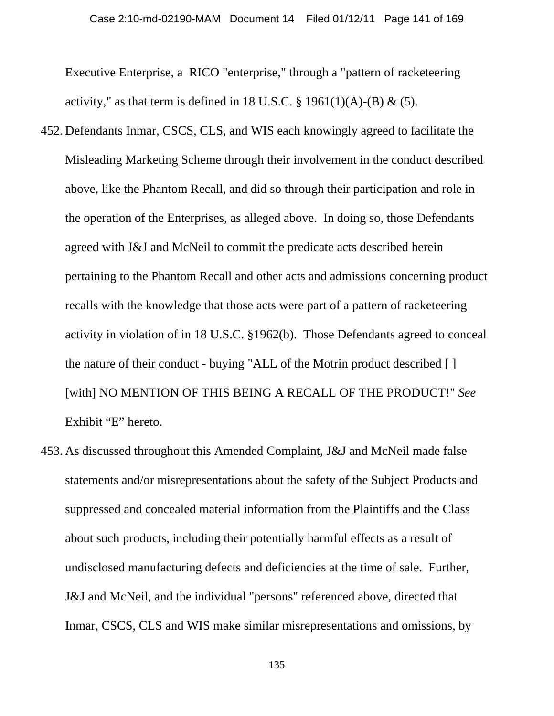Executive Enterprise, a RICO "enterprise," through a "pattern of racketeering activity," as that term is defined in 18 U.S.C.  $\S$  1961(1)(A)-(B) & (5).

- 452. Defendants Inmar, CSCS, CLS, and WIS each knowingly agreed to facilitate the Misleading Marketing Scheme through their involvement in the conduct described above, like the Phantom Recall, and did so through their participation and role in the operation of the Enterprises, as alleged above. In doing so, those Defendants agreed with J&J and McNeil to commit the predicate acts described herein pertaining to the Phantom Recall and other acts and admissions concerning product recalls with the knowledge that those acts were part of a pattern of racketeering activity in violation of in 18 U.S.C. §1962(b). Those Defendants agreed to conceal the nature of their conduct - buying "ALL of the Motrin product described [ ] [with] NO MENTION OF THIS BEING A RECALL OF THE PRODUCT!" *See* Exhibit "E" hereto.
- 453. As discussed throughout this Amended Complaint, J&J and McNeil made false statements and/or misrepresentations about the safety of the Subject Products and suppressed and concealed material information from the Plaintiffs and the Class about such products, including their potentially harmful effects as a result of undisclosed manufacturing defects and deficiencies at the time of sale. Further, J&J and McNeil, and the individual "persons" referenced above, directed that Inmar, CSCS, CLS and WIS make similar misrepresentations and omissions, by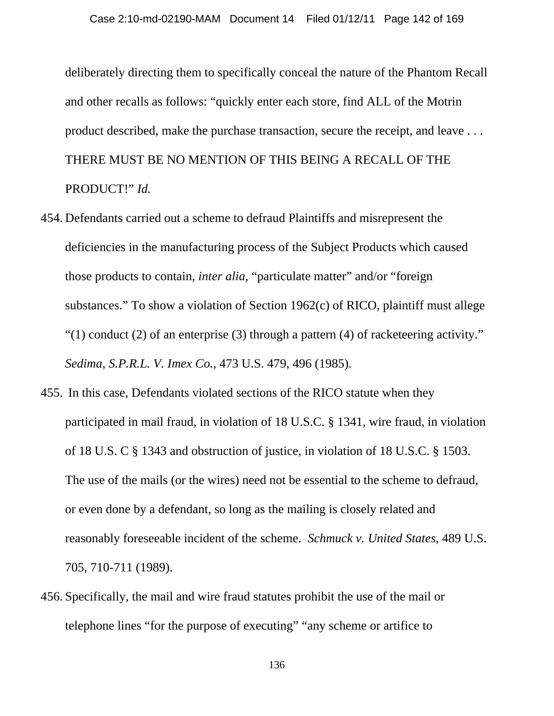deliberately directing them to specifically conceal the nature of the Phantom Recall and other recalls as follows: "quickly enter each store, find ALL of the Motrin product described, make the purchase transaction, secure the receipt, and leave . . . THERE MUST BE NO MENTION OF THIS BEING A RECALL OF THE PRODUCT!" *Id.*

- 454. Defendants carried out a scheme to defraud Plaintiffs and misrepresent the deficiencies in the manufacturing process of the Subject Products which caused those products to contain, *inter alia*, "particulate matter" and/or "foreign substances." To show a violation of Section 1962(c) of RICO, plaintiff must allege "(1) conduct (2) of an enterprise (3) through a pattern (4) of racketeering activity." *Sedima, S.P.R.L. V. Imex Co.,* 473 U.S. 479, 496 (1985).
- 455. In this case, Defendants violated sections of the RICO statute when they participated in mail fraud, in violation of 18 U.S.C. § 1341, wire fraud, in violation of 18 U.S. C § 1343 and obstruction of justice, in violation of 18 U.S.C. § 1503. The use of the mails (or the wires) need not be essential to the scheme to defraud, or even done by a defendant, so long as the mailing is closely related and reasonably foreseeable incident of the scheme. *Schmuck v. United States*, 489 U.S. 705, 710-711 (1989).
- 456. Specifically, the mail and wire fraud statutes prohibit the use of the mail or telephone lines "for the purpose of executing" "any scheme or artifice to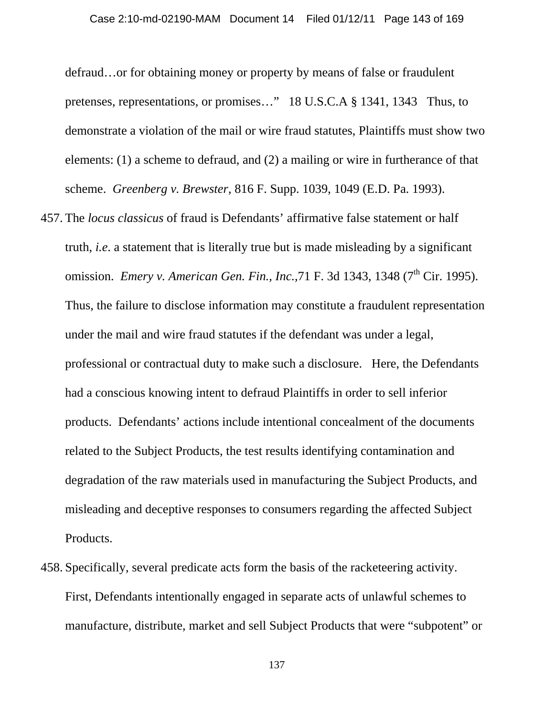defraud…or for obtaining money or property by means of false or fraudulent pretenses, representations, or promises…" 18 U.S.C.A § 1341, 1343 Thus, to demonstrate a violation of the mail or wire fraud statutes, Plaintiffs must show two elements: (1) a scheme to defraud, and (2) a mailing or wire in furtherance of that scheme. *Greenberg v. Brewster*, 816 F. Supp. 1039, 1049 (E.D. Pa. 1993).

- 457. The *locus classicus* of fraud is Defendants' affirmative false statement or half truth, *i.e*. a statement that is literally true but is made misleading by a significant omission. *Emery v. American Gen. Fin., Inc.*, 71 F. 3d 1343, 1348 (7<sup>th</sup> Cir. 1995). Thus, the failure to disclose information may constitute a fraudulent representation under the mail and wire fraud statutes if the defendant was under a legal, professional or contractual duty to make such a disclosure. Here, the Defendants had a conscious knowing intent to defraud Plaintiffs in order to sell inferior products. Defendants' actions include intentional concealment of the documents related to the Subject Products, the test results identifying contamination and degradation of the raw materials used in manufacturing the Subject Products, and misleading and deceptive responses to consumers regarding the affected Subject Products.
- 458. Specifically, several predicate acts form the basis of the racketeering activity. First, Defendants intentionally engaged in separate acts of unlawful schemes to manufacture, distribute, market and sell Subject Products that were "subpotent" or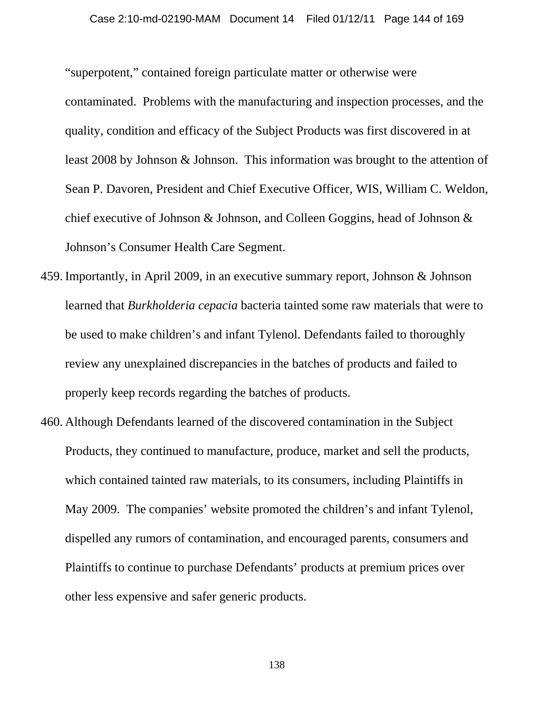"superpotent," contained foreign particulate matter or otherwise were contaminated. Problems with the manufacturing and inspection processes, and the quality, condition and efficacy of the Subject Products was first discovered in at least 2008 by Johnson & Johnson. This information was brought to the attention of Sean P. Davoren, President and Chief Executive Officer, WIS, William C. Weldon, chief executive of Johnson & Johnson, and Colleen Goggins, head of Johnson & Johnson's Consumer Health Care Segment.

- 459. Importantly, in April 2009, in an executive summary report, Johnson & Johnson learned that *Burkholderia cepacia* bacteria tainted some raw materials that were to be used to make children's and infant Tylenol. Defendants failed to thoroughly review any unexplained discrepancies in the batches of products and failed to properly keep records regarding the batches of products.
- 460. Although Defendants learned of the discovered contamination in the Subject Products, they continued to manufacture, produce, market and sell the products, which contained tainted raw materials, to its consumers, including Plaintiffs in May 2009. The companies' website promoted the children's and infant Tylenol, dispelled any rumors of contamination, and encouraged parents, consumers and Plaintiffs to continue to purchase Defendants' products at premium prices over other less expensive and safer generic products.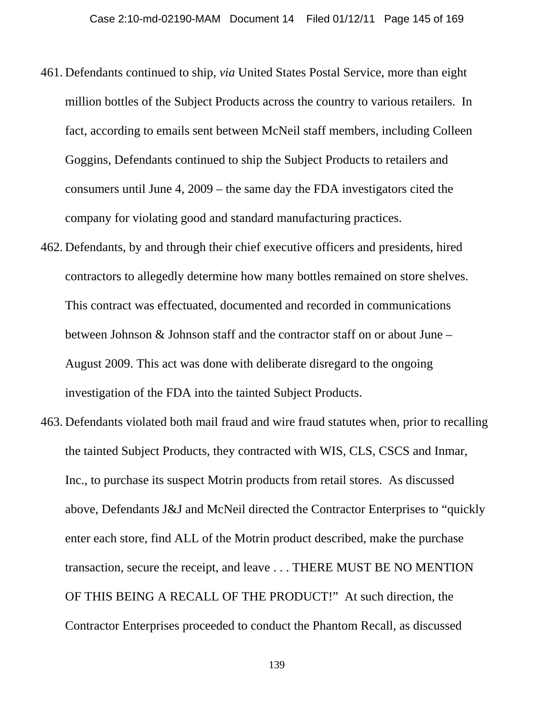- 461. Defendants continued to ship, *via* United States Postal Service, more than eight million bottles of the Subject Products across the country to various retailers. In fact, according to emails sent between McNeil staff members, including Colleen Goggins, Defendants continued to ship the Subject Products to retailers and consumers until June 4, 2009 – the same day the FDA investigators cited the company for violating good and standard manufacturing practices.
- 462. Defendants, by and through their chief executive officers and presidents, hired contractors to allegedly determine how many bottles remained on store shelves. This contract was effectuated, documented and recorded in communications between Johnson & Johnson staff and the contractor staff on or about June – August 2009. This act was done with deliberate disregard to the ongoing investigation of the FDA into the tainted Subject Products.
- 463. Defendants violated both mail fraud and wire fraud statutes when, prior to recalling the tainted Subject Products, they contracted with WIS, CLS, CSCS and Inmar, Inc., to purchase its suspect Motrin products from retail stores. As discussed above, Defendants J&J and McNeil directed the Contractor Enterprises to "quickly enter each store, find ALL of the Motrin product described, make the purchase transaction, secure the receipt, and leave . . . THERE MUST BE NO MENTION OF THIS BEING A RECALL OF THE PRODUCT!" At such direction, the Contractor Enterprises proceeded to conduct the Phantom Recall, as discussed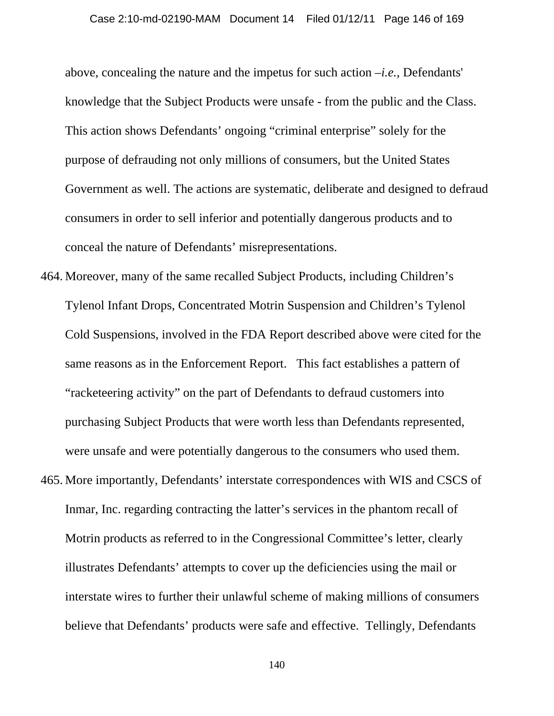above, concealing the nature and the impetus for such action –*i.e.,* Defendants' knowledge that the Subject Products were unsafe - from the public and the Class. This action shows Defendants' ongoing "criminal enterprise" solely for the purpose of defrauding not only millions of consumers, but the United States Government as well. The actions are systematic, deliberate and designed to defraud consumers in order to sell inferior and potentially dangerous products and to conceal the nature of Defendants' misrepresentations.

- 464. Moreover, many of the same recalled Subject Products, including Children's Tylenol Infant Drops, Concentrated Motrin Suspension and Children's Tylenol Cold Suspensions, involved in the FDA Report described above were cited for the same reasons as in the Enforcement Report. This fact establishes a pattern of "racketeering activity" on the part of Defendants to defraud customers into purchasing Subject Products that were worth less than Defendants represented, were unsafe and were potentially dangerous to the consumers who used them.
- 465. More importantly, Defendants' interstate correspondences with WIS and CSCS of Inmar, Inc. regarding contracting the latter's services in the phantom recall of Motrin products as referred to in the Congressional Committee's letter, clearly illustrates Defendants' attempts to cover up the deficiencies using the mail or interstate wires to further their unlawful scheme of making millions of consumers believe that Defendants' products were safe and effective. Tellingly, Defendants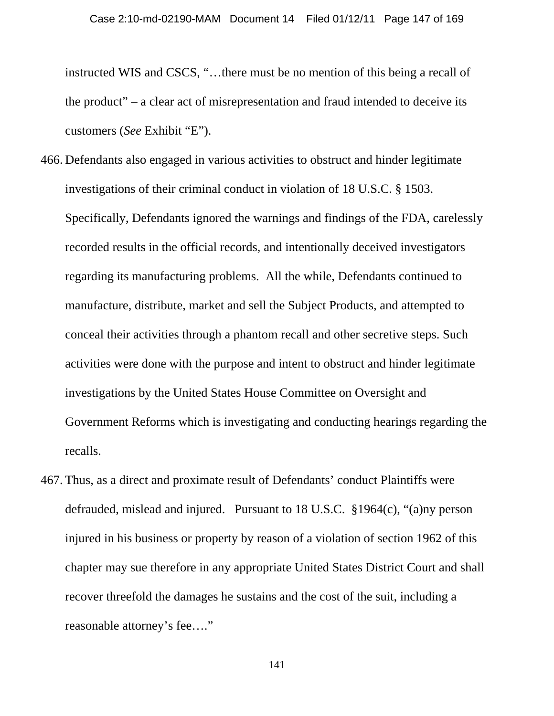instructed WIS and CSCS, "…there must be no mention of this being a recall of the product" – a clear act of misrepresentation and fraud intended to deceive its customers (*See* Exhibit "E").

- 466. Defendants also engaged in various activities to obstruct and hinder legitimate investigations of their criminal conduct in violation of 18 U.S.C. § 1503. Specifically, Defendants ignored the warnings and findings of the FDA, carelessly recorded results in the official records, and intentionally deceived investigators regarding its manufacturing problems. All the while, Defendants continued to manufacture, distribute, market and sell the Subject Products, and attempted to conceal their activities through a phantom recall and other secretive steps. Such activities were done with the purpose and intent to obstruct and hinder legitimate investigations by the United States House Committee on Oversight and Government Reforms which is investigating and conducting hearings regarding the recalls.
- 467. Thus, as a direct and proximate result of Defendants' conduct Plaintiffs were defrauded, mislead and injured. Pursuant to 18 U.S.C. §1964(c), "(a)ny person injured in his business or property by reason of a violation of section 1962 of this chapter may sue therefore in any appropriate United States District Court and shall recover threefold the damages he sustains and the cost of the suit, including a reasonable attorney's fee…."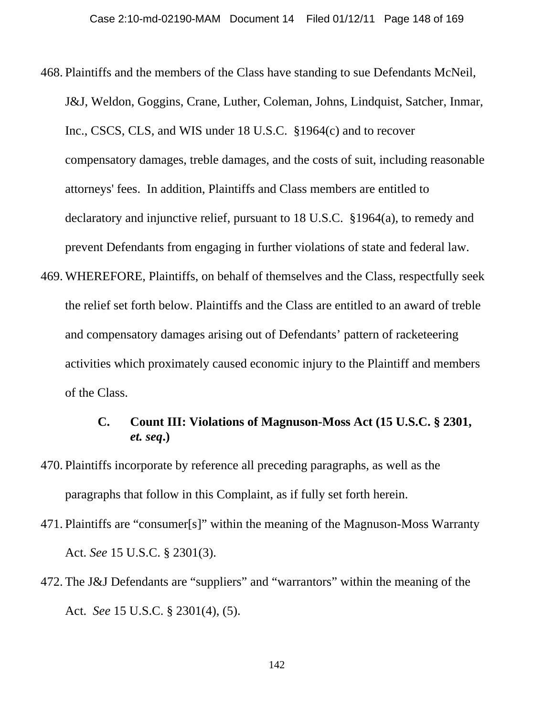- 468. Plaintiffs and the members of the Class have standing to sue Defendants McNeil, J&J, Weldon, Goggins, Crane, Luther, Coleman, Johns, Lindquist, Satcher, Inmar, Inc., CSCS, CLS, and WIS under 18 U.S.C. §1964(c) and to recover compensatory damages, treble damages, and the costs of suit, including reasonable attorneys' fees. In addition, Plaintiffs and Class members are entitled to declaratory and injunctive relief, pursuant to 18 U.S.C. §1964(a), to remedy and prevent Defendants from engaging in further violations of state and federal law.
- 469. WHEREFORE, Plaintiffs, on behalf of themselves and the Class, respectfully seek the relief set forth below. Plaintiffs and the Class are entitled to an award of treble and compensatory damages arising out of Defendants' pattern of racketeering activities which proximately caused economic injury to the Plaintiff and members of the Class.

# **C. Count III: Violations of Magnuson-Moss Act (15 U.S.C. § 2301,**  *et. seq***.)**

- 470. Plaintiffs incorporate by reference all preceding paragraphs, as well as the paragraphs that follow in this Complaint, as if fully set forth herein.
- 471. Plaintiffs are "consumer[s]" within the meaning of the Magnuson-Moss Warranty Act. *See* 15 U.S.C. § 2301(3).
- 472. The J&J Defendants are "suppliers" and "warrantors" within the meaning of the Act. *See* 15 U.S.C. § 2301(4), (5).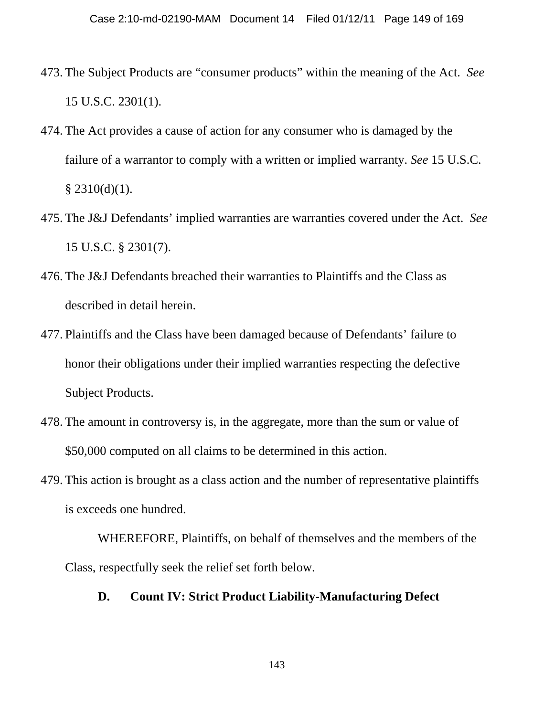- 473. The Subject Products are "consumer products" within the meaning of the Act. *See* 15 U.S.C. 2301(1).
- 474. The Act provides a cause of action for any consumer who is damaged by the failure of a warrantor to comply with a written or implied warranty. *See* 15 U.S.C.  $§$  2310(d)(1).
- 475. The J&J Defendants' implied warranties are warranties covered under the Act. *See* 15 U.S.C. § 2301(7).
- 476. The J&J Defendants breached their warranties to Plaintiffs and the Class as described in detail herein.
- 477. Plaintiffs and the Class have been damaged because of Defendants' failure to honor their obligations under their implied warranties respecting the defective Subject Products.
- 478. The amount in controversy is, in the aggregate, more than the sum or value of \$50,000 computed on all claims to be determined in this action.
- 479. This action is brought as a class action and the number of representative plaintiffs is exceeds one hundred.

WHEREFORE, Plaintiffs, on behalf of themselves and the members of the Class, respectfully seek the relief set forth below.

# **D. Count IV: Strict Product Liability-Manufacturing Defect**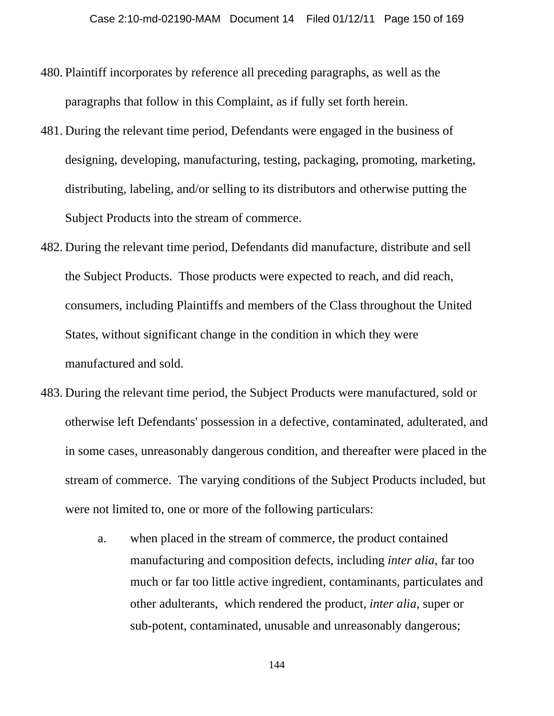- 480. Plaintiff incorporates by reference all preceding paragraphs, as well as the paragraphs that follow in this Complaint, as if fully set forth herein.
- 481. During the relevant time period, Defendants were engaged in the business of designing, developing, manufacturing, testing, packaging, promoting, marketing, distributing, labeling, and/or selling to its distributors and otherwise putting the Subject Products into the stream of commerce.
- 482. During the relevant time period, Defendants did manufacture, distribute and sell the Subject Products. Those products were expected to reach, and did reach, consumers, including Plaintiffs and members of the Class throughout the United States, without significant change in the condition in which they were manufactured and sold.
- 483. During the relevant time period, the Subject Products were manufactured, sold or otherwise left Defendants' possession in a defective, contaminated, adulterated, and in some cases, unreasonably dangerous condition, and thereafter were placed in the stream of commerce. The varying conditions of the Subject Products included, but were not limited to, one or more of the following particulars:
	- a. when placed in the stream of commerce, the product contained manufacturing and composition defects, including *inter alia*, far too much or far too little active ingredient, contaminants, particulates and other adulterants, which rendered the product, *inter alia*, super or sub-potent, contaminated, unusable and unreasonably dangerous;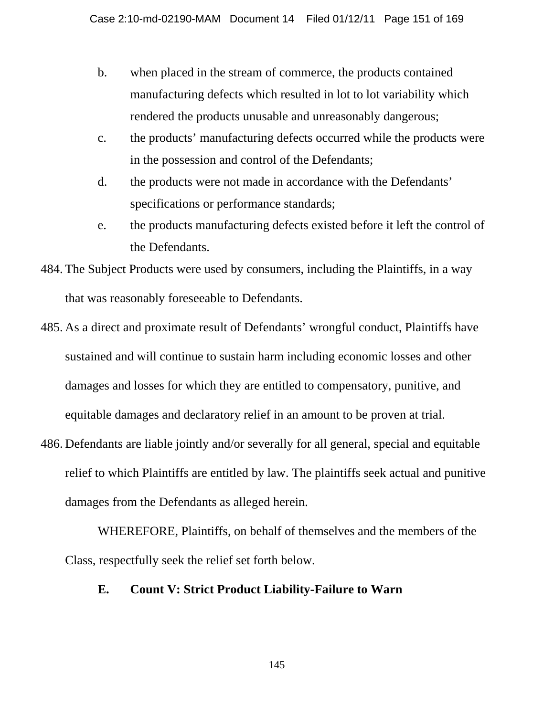- b. when placed in the stream of commerce, the products contained manufacturing defects which resulted in lot to lot variability which rendered the products unusable and unreasonably dangerous;
- c. the products' manufacturing defects occurred while the products were in the possession and control of the Defendants;
- d. the products were not made in accordance with the Defendants' specifications or performance standards;
- e. the products manufacturing defects existed before it left the control of the Defendants.
- 484. The Subject Products were used by consumers, including the Plaintiffs, in a way that was reasonably foreseeable to Defendants.
- 485. As a direct and proximate result of Defendants' wrongful conduct, Plaintiffs have sustained and will continue to sustain harm including economic losses and other damages and losses for which they are entitled to compensatory, punitive, and equitable damages and declaratory relief in an amount to be proven at trial.
- 486. Defendants are liable jointly and/or severally for all general, special and equitable relief to which Plaintiffs are entitled by law. The plaintiffs seek actual and punitive damages from the Defendants as alleged herein.

WHEREFORE, Plaintiffs, on behalf of themselves and the members of the Class, respectfully seek the relief set forth below.

## **E. Count V: Strict Product Liability-Failure to Warn**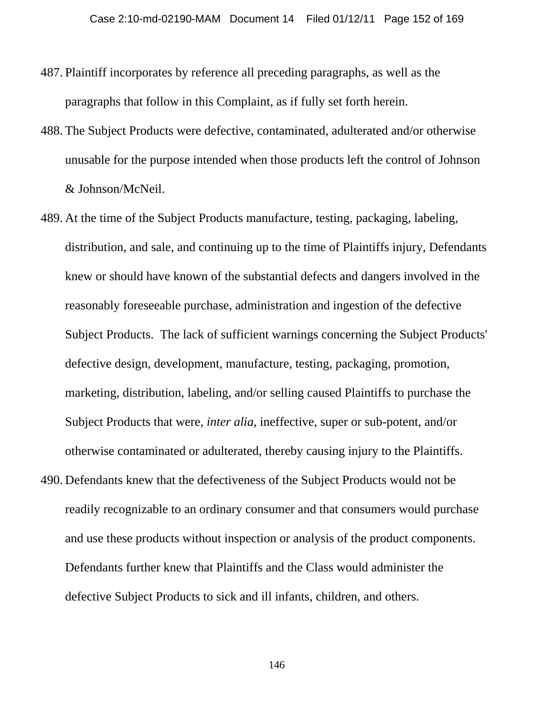- 487. Plaintiff incorporates by reference all preceding paragraphs, as well as the paragraphs that follow in this Complaint, as if fully set forth herein.
- 488. The Subject Products were defective, contaminated, adulterated and/or otherwise unusable for the purpose intended when those products left the control of Johnson & Johnson/McNeil.
- 489. At the time of the Subject Products manufacture, testing, packaging, labeling, distribution, and sale, and continuing up to the time of Plaintiffs injury, Defendants knew or should have known of the substantial defects and dangers involved in the reasonably foreseeable purchase, administration and ingestion of the defective Subject Products. The lack of sufficient warnings concerning the Subject Products' defective design, development, manufacture, testing, packaging, promotion, marketing, distribution, labeling, and/or selling caused Plaintiffs to purchase the Subject Products that were, *inter alia,* ineffective, super or sub-potent, and/or otherwise contaminated or adulterated, thereby causing injury to the Plaintiffs.
- 490. Defendants knew that the defectiveness of the Subject Products would not be readily recognizable to an ordinary consumer and that consumers would purchase and use these products without inspection or analysis of the product components. Defendants further knew that Plaintiffs and the Class would administer the defective Subject Products to sick and ill infants, children, and others.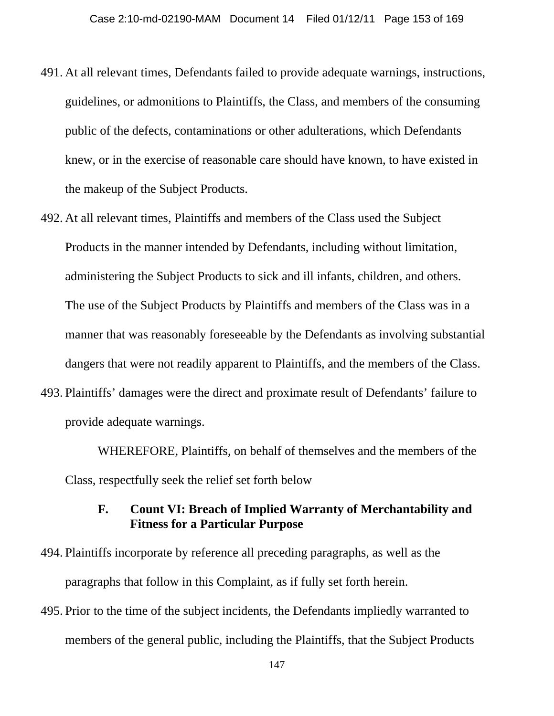- 491. At all relevant times, Defendants failed to provide adequate warnings, instructions, guidelines, or admonitions to Plaintiffs, the Class, and members of the consuming public of the defects, contaminations or other adulterations, which Defendants knew, or in the exercise of reasonable care should have known, to have existed in the makeup of the Subject Products.
- 492. At all relevant times, Plaintiffs and members of the Class used the Subject Products in the manner intended by Defendants, including without limitation, administering the Subject Products to sick and ill infants, children, and others. The use of the Subject Products by Plaintiffs and members of the Class was in a manner that was reasonably foreseeable by the Defendants as involving substantial dangers that were not readily apparent to Plaintiffs, and the members of the Class.
- 493. Plaintiffs' damages were the direct and proximate result of Defendants' failure to provide adequate warnings.

WHEREFORE, Plaintiffs, on behalf of themselves and the members of the Class, respectfully seek the relief set forth below

# **F. Count VI: Breach of Implied Warranty of Merchantability and Fitness for a Particular Purpose**

- 494. Plaintiffs incorporate by reference all preceding paragraphs, as well as the paragraphs that follow in this Complaint, as if fully set forth herein.
- 495. Prior to the time of the subject incidents, the Defendants impliedly warranted to members of the general public, including the Plaintiffs, that the Subject Products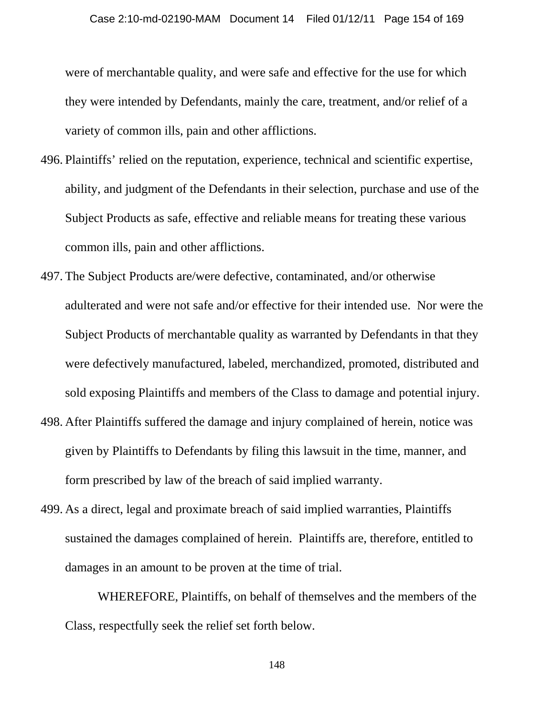were of merchantable quality, and were safe and effective for the use for which they were intended by Defendants, mainly the care, treatment, and/or relief of a variety of common ills, pain and other afflictions.

- 496. Plaintiffs' relied on the reputation, experience, technical and scientific expertise, ability, and judgment of the Defendants in their selection, purchase and use of the Subject Products as safe, effective and reliable means for treating these various common ills, pain and other afflictions.
- 497. The Subject Products are/were defective, contaminated, and/or otherwise adulterated and were not safe and/or effective for their intended use. Nor were the Subject Products of merchantable quality as warranted by Defendants in that they were defectively manufactured, labeled, merchandized, promoted, distributed and sold exposing Plaintiffs and members of the Class to damage and potential injury.
- 498. After Plaintiffs suffered the damage and injury complained of herein, notice was given by Plaintiffs to Defendants by filing this lawsuit in the time, manner, and form prescribed by law of the breach of said implied warranty.
- 499. As a direct, legal and proximate breach of said implied warranties, Plaintiffs sustained the damages complained of herein. Plaintiffs are, therefore, entitled to damages in an amount to be proven at the time of trial.

WHEREFORE, Plaintiffs, on behalf of themselves and the members of the Class, respectfully seek the relief set forth below.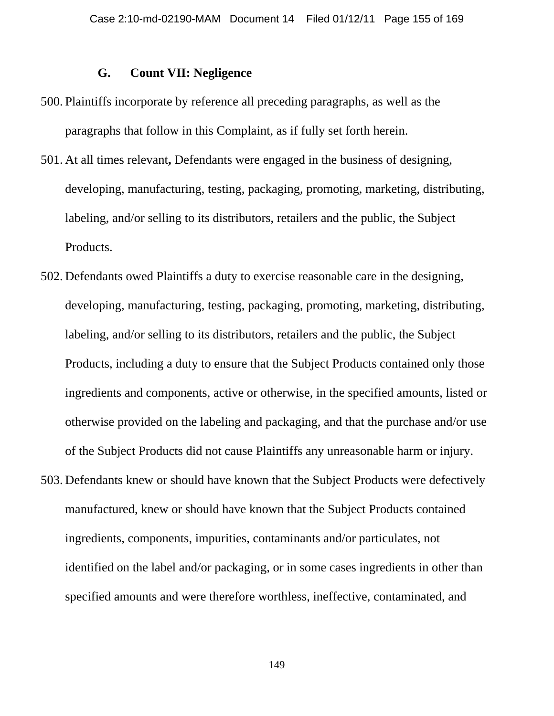### **G. Count VII: Negligence**

- 500. Plaintiffs incorporate by reference all preceding paragraphs, as well as the paragraphs that follow in this Complaint, as if fully set forth herein.
- 501. At all times relevant**,** Defendants were engaged in the business of designing, developing, manufacturing, testing, packaging, promoting, marketing, distributing, labeling, and/or selling to its distributors, retailers and the public, the Subject Products.
- 502. Defendants owed Plaintiffs a duty to exercise reasonable care in the designing, developing, manufacturing, testing, packaging, promoting, marketing, distributing, labeling, and/or selling to its distributors, retailers and the public, the Subject Products, including a duty to ensure that the Subject Products contained only those ingredients and components, active or otherwise, in the specified amounts, listed or otherwise provided on the labeling and packaging, and that the purchase and/or use of the Subject Products did not cause Plaintiffs any unreasonable harm or injury.
- 503. Defendants knew or should have known that the Subject Products were defectively manufactured, knew or should have known that the Subject Products contained ingredients, components, impurities, contaminants and/or particulates, not identified on the label and/or packaging, or in some cases ingredients in other than specified amounts and were therefore worthless, ineffective, contaminated, and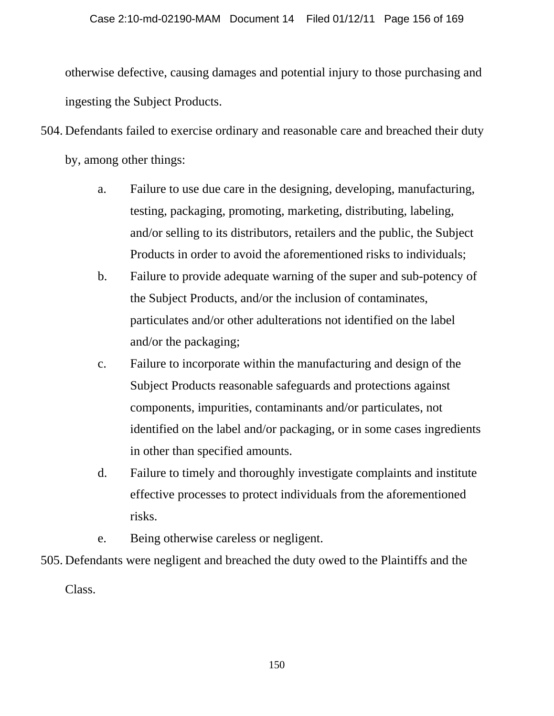otherwise defective, causing damages and potential injury to those purchasing and ingesting the Subject Products.

504. Defendants failed to exercise ordinary and reasonable care and breached their duty

by, among other things:

- a. Failure to use due care in the designing, developing, manufacturing, testing, packaging, promoting, marketing, distributing, labeling, and/or selling to its distributors, retailers and the public, the Subject Products in order to avoid the aforementioned risks to individuals;
- b. Failure to provide adequate warning of the super and sub-potency of the Subject Products, and/or the inclusion of contaminates, particulates and/or other adulterations not identified on the label and/or the packaging;
- c. Failure to incorporate within the manufacturing and design of the Subject Products reasonable safeguards and protections against components, impurities, contaminants and/or particulates, not identified on the label and/or packaging, or in some cases ingredients in other than specified amounts.
- d. Failure to timely and thoroughly investigate complaints and institute effective processes to protect individuals from the aforementioned risks.
- e. Being otherwise careless or negligent.

505. Defendants were negligent and breached the duty owed to the Plaintiffs and the

Class.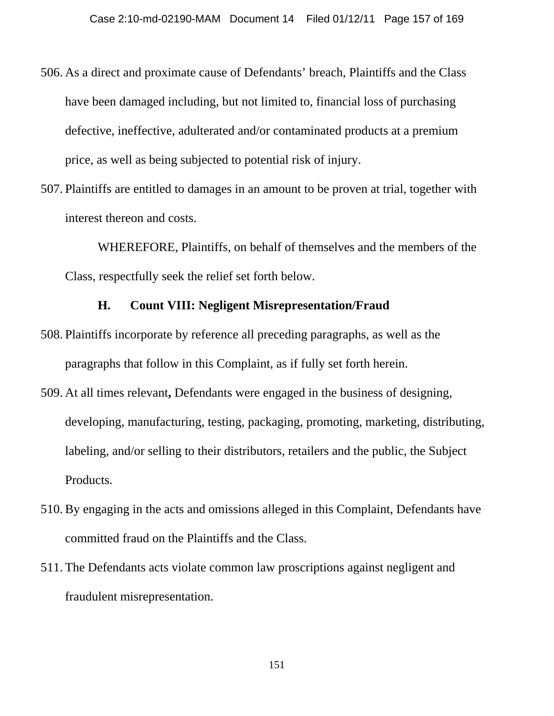- 506. As a direct and proximate cause of Defendants' breach, Plaintiffs and the Class have been damaged including, but not limited to, financial loss of purchasing defective, ineffective, adulterated and/or contaminated products at a premium price, as well as being subjected to potential risk of injury.
- 507. Plaintiffs are entitled to damages in an amount to be proven at trial, together with interest thereon and costs.

WHEREFORE, Plaintiffs, on behalf of themselves and the members of the Class, respectfully seek the relief set forth below.

#### **H. Count VIII: Negligent Misrepresentation/Fraud**

- 508. Plaintiffs incorporate by reference all preceding paragraphs, as well as the paragraphs that follow in this Complaint, as if fully set forth herein.
- 509. At all times relevant**,** Defendants were engaged in the business of designing, developing, manufacturing, testing, packaging, promoting, marketing, distributing, labeling, and/or selling to their distributors, retailers and the public, the Subject Products.
- 510. By engaging in the acts and omissions alleged in this Complaint, Defendants have committed fraud on the Plaintiffs and the Class.
- 511. The Defendants acts violate common law proscriptions against negligent and fraudulent misrepresentation.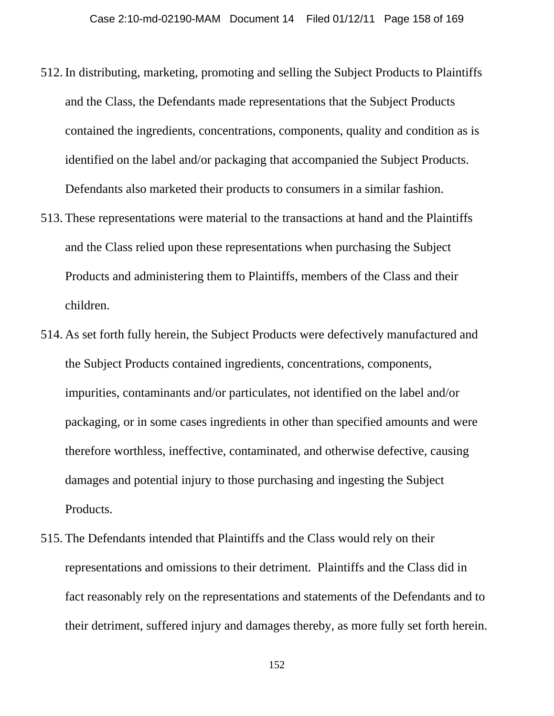- 512. In distributing, marketing, promoting and selling the Subject Products to Plaintiffs and the Class, the Defendants made representations that the Subject Products contained the ingredients, concentrations, components, quality and condition as is identified on the label and/or packaging that accompanied the Subject Products. Defendants also marketed their products to consumers in a similar fashion.
- 513. These representations were material to the transactions at hand and the Plaintiffs and the Class relied upon these representations when purchasing the Subject Products and administering them to Plaintiffs, members of the Class and their children.
- 514. As set forth fully herein, the Subject Products were defectively manufactured and the Subject Products contained ingredients, concentrations, components, impurities, contaminants and/or particulates, not identified on the label and/or packaging, or in some cases ingredients in other than specified amounts and were therefore worthless, ineffective, contaminated, and otherwise defective, causing damages and potential injury to those purchasing and ingesting the Subject Products.
- 515. The Defendants intended that Plaintiffs and the Class would rely on their representations and omissions to their detriment. Plaintiffs and the Class did in fact reasonably rely on the representations and statements of the Defendants and to their detriment, suffered injury and damages thereby, as more fully set forth herein.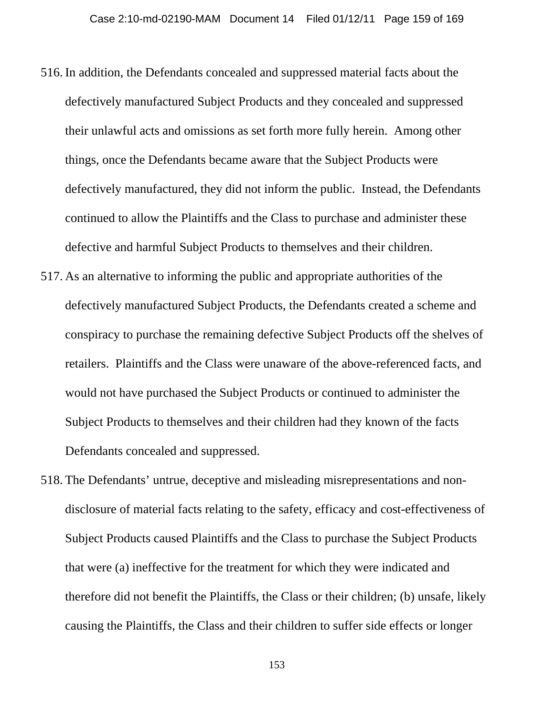- 516. In addition, the Defendants concealed and suppressed material facts about the defectively manufactured Subject Products and they concealed and suppressed their unlawful acts and omissions as set forth more fully herein. Among other things, once the Defendants became aware that the Subject Products were defectively manufactured, they did not inform the public. Instead, the Defendants continued to allow the Plaintiffs and the Class to purchase and administer these defective and harmful Subject Products to themselves and their children.
- 517. As an alternative to informing the public and appropriate authorities of the defectively manufactured Subject Products, the Defendants created a scheme and conspiracy to purchase the remaining defective Subject Products off the shelves of retailers. Plaintiffs and the Class were unaware of the above-referenced facts, and would not have purchased the Subject Products or continued to administer the Subject Products to themselves and their children had they known of the facts Defendants concealed and suppressed.
- 518. The Defendants' untrue, deceptive and misleading misrepresentations and nondisclosure of material facts relating to the safety, efficacy and cost-effectiveness of Subject Products caused Plaintiffs and the Class to purchase the Subject Products that were (a) ineffective for the treatment for which they were indicated and therefore did not benefit the Plaintiffs, the Class or their children; (b) unsafe, likely causing the Plaintiffs, the Class and their children to suffer side effects or longer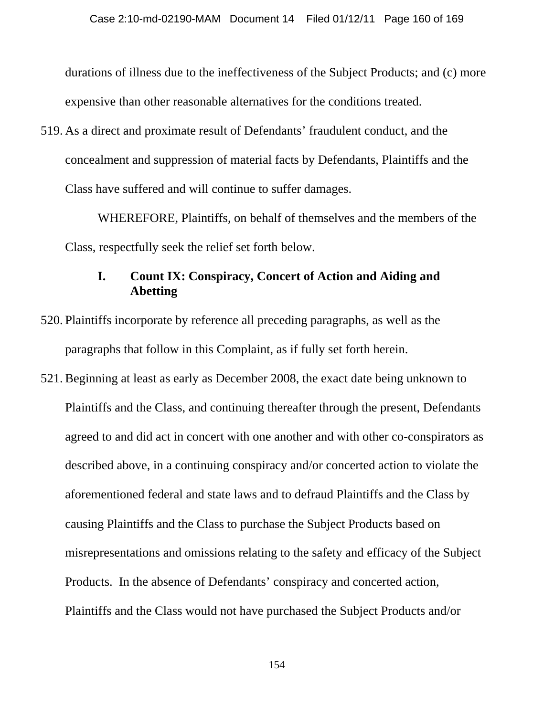durations of illness due to the ineffectiveness of the Subject Products; and (c) more expensive than other reasonable alternatives for the conditions treated.

519. As a direct and proximate result of Defendants' fraudulent conduct, and the concealment and suppression of material facts by Defendants, Plaintiffs and the Class have suffered and will continue to suffer damages.

WHEREFORE, Plaintiffs, on behalf of themselves and the members of the Class, respectfully seek the relief set forth below.

# **I. Count IX: Conspiracy, Concert of Action and Aiding and Abetting**

- 520. Plaintiffs incorporate by reference all preceding paragraphs, as well as the paragraphs that follow in this Complaint, as if fully set forth herein.
- 521. Beginning at least as early as December 2008, the exact date being unknown to Plaintiffs and the Class, and continuing thereafter through the present, Defendants agreed to and did act in concert with one another and with other co-conspirators as described above, in a continuing conspiracy and/or concerted action to violate the aforementioned federal and state laws and to defraud Plaintiffs and the Class by causing Plaintiffs and the Class to purchase the Subject Products based on misrepresentations and omissions relating to the safety and efficacy of the Subject Products. In the absence of Defendants' conspiracy and concerted action, Plaintiffs and the Class would not have purchased the Subject Products and/or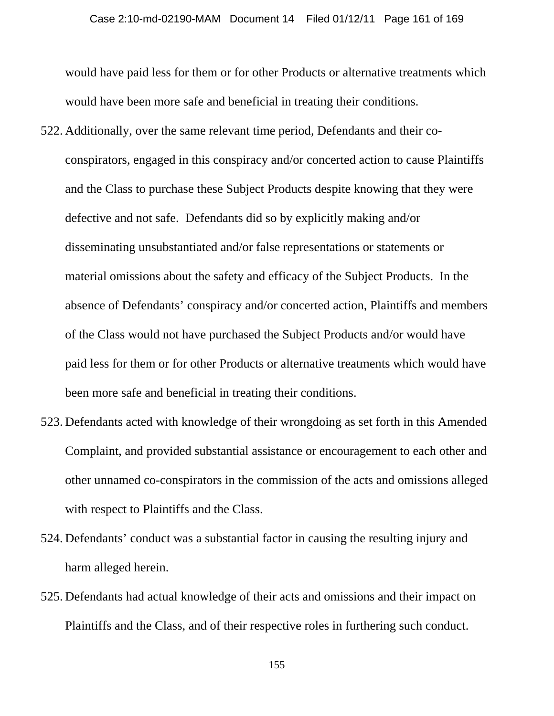would have paid less for them or for other Products or alternative treatments which would have been more safe and beneficial in treating their conditions.

- 522. Additionally, over the same relevant time period, Defendants and their coconspirators, engaged in this conspiracy and/or concerted action to cause Plaintiffs and the Class to purchase these Subject Products despite knowing that they were defective and not safe. Defendants did so by explicitly making and/or disseminating unsubstantiated and/or false representations or statements or material omissions about the safety and efficacy of the Subject Products. In the absence of Defendants' conspiracy and/or concerted action, Plaintiffs and members of the Class would not have purchased the Subject Products and/or would have paid less for them or for other Products or alternative treatments which would have been more safe and beneficial in treating their conditions.
- 523. Defendants acted with knowledge of their wrongdoing as set forth in this Amended Complaint, and provided substantial assistance or encouragement to each other and other unnamed co-conspirators in the commission of the acts and omissions alleged with respect to Plaintiffs and the Class.
- 524. Defendants' conduct was a substantial factor in causing the resulting injury and harm alleged herein.
- 525. Defendants had actual knowledge of their acts and omissions and their impact on Plaintiffs and the Class, and of their respective roles in furthering such conduct.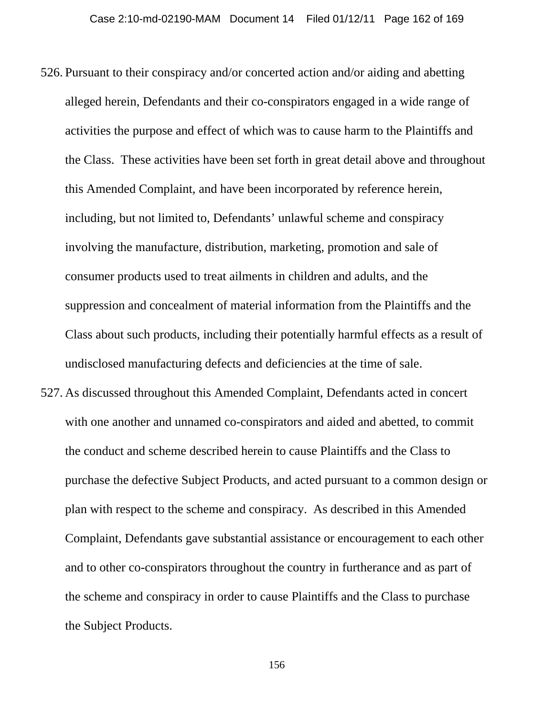- 526. Pursuant to their conspiracy and/or concerted action and/or aiding and abetting alleged herein, Defendants and their co-conspirators engaged in a wide range of activities the purpose and effect of which was to cause harm to the Plaintiffs and the Class. These activities have been set forth in great detail above and throughout this Amended Complaint, and have been incorporated by reference herein, including, but not limited to, Defendants' unlawful scheme and conspiracy involving the manufacture, distribution, marketing, promotion and sale of consumer products used to treat ailments in children and adults, and the suppression and concealment of material information from the Plaintiffs and the Class about such products, including their potentially harmful effects as a result of undisclosed manufacturing defects and deficiencies at the time of sale.
- 527. As discussed throughout this Amended Complaint, Defendants acted in concert with one another and unnamed co-conspirators and aided and abetted, to commit the conduct and scheme described herein to cause Plaintiffs and the Class to purchase the defective Subject Products, and acted pursuant to a common design or plan with respect to the scheme and conspiracy. As described in this Amended Complaint, Defendants gave substantial assistance or encouragement to each other and to other co-conspirators throughout the country in furtherance and as part of the scheme and conspiracy in order to cause Plaintiffs and the Class to purchase the Subject Products.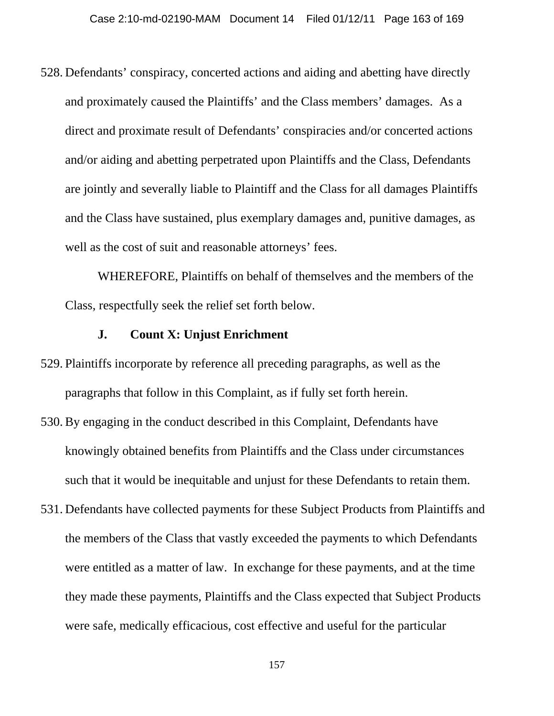528. Defendants' conspiracy, concerted actions and aiding and abetting have directly and proximately caused the Plaintiffs' and the Class members' damages. As a direct and proximate result of Defendants' conspiracies and/or concerted actions and/or aiding and abetting perpetrated upon Plaintiffs and the Class, Defendants are jointly and severally liable to Plaintiff and the Class for all damages Plaintiffs and the Class have sustained, plus exemplary damages and, punitive damages, as well as the cost of suit and reasonable attorneys' fees.

WHEREFORE, Plaintiffs on behalf of themselves and the members of the Class, respectfully seek the relief set forth below.

### **J. Count X: Unjust Enrichment**

- 529. Plaintiffs incorporate by reference all preceding paragraphs, as well as the paragraphs that follow in this Complaint, as if fully set forth herein.
- 530. By engaging in the conduct described in this Complaint, Defendants have knowingly obtained benefits from Plaintiffs and the Class under circumstances such that it would be inequitable and unjust for these Defendants to retain them.
- 531. Defendants have collected payments for these Subject Products from Plaintiffs and the members of the Class that vastly exceeded the payments to which Defendants were entitled as a matter of law. In exchange for these payments, and at the time they made these payments, Plaintiffs and the Class expected that Subject Products were safe, medically efficacious, cost effective and useful for the particular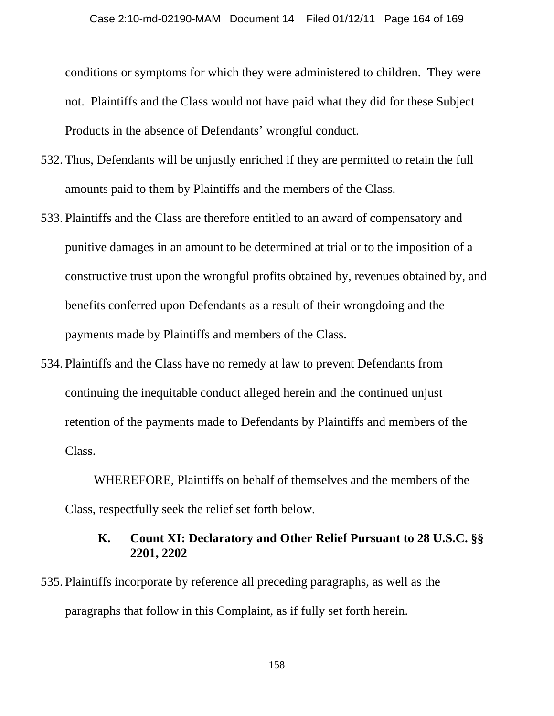conditions or symptoms for which they were administered to children. They were not. Plaintiffs and the Class would not have paid what they did for these Subject Products in the absence of Defendants' wrongful conduct.

- 532. Thus, Defendants will be unjustly enriched if they are permitted to retain the full amounts paid to them by Plaintiffs and the members of the Class.
- 533. Plaintiffs and the Class are therefore entitled to an award of compensatory and punitive damages in an amount to be determined at trial or to the imposition of a constructive trust upon the wrongful profits obtained by, revenues obtained by, and benefits conferred upon Defendants as a result of their wrongdoing and the payments made by Plaintiffs and members of the Class.
- 534. Plaintiffs and the Class have no remedy at law to prevent Defendants from continuing the inequitable conduct alleged herein and the continued unjust retention of the payments made to Defendants by Plaintiffs and members of the Class.

WHEREFORE, Plaintiffs on behalf of themselves and the members of the Class, respectfully seek the relief set forth below.

## **K. Count XI: Declaratory and Other Relief Pursuant to 28 U.S.C. §§ 2201, 2202**

535. Plaintiffs incorporate by reference all preceding paragraphs, as well as the paragraphs that follow in this Complaint, as if fully set forth herein.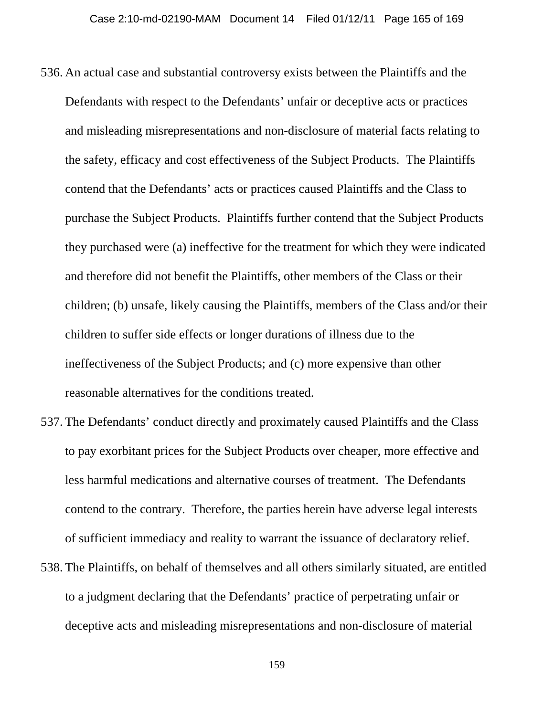- 536. An actual case and substantial controversy exists between the Plaintiffs and the Defendants with respect to the Defendants' unfair or deceptive acts or practices and misleading misrepresentations and non-disclosure of material facts relating to the safety, efficacy and cost effectiveness of the Subject Products. The Plaintiffs contend that the Defendants' acts or practices caused Plaintiffs and the Class to purchase the Subject Products. Plaintiffs further contend that the Subject Products they purchased were (a) ineffective for the treatment for which they were indicated and therefore did not benefit the Plaintiffs, other members of the Class or their children; (b) unsafe, likely causing the Plaintiffs, members of the Class and/or their children to suffer side effects or longer durations of illness due to the ineffectiveness of the Subject Products; and (c) more expensive than other reasonable alternatives for the conditions treated.
- 537. The Defendants' conduct directly and proximately caused Plaintiffs and the Class to pay exorbitant prices for the Subject Products over cheaper, more effective and less harmful medications and alternative courses of treatment. The Defendants contend to the contrary. Therefore, the parties herein have adverse legal interests of sufficient immediacy and reality to warrant the issuance of declaratory relief.
- 538. The Plaintiffs, on behalf of themselves and all others similarly situated, are entitled to a judgment declaring that the Defendants' practice of perpetrating unfair or deceptive acts and misleading misrepresentations and non-disclosure of material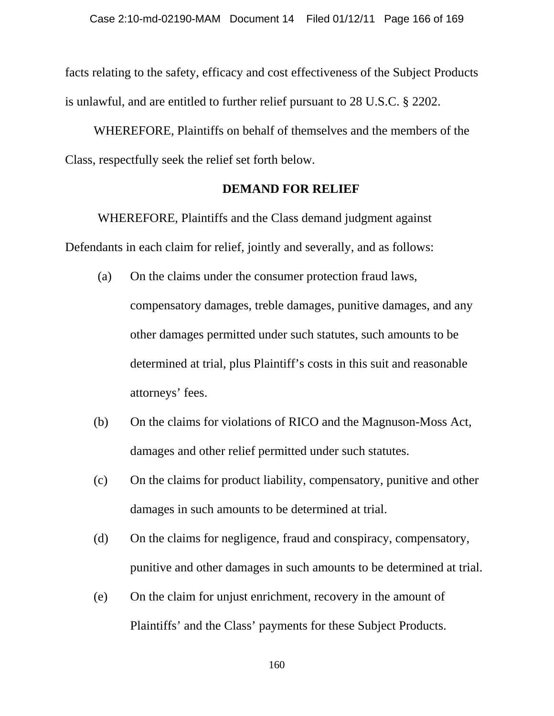facts relating to the safety, efficacy and cost effectiveness of the Subject Products is unlawful, and are entitled to further relief pursuant to 28 U.S.C. § 2202.

WHEREFORE, Plaintiffs on behalf of themselves and the members of the Class, respectfully seek the relief set forth below.

#### **DEMAND FOR RELIEF**

 WHEREFORE, Plaintiffs and the Class demand judgment against Defendants in each claim for relief, jointly and severally, and as follows:

- (a) On the claims under the consumer protection fraud laws, compensatory damages, treble damages, punitive damages, and any other damages permitted under such statutes, such amounts to be determined at trial, plus Plaintiff's costs in this suit and reasonable attorneys' fees.
- (b) On the claims for violations of RICO and the Magnuson-Moss Act, damages and other relief permitted under such statutes.
- (c) On the claims for product liability, compensatory, punitive and other damages in such amounts to be determined at trial.
- (d) On the claims for negligence, fraud and conspiracy, compensatory, punitive and other damages in such amounts to be determined at trial.
- (e) On the claim for unjust enrichment, recovery in the amount of Plaintiffs' and the Class' payments for these Subject Products.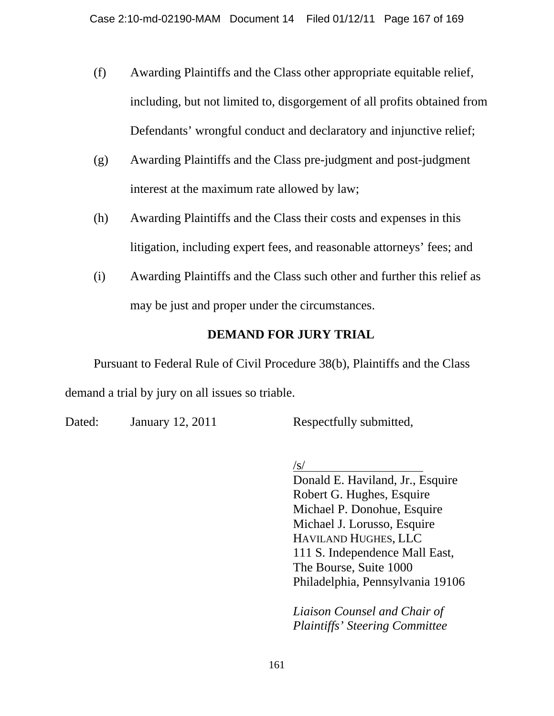- (f) Awarding Plaintiffs and the Class other appropriate equitable relief, including, but not limited to, disgorgement of all profits obtained from Defendants' wrongful conduct and declaratory and injunctive relief;
- (g) Awarding Plaintiffs and the Class pre-judgment and post-judgment interest at the maximum rate allowed by law;
- (h) Awarding Plaintiffs and the Class their costs and expenses in this litigation, including expert fees, and reasonable attorneys' fees; and
- (i) Awarding Plaintiffs and the Class such other and further this relief as may be just and proper under the circumstances.

# **DEMAND FOR JURY TRIAL**

Pursuant to Federal Rule of Civil Procedure 38(b), Plaintiffs and the Class demand a trial by jury on all issues so triable.

Dated: January 12, 2011 Respectfully submitted,

 $\sqrt{s/2}$ 

Donald E. Haviland, Jr., Esquire Robert G. Hughes, Esquire Michael P. Donohue, Esquire Michael J. Lorusso, Esquire HAVILAND HUGHES, LLC 111 S. Independence Mall East, The Bourse, Suite 1000 Philadelphia, Pennsylvania 19106

*Liaison Counsel and Chair of Plaintiffs' Steering Committee*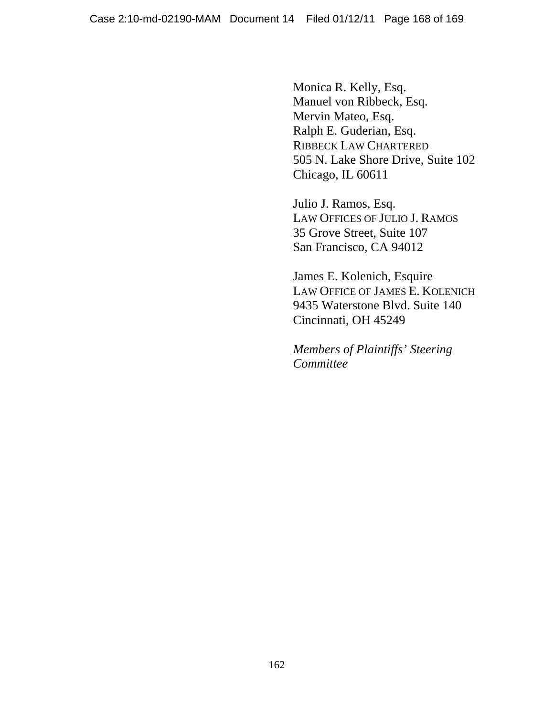Monica R. Kelly, Esq. Manuel von Ribbeck, Esq. Mervin Mateo, Esq. Ralph E. Guderian, Esq. RIBBECK LAW CHARTERED 505 N. Lake Shore Drive, Suite 102 Chicago, IL 60611

Julio J. Ramos, Esq. LAW OFFICES OF JULIO J. RAMOS 35 Grove Street, Suite 107 San Francisco, CA 94012

James E. Kolenich, Esquire LAW OFFICE OF JAMES E. KOLENICH 9435 Waterstone Blvd. Suite 140 Cincinnati, OH 45249

*Members of Plaintiffs' Steering Committee*